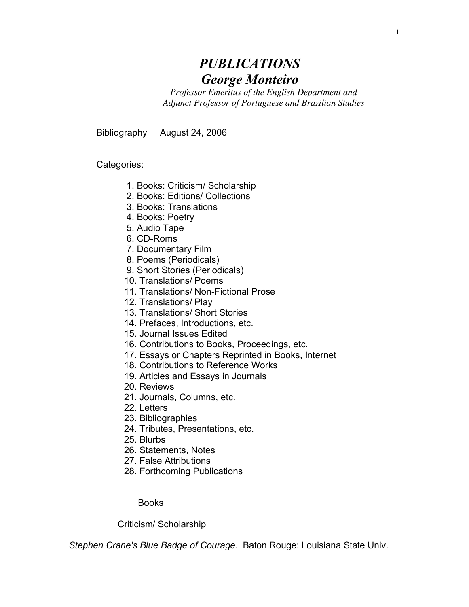# *PUBLICATIONS George Monteiro*

*Professor Emeritus of the English Department and Adjunct Professor of Portuguese and Brazilian Studies*

Bibliography August 24, 2006

Categories:

- 1. Books: Criticism/ Scholarship
- 2. Books: Editions/ Collections
- 3. Books: Translations
- 4. Books: Poetry
- 5. Audio Tape
- 6. CD-Roms
- 7. Documentary Film
- 8. Poems (Periodicals)
- 9. Short Stories (Periodicals)
- 10. Translations/ Poems
- 11. Translations/ Non-Fictional Prose
- 12. Translations/ Play
- 13. Translations/ Short Stories
- 14. Prefaces, Introductions, etc.
- 15. Journal Issues Edited
- 16. Contributions to Books, Proceedings, etc.
- 17. Essays or Chapters Reprinted in Books, Internet
- 18. Contributions to Reference Works
- 19. Articles and Essays in Journals
- 20. Reviews
- 21. Journals, Columns, etc.
- 22. Letters
- 23. Bibliographies
- 24. Tributes, Presentations, etc.
- 25. Blurbs
- 26. Statements, Notes
- 27. False Attributions
- 28. Forthcoming Publications

Books

Criticism/ Scholarship

*Stephen Crane's Blue Badge of Courage*. Baton Rouge: Louisiana State Univ.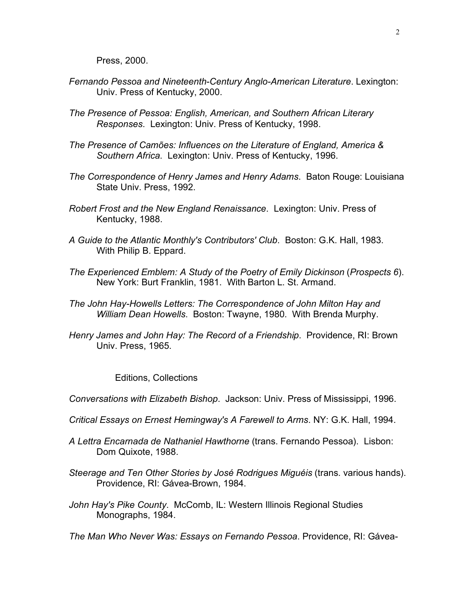Press, 2000.

- *Fernando Pessoa and Nineteenth-Century Anglo-American Literature*. Lexington: Univ. Press of Kentucky, 2000.
- *The Presence of Pessoa: English, American, and Southern African Literary Responses*. Lexington: Univ. Press of Kentucky, 1998.
- *The Presence of Camões: Influences on the Literature of England, America & Southern Africa*. Lexington: Univ. Press of Kentucky, 1996.
- *The Correspondence of Henry James and Henry Adams*. Baton Rouge: Louisiana State Univ. Press, 1992.
- *Robert Frost and the New England Renaissance*. Lexington: Univ. Press of Kentucky, 1988.
- *A Guide to the Atlantic Monthly's Contributors' Club*. Boston: G.K. Hall, 1983. With Philip B. Eppard.
- *The Experienced Emblem: A Study of the Poetry of Emily Dickinson* (*Prospects 6*). New York: Burt Franklin, 1981. With Barton L. St. Armand.
- *The John Hay-Howells Letters: The Correspondence of John Milton Hay and William Dean Howells*. Boston: Twayne, 1980. With Brenda Murphy.
- *Henry James and John Hay: The Record of a Friendship*. Providence, RI: Brown Univ. Press, 1965.

Editions, Collections

*Conversations with Elizabeth Bishop*. Jackson: Univ. Press of Mississippi, 1996.

- *Critical Essays on Ernest Hemingway's A Farewell to Arms*. NY: G.K. Hall, 1994.
- *A Lettra Encarnada de Nathaniel Hawthorne* (trans. Fernando Pessoa). Lisbon: Dom Quixote, 1988.
- *Steerage and Ten Other Stories by José Rodrigues Miguéis* (trans. various hands). Providence, RI: Gávea-Brown, 1984.
- *John Hay's Pike County*. McComb, IL: Western Illinois Regional Studies Monographs, 1984.

*The Man Who Never Was: Essays on Fernando Pessoa*. Providence, RI: Gávea-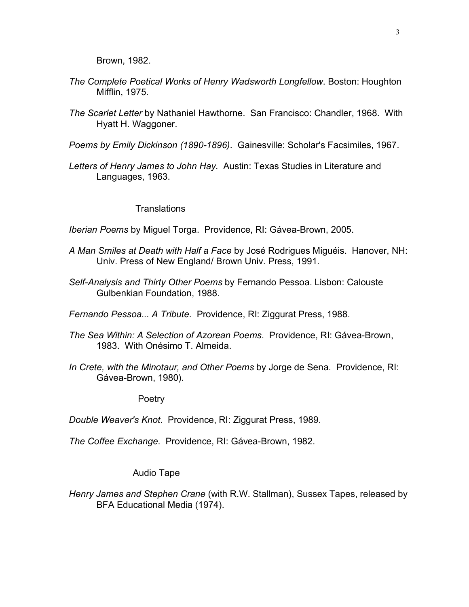Brown, 1982.

- *The Complete Poetical Works of Henry Wadsworth Longfellow*. Boston: Houghton Mifflin, 1975.
- *The Scarlet Letter* by Nathaniel Hawthorne. San Francisco: Chandler, 1968. With Hyatt H. Waggoner.
- *Poems by Emily Dickinson (1890-1896)*. Gainesville: Scholar's Facsimiles, 1967.
- *Letters of Henry James to John Hay*. Austin: Texas Studies in Literature and Languages, 1963.

#### **Translations**

*Iberian Poems* by Miguel Torga. Providence, RI: Gávea-Brown, 2005.

- *A Man Smiles at Death with Half a Face* by José Rodrigues Miguéis. Hanover, NH: Univ. Press of New England/ Brown Univ. Press, 1991.
- *Self-Analysis and Thirty Other Poems* by Fernando Pessoa. Lisbon: Calouste Gulbenkian Foundation, 1988.

*Fernando Pessoa... A Tribute*. Providence, RI: Ziggurat Press, 1988.

- *The Sea Within: A Selection of Azorean Poems*. Providence, RI: Gávea-Brown, 1983. With Onésimo T. Almeida.
- *In Crete, with the Minotaur, and Other Poems* by Jorge de Sena. Providence, RI: Gávea-Brown, 1980).

Poetry

*Double Weaver's Knot*. Providence, RI: Ziggurat Press, 1989.

*The Coffee Exchange*. Providence, RI: Gávea-Brown, 1982.

## Audio Tape

*Henry James and Stephen Crane* (with R.W. Stallman), Sussex Tapes, released by BFA Educational Media (1974).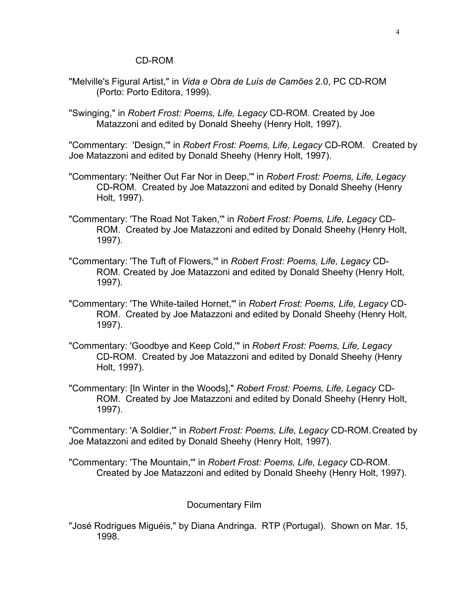#### CD-ROM

- "Melville's Figural Artist," in *Vida e Obra de Luís de Camões* 2.0, PC CD-ROM (Porto: Porto Editora, 1999).
- "Swinging," in *Robert Frost: Poems, Life, Legacy* CD-ROM. Created by Joe Matazzoni and edited by Donald Sheehy (Henry Holt, 1997).

"Commentary: 'Design,'" in *Robert Frost: Poems, Life, Legacy* CD-ROM. Created by Joe Matazzoni and edited by Donald Sheehy (Henry Holt, 1997).

- "Commentary: 'Neither Out Far Nor in Deep,'" in *Robert Frost: Poems, Life, Legacy*  CD-ROM. Created by Joe Matazzoni and edited by Donald Sheehy (Henry Holt, 1997).
- "Commentary: 'The Road Not Taken,'" in *Robert Frost: Poems, Life, Legacy* CD-ROM. Created by Joe Matazzoni and edited by Donald Sheehy (Henry Holt, 1997).
- "Commentary: 'The Tuft of Flowers,'" in *Robert Frost: Poems, Life, Legacy* CD-ROM. Created by Joe Matazzoni and edited by Donald Sheehy (Henry Holt, 1997).
- "Commentary: 'The White-tailed Hornet,'" in *Robert Frost: Poems, Life, Legacy* CD-ROM. Created by Joe Matazzoni and edited by Donald Sheehy (Henry Holt, 1997).
- "Commentary: 'Goodbye and Keep Cold,'" in *Robert Frost: Poems, Life, Legacy* CD-ROM. Created by Joe Matazzoni and edited by Donald Sheehy (Henry Holt, 1997).
- "Commentary: [In Winter in the Woods]," *Robert Frost: Poems, Life, Legacy* CD-ROM. Created by Joe Matazzoni and edited by Donald Sheehy (Henry Holt, 1997).

"Commentary: 'A Soldier,'" in *Robert Frost: Poems, Life, Legacy* CD-ROM.Created by Joe Matazzoni and edited by Donald Sheehy (Henry Holt, 1997).

"Commentary: 'The Mountain,'" in *Robert Frost: Poems, Life, Legacy* CD-ROM. Created by Joe Matazzoni and edited by Donald Sheehy (Henry Holt, 1997).

## Documentary Film

"José Rodrigues Miguéis," by Diana Andringa. RTP (Portugal). Shown on Mar. 15, 1998.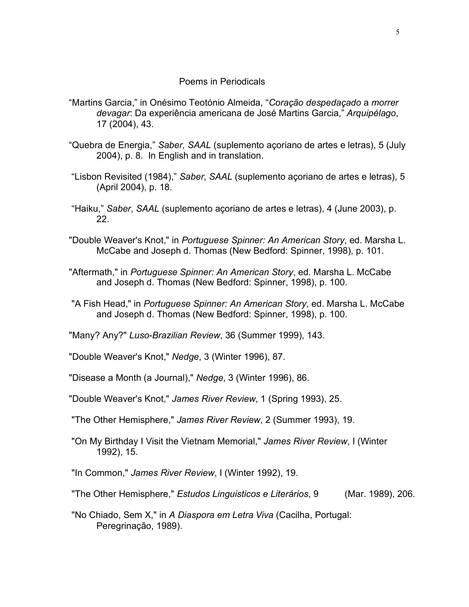## Poems in Periodicals

- "Martins Garcia," in Onésimo Teotónio Almeida, "*Coração despedaçado* a *morrer devagar*: Da experiência americana de José Martins Garcia," *Arquipélago*, 17 (2004), 43.
- "Quebra de Energia," *Saber, SAAL* (suplemento açoriano de artes e letras), 5 (July 2004), p. 8. In English and in translation.
- "Lisbon Revisited (1984)," *Saber*, *SAAL* (suplemento açoriano de artes e letras), 5 (April 2004), p. 18.
- "Haiku," *Saber*, *SAAL* (suplemento açoriano de artes e letras), 4 (June 2003), p. 22.
- "Double Weaver's Knot," in *Portuguese Spinner: An American Story*, ed. Marsha L. McCabe and Joseph d. Thomas (New Bedford: Spinner, 1998), p. 101.
- "Aftermath," in *Portuguese Spinner: An American Story*, ed. Marsha L. McCabe and Joseph d. Thomas (New Bedford: Spinner, 1998), p. 100.
- "A Fish Head," in *Portuguese Spinner: An American Story*, ed. Marsha L. McCabe and Joseph d. Thomas (New Bedford: Spinner, 1998), p. 100.
- "Many? Any?" *Luso-Brazilian Review*, 36 (Summer 1999), 143.

"Double Weaver's Knot," *Nedge*, 3 (Winter 1996), 87.

"Disease a Month (a Journal)," *Nedge*, 3 (Winter 1996), 86.

"Double Weaver's Knot," *James River Review*, 1 (Spring 1993), 25.

- "The Other Hemisphere," *James River Review*, 2 (Summer 1993), 19.
- "On My Birthday I Visit the Vietnam Memorial," *James River Review*, I (Winter 1992), 15.

"In Common," *James River Review*, I (Winter 1992), 19.

"The Other Hemisphere," *Estudos Linguisticos e Literários*, 9 (Mar. 1989), 206.

"No Chiado, Sem X," in *A Diaspora em Letra Viva* (Cacilha, Portugal: Peregrinação, 1989).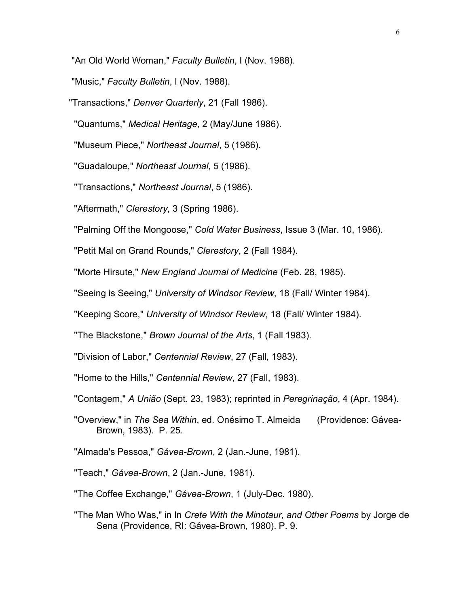"An Old World Woman," *Faculty Bulletin*, I (Nov. 1988).

"Music," *Faculty Bulletin*, I (Nov. 1988).

"Transactions," *Denver Quarterly*, 21 (Fall 1986).

"Quantums," *Medical Heritage*, 2 (May/June 1986).

"Museum Piece," *Northeast Journal*, 5 (1986).

"Guadaloupe," *Northeast Journal*, 5 (1986).

"Transactions," *Northeast Journal*, 5 (1986).

"Aftermath," *Clerestory*, 3 (Spring 1986).

"Palming Off the Mongoose," *Cold Water Business*, Issue 3 (Mar. 10, 1986).

"Petit Mal on Grand Rounds," *Clerestory*, 2 (Fall 1984).

"Morte Hirsute," *New England Journal of Medicine* (Feb. 28, 1985).

"Seeing is Seeing," *University of Windsor Review*, 18 (Fall/ Winter 1984).

"Keeping Score," *University of Windsor Review*, 18 (Fall/ Winter 1984).

"The Blackstone," *Brown Journal of the Arts*, 1 (Fall 1983).

"Division of Labor," *Centennial Review*, 27 (Fall, 1983).

"Home to the Hills," *Centennial Review*, 27 (Fall, 1983).

"Contagem," *A União* (Sept. 23, 1983); reprinted in *Peregrinação*, 4 (Apr. 1984).

"Overview," in *The Sea Within*, ed. Onésimo T. Almeida (Providence: Gávea-Brown, 1983). P. 25.

"Almada's Pessoa," *Gávea-Brown*, 2 (Jan.-June, 1981).

"Teach," *Gávea-Brown*, 2 (Jan.-June, 1981).

"The Coffee Exchange," *Gávea-Brown*, 1 (July-Dec. 1980).

"The Man Who Was," in In *Crete With the Minotaur, and Other Poems* by Jorge de Sena (Providence, RI: Gávea-Brown, 1980). P. 9.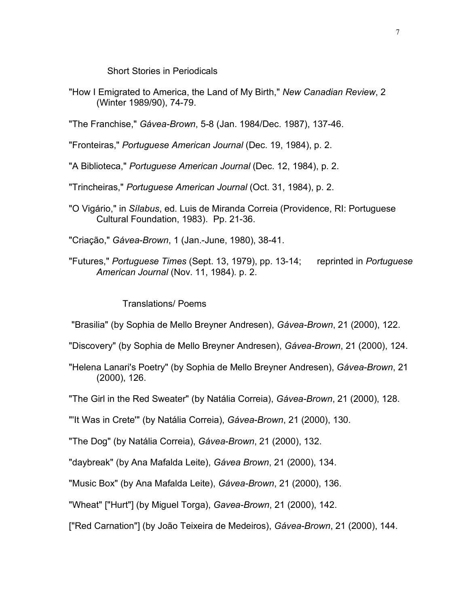Short Stories in Periodicals

"How I Emigrated to America, the Land of My Birth," *New Canadian Review*, 2 (Winter 1989/90), 74-79.

"The Franchise," *Gávea-Brown*, 5-8 (Jan. 1984/Dec. 1987), 137-46.

"Fronteiras," *Portuguese American Journal* (Dec. 19, 1984), p. 2.

"A Biblioteca," *Portuguese American Journal* (Dec. 12, 1984), p. 2.

"Trincheiras," *Portuguese American Journal* (Oct. 31, 1984), p. 2.

"O Vigário," in *Sílabus*, ed. Luis de Miranda Correia (Providence, RI: Portuguese Cultural Foundation, 1983). Pp. 21-36.

"Criação," *Gávea-Brown*, 1 (Jan.-June, 1980), 38-41.

"Futures," *Portuguese Times* (Sept. 13, 1979), pp. 13-14; reprinted in *Portuguese American Journal* (Nov. 11, 1984). p. 2.

Translations/ Poems

"Brasilia" (by Sophia de Mello Breyner Andresen), *Gávea-Brown*, 21 (2000), 122.

"Discovery" (by Sophia de Mello Breyner Andresen), *Gávea-Brown*, 21 (2000), 124.

"Helena Lanari's Poetry" (by Sophia de Mello Breyner Andresen), *Gávea-Brown*, 21 (2000), 126.

"The Girl in the Red Sweater" (by Natália Correia), *Gávea-Brown*, 21 (2000), 128.

"'It Was in Crete'" (by Natália Correia), *Gávea-Brown*, 21 (2000), 130.

"The Dog" (by Natália Correia), *Gávea-Brown*, 21 (2000), 132.

"daybreak" (by Ana Mafalda Leite), *Gávea Brown*, 21 (2000), 134.

"Music Box" (by Ana Mafalda Leite), *Gávea-Brown*, 21 (2000), 136.

"Wheat" ["Hurt"] (by Miguel Torga), *Gavea-Brown*, 21 (2000), 142.

["Red Carnation"] (by João Teixeira de Medeiros), *Gávea-Brown*, 21 (2000), 144.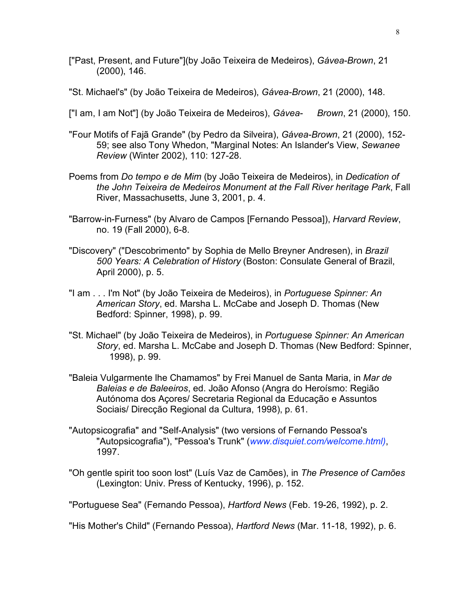- ["Past, Present, and Future"](by João Teixeira de Medeiros), *Gávea-Brown*, 21 (2000), 146.
- "St. Michael's" (by João Teixeira de Medeiros), *Gávea-Brown*, 21 (2000), 148.
- ["I am, I am Not"] (by João Teixeira de Medeiros), *Gávea- Brown*, 21 (2000), 150.
- "Four Motifs of Fajã Grande" (by Pedro da Silveira), *Gávea-Brown*, 21 (2000), 152- 59; see also Tony Whedon, "Marginal Notes: An Islander's View, *Sewanee Review* (Winter 2002), 110: 127-28.
- Poems from *Do tempo e de Mim* (by João Teixeira de Medeiros), in *Dedication of the John Teixeira de Medeiros Monument at the Fall River heritage Park*, Fall River, Massachusetts, June 3, 2001, p. 4.
- "Barrow-in-Furness" (by Alvaro de Campos [Fernando Pessoa]), *Harvard Review*, no. 19 (Fall 2000), 6-8.
- "Discovery" ("Descobrimento" by Sophia de Mello Breyner Andresen), in *Brazil 500 Years: A Celebration of History* (Boston: Consulate General of Brazil, April 2000), p. 5.
- "I am . . . I'm Not" (by João Teixeira de Medeiros), in *Portuguese Spinner: An American Story*, ed. Marsha L. McCabe and Joseph D. Thomas (New Bedford: Spinner, 1998), p. 99.
- "St. Michael" (by João Teixeira de Medeiros), in *Portuguese Spinner: An American Story*, ed. Marsha L. McCabe and Joseph D. Thomas (New Bedford: Spinner, 1998), p. 99.
- "Baleia Vulgarmente lhe Chamamos" by Frei Manuel de Santa Maria, in *Mar de Baleias e de Baleeiros*, ed. João Afonso (Angra do Heroísmo: Região Autónoma dos Açores/ Secretaria Regional da Educação e Assuntos Sociais/ Direcção Regional da Cultura, 1998), p. 61.
- "Autopsicografia" and "Self-Analysis" (two versions of Fernando Pessoa's "Autopsicografia"), "Pessoa's Trunk" (*www.disquiet.com/welcome.html)*, 1997.
- "Oh gentle spirit too soon lost" (Luís Vaz de Camões), in *The Presence of Camões* (Lexington: Univ. Press of Kentucky, 1996), p. 152.

"Portuguese Sea" (Fernando Pessoa), *Hartford News* (Feb. 19-26, 1992), p. 2.

"His Mother's Child" (Fernando Pessoa), *Hartford News* (Mar. 11-18, 1992), p. 6.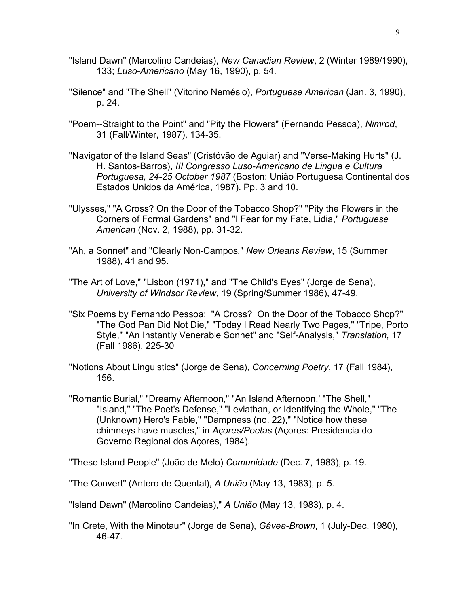- "Island Dawn" (Marcolino Candeias), *New Canadian Review*, 2 (Winter 1989/1990), 133; *Luso-Americano* (May 16, 1990), p. 54.
- "Silence" and "The Shell" (Vitorino Nemésio), *Portuguese American* (Jan. 3, 1990), p. 24.
- "Poem--Straight to the Point" and "Pity the Flowers" (Fernando Pessoa), *Nimrod*, 31 (Fall/Winter, 1987), 134-35.
- "Navigator of the Island Seas" (Cristóvão de Aguiar) and "Verse-Making Hurts" (J. H. Santos-Barros), *III Congresso Luso-Americano de Lingua e Cultura Portuguesa, 24-25 October 1987* (Boston: União Portuguesa Continental dos Estados Unidos da América, 1987). Pp. 3 and 10.
- "Ulysses," "A Cross? On the Door of the Tobacco Shop?" "Pity the Flowers in the Corners of Formal Gardens" and "I Fear for my Fate, Lidia," *Portuguese American* (Nov. 2, 1988), pp. 31-32.
- "Ah, a Sonnet" and "Clearly Non-Campos," *New Orleans Review*, 15 (Summer 1988), 41 and 95.
- "The Art of Love," "Lisbon (1971)," and "The Child's Eyes" (Jorge de Sena), *University of Windsor Review*, 19 (Spring/Summer 1986), 47-49.
- "Six Poems by Fernando Pessoa: "A Cross? On the Door of the Tobacco Shop?" "The God Pan Did Not Die," "Today I Read Nearly Two Pages," "Tripe, Porto Style," "An Instantly Venerable Sonnet" and "Self-Analysis," *Translation,* 17 (Fall 1986), 225-30
- "Notions About Linguistics" (Jorge de Sena), *Concerning Poetry*, 17 (Fall 1984), 156.
- "Romantic Burial," "Dreamy Afternoon," "An Island Afternoon,' "The Shell," "Island," "The Poet's Defense," "Leviathan, or Identifying the Whole," "The (Unknown) Hero's Fable," "Dampness (no. 22)," "Notice how these chimneys have muscles," in *Açores/Poetas* (Açores: Presidencia do Governo Regional dos Açores, 1984).

"These Island People" (João de Melo) *Comunidade* (Dec. 7, 1983), p. 19.

"The Convert" (Antero de Quental), *A União* (May 13, 1983), p. 5.

"Island Dawn" (Marcolino Candeias)," *A União* (May 13, 1983), p. 4.

"In Crete, With the Minotaur" (Jorge de Sena), *Gávea-Brown*, 1 (July-Dec. 1980), 46-47.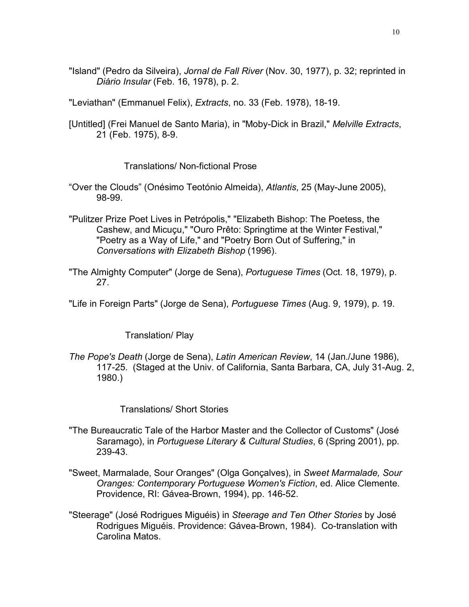- "Island" (Pedro da Silveira), *Jornal de Fall River* (Nov. 30, 1977), p. 32; reprinted in *Diário Insular* (Feb. 16, 1978), p. 2.
- "Leviathan" (Emmanuel Felix), *Extracts*, no. 33 (Feb. 1978), 18-19.
- [Untitled] (Frei Manuel de Santo Maria), in "Moby-Dick in Brazil," *Melville Extracts*, 21 (Feb. 1975), 8-9.

# Translations/ Non-fictional Prose

- "Over the Clouds" (Onésimo Teotónio Almeida), *Atlantis*, 25 (May-June 2005), 98-99.
- "Pulitzer Prize Poet Lives in Petrópolis," "Elizabeth Bishop: The Poetess, the Cashew, and Micuçu," "Ouro Prêto: Springtime at the Winter Festival," "Poetry as a Way of Life," and "Poetry Born Out of Suffering," in *Conversations with Elizabeth Bishop* (1996).
- "The Almighty Computer" (Jorge de Sena), *Portuguese Times* (Oct. 18, 1979), p. 27.
- "Life in Foreign Parts" (Jorge de Sena), *Portuguese Times* (Aug. 9, 1979), p. 19.

# Translation/ Play

*The Pope's Death* (Jorge de Sena), *Latin American Review*, 14 (Jan./June 1986), 117-25. (Staged at the Univ. of California, Santa Barbara, CA, July 31-Aug. 2, 1980.)

# Translations/ Short Stories

- "The Bureaucratic Tale of the Harbor Master and the Collector of Customs" (José Saramago), in *Portuguese Literary & Cultural Studies*, 6 (Spring 2001), pp. 239-43.
- "Sweet, Marmalade, Sour Oranges" (Olga Gonçalves), in *Sweet Marmalade, Sour Oranges: Contemporary Portuguese Women's Fiction*, ed. Alice Clemente. Providence, RI: Gávea-Brown, 1994), pp. 146-52.
- "Steerage" (José Rodrigues Miguéis) in *Steerage and Ten Other Stories* by José Rodrigues Miguéis. Providence: Gávea-Brown, 1984). Co-translation with Carolina Matos.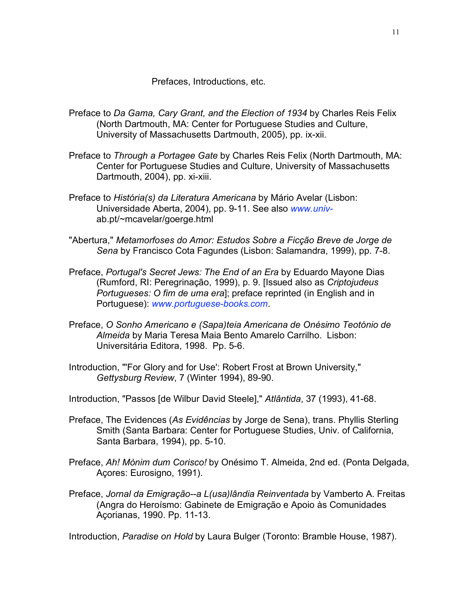Prefaces, Introductions, etc.

- Preface to *Da Gama, Cary Grant, and the Election of 1934* by Charles Reis Felix (North Dartmouth, MA: Center for Portuguese Studies and Culture, University of Massachusetts Dartmouth, 2005), pp. ix-xii.
- Preface to *Through a Portagee Gate* by Charles Reis Felix (North Dartmouth, MA: Center for Portuguese Studies and Culture, University of Massachusetts Dartmouth, 2004), pp. xi-xiii.
- Preface to *História(s) da Literatura Americana* by Mário Avelar (Lisbon: Universidade Aberta, 2004), pp. 9-11. See also *www.univ*ab.pt/~mcavelar/goerge.html
- "Abertura," *Metamorfoses do Amor: Estudos Sobre a Ficção Breve de Jorge de Sena* by Francisco Cota Fagundes (Lisbon: Salamandra, 1999), pp. 7-8.
- Preface, *Portugal's Secret Jews: The End of an Era* by Eduardo Mayone Dias (Rumford, RI: Peregrinação, 1999), p. 9. [Issued also as *Criptojudeus Portugueses: O fim de uma era*]; preface reprinted (in English and in Portuguese): *www.portuguese-books.com*.
- Preface, *O Sonho Americano e (Sapa)teia Americana de Onésimo Teotónio de Almeida* by Maria Teresa Maia Bento Amarelo Carrilho. Lisbon: Universitária Editora, 1998. Pp. 5-6.
- Introduction, "'For Glory and for Use': Robert Frost at Brown University," *Gettysburg Review*, 7 (Winter 1994), 89-90.
- Introduction, "Passos [de Wilbur David Steele]," *Atlântida*, 37 (1993), 41-68.
- Preface, The Evidences (*As Evidências* by Jorge de Sena), trans. Phyllis Sterling Smith (Santa Barbara: Center for Portuguese Studies, Univ. of California, Santa Barbara, 1994), pp. 5-10.
- Preface, *Ah! Mònim dum Corisco!* by Onésimo T. Almeida, 2nd ed. (Ponta Delgada, Açores: Eurosigno, 1991).
- Preface, *Jornal da Emigração--a L(usa)lândia Reinventada* by Vamberto A. Freitas (Angra do Heroísmo: Gabinete de Emigração e Apoio às Comunidades Açorianas, 1990. Pp. 11-13.

Introduction, *Paradise on Hold* by Laura Bulger (Toronto: Bramble House, 1987).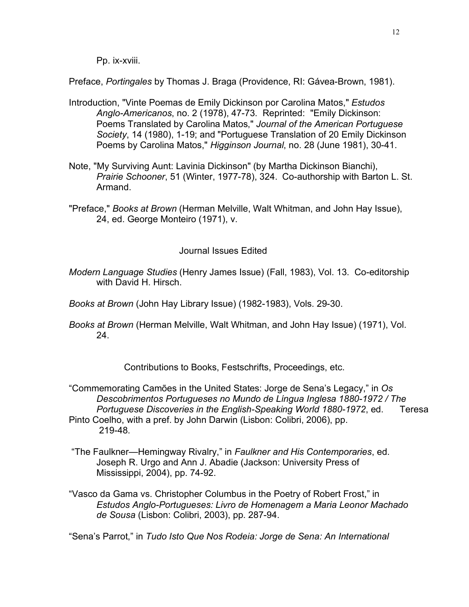Pp. ix-xviii.

Preface, *Portingales* by Thomas J. Braga (Providence, RI: Gávea-Brown, 1981).

- Introduction, "Vinte Poemas de Emily Dickinson por Carolina Matos," *Estudos Anglo-Americanos*, no. 2 (1978), 47-73. Reprinted: "Emily Dickinson: Poems Translated by Carolina Matos," *Journal of the American Portuguese Society*, 14 (1980), 1-19; and "Portuguese Translation of 20 Emily Dickinson Poems by Carolina Matos," *Higginson Journal*, no. 28 (June 1981), 30-41.
- Note, "My Surviving Aunt: Lavinia Dickinson" (by Martha Dickinson Bianchi), *Prairie Schooner*, 51 (Winter, 1977-78), 324. Co-authorship with Barton L. St. Armand.
- "Preface," *Books at Brown* (Herman Melville, Walt Whitman, and John Hay Issue), 24, ed. George Monteiro (1971), v.

# Journal Issues Edited

- *Modern Language Studies* (Henry James Issue) (Fall, 1983), Vol. 13. Co-editorship with David H. Hirsch.
- *Books at Brown* (John Hay Library Issue) (1982-1983), Vols. 29-30.
- *Books at Brown* (Herman Melville, Walt Whitman, and John Hay Issue) (1971), Vol. 24.

Contributions to Books, Festschrifts, Proceedings, etc.

"Commemorating Camões in the United States: Jorge de Sena's Legacy," in *Os Descobrimentos Portugueses no Mundo de Língua Inglesa 1880-1972 / The Portuguese Discoveries in the English-Speaking World 1880-1972*, ed. Teresa Pinto Coelho, with a pref. by John Darwin (Lisbon: Colibri, 2006), pp.

219-48.

- "The Faulkner—Hemingway Rivalry," in *Faulkner and His Contemporaries*, ed. Joseph R. Urgo and Ann J. Abadie (Jackson: University Press of Mississippi, 2004), pp. 74-92.
- "Vasco da Gama vs. Christopher Columbus in the Poetry of Robert Frost," in *Estudos Anglo-Portugueses: Livro de Homenagem a Maria Leonor Machado de Sousa* (Lisbon: Colibri, 2003), pp. 287-94.

"Sena's Parrot," in *Tudo Isto Que Nos Rodeia: Jorge de Sena: An International*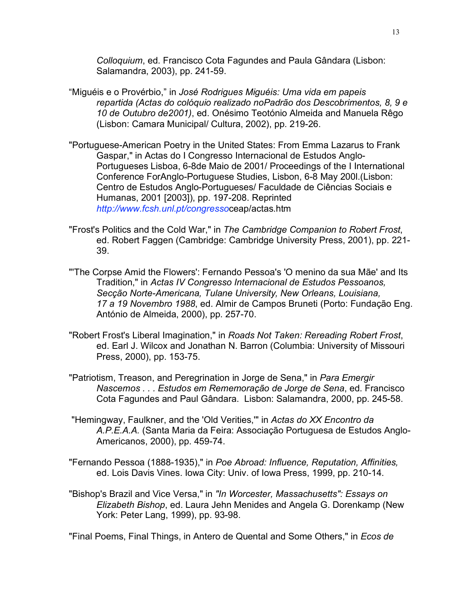*Colloquium*, ed. Francisco Cota Fagundes and Paula Gândara (Lisbon: Salamandra, 2003), pp. 241-59.

- "Miguéis e o Provérbio," in *José Rodrigues Miguéis: Uma vida em papeis repartida (Actas do colóquio realizado noPadrão dos Descobrimentos, 8, 9 e 10 de Outubro de2001)*, ed. Onésimo Teotónio Almeida and Manuela Rêgo (Lisbon: Camara Municipal/ Cultura, 2002), pp. 219-26.
- "Portuguese-American Poetry in the United States: From Emma Lazarus to Frank Gaspar," in Actas do I Congresso Internacional de Estudos Anglo-Portugueses Lisboa, 6-8de Maio de 2001/ Proceedings of the I International Conference ForAnglo-Portuguese Studies, Lisbon, 6-8 May 200l.(Lisbon: Centro de Estudos Anglo-Portugueses/ Faculdade de Ciências Sociais e Humanas, 2001 [2003]), pp. 197-208. Reprinted *http://www.fcsh.unl.pt/congresso*ceap/actas.htm
- "Frost's Politics and the Cold War," in *The Cambridge Companion to Robert Frost*, ed. Robert Faggen (Cambridge: Cambridge University Press, 2001), pp. 221- 39.
- "'The Corpse Amid the Flowers': Fernando Pessoa's 'O menino da sua Mãe' and Its Tradition," in *Actas IV Congresso Internacional de Estudos Pessoanos, Secção Norte-Americana, Tulane University, New Orleans, Louisiana, 17 a 19 Novembro 1988*, ed. Almir de Campos Bruneti (Porto: Fundação Eng. António de Almeida, 2000), pp. 257-70.
- "Robert Frost's Liberal Imagination," in *Roads Not Taken: Rereading Robert Frost*, ed. Earl J. Wilcox and Jonathan N. Barron (Columbia: University of Missouri Press, 2000), pp. 153-75.
- "Patriotism, Treason, and Peregrination in Jorge de Sena," in *Para Emergir Nascemos . . . Estudos em Rememoração de Jorge de Sena*, ed. Francisco Cota Fagundes and Paul Gândara. Lisbon: Salamandra, 2000, pp. 245-58.
- "Hemingway, Faulkner, and the 'Old Verities,'" in *Actas do XX Encontro da A.P.E.A.A.* (Santa Maria da Feira: Associação Portuguesa de Estudos Anglo-Americanos, 2000), pp. 459-74.
- "Fernando Pessoa (1888-1935)," in *Poe Abroad: Influence, Reputation, Affinities,* ed. Lois Davis Vines. Iowa City: Univ. of Iowa Press, 1999, pp. 210-14.
- "Bishop's Brazil and Vice Versa," in *"In Worcester, Massachusetts": Essays on Elizabeth Bishop*, ed. Laura Jehn Menides and Angela G. Dorenkamp (New York: Peter Lang, 1999), pp. 93-98.

"Final Poems, Final Things, in Antero de Quental and Some Others," in *Ecos de*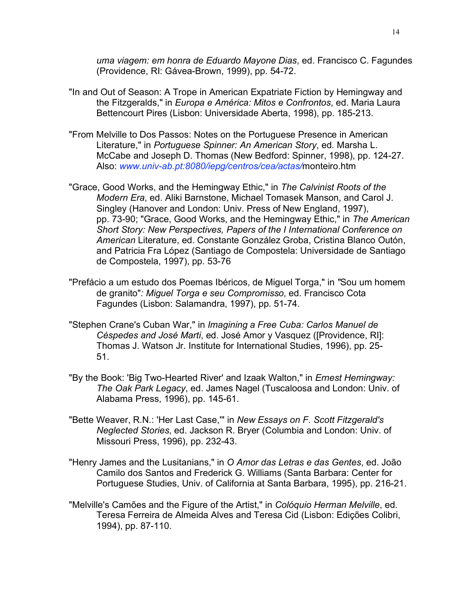*uma viagem: em honra de Eduardo Mayone Dias*, ed. Francisco C. Fagundes (Providence, RI: Gávea-Brown, 1999), pp. 54-72.

- "In and Out of Season: A Trope in American Expatriate Fiction by Hemingway and the Fitzgeralds," in *Europa e América: Mitos e Confrontos*, ed. Maria Laura Bettencourt Pires (Lisbon: Universidade Aberta, 1998), pp. 185-213.
- "From Melville to Dos Passos: Notes on the Portuguese Presence in American Literature," in *Portuguese Spinner: An American Story*, ed. Marsha L. McCabe and Joseph D. Thomas (New Bedford: Spinner, 1998), pp. 124-27. Also: *www.univ-ab.pt:8080/iepg/centros/cea/actas/*monteiro.htm
- "Grace, Good Works, and the Hemingway Ethic," in *The Calvinist Roots of the Modern Era*, ed. Aliki Barnstone, Michael Tomasek Manson, and Carol J. Singley (Hanover and London: Univ. Press of New England, 1997), pp. 73-90; "Grace, Good Works, and the Hemingway Ethic," in *The American Short Story: New Perspectives, Papers of the I International Conference on American* Literature, ed. Constante González Groba, Cristina Blanco Outón, and Patricia Fra López (Santiago de Compostela: Universidade de Santiago de Compostela, 1997), pp. 53-76
- "Prefácio a um estudo dos Poemas Ibéricos, de Miguel Torga," in *"*Sou um homem de granito"*: Miguel Torga e seu Compromisso*, ed. Francisco Cota Fagundes (Lisbon: Salamandra, 1997), pp. 51-74.
- "Stephen Crane's Cuban War," in *Imagining a Free Cuba: Carlos Manuel de Céspedes and José Marti*, ed. José Amor y Vasquez ([Providence, RI]: Thomas J. Watson Jr. Institute for International Studies, 1996), pp. 25- 51.
- "By the Book: 'Big Two-Hearted River' and Izaak Walton," in *Ernest Hemingway: The Oak Park Legacy*, ed. James Nagel (Tuscaloosa and London: Univ. of Alabama Press, 1996), pp. 145-61.
- "Bette Weaver, R.N.: 'Her Last Case,'" in *New Essays on F. Scott Fitzgerald's Neglected Stories*, ed. Jackson R. Bryer (Columbia and London: Univ. of Missouri Press, 1996), pp. 232-43.
- "Henry James and the Lusitanians," in *O Amor das Letras e das Gentes*, ed. João Camilo dos Santos and Frederick G. Williams (Santa Barbara: Center for Portuguese Studies, Univ. of California at Santa Barbara, 1995), pp. 216-21.
- "Melville's Camões and the Figure of the Artist," in *Colóquio Herman Melville*, ed. Teresa Ferreira de Almeida Alves and Teresa Cid (Lisbon: Edições Colibri, 1994), pp. 87-110.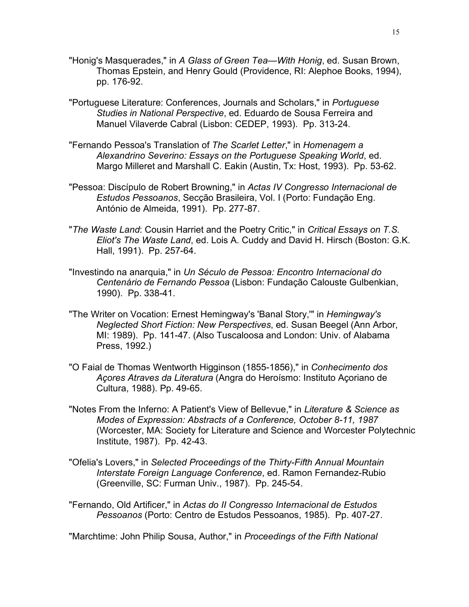- "Honig's Masquerades," in *A Glass of Green Tea—With Honig*, ed. Susan Brown, Thomas Epstein, and Henry Gould (Providence, RI: Alephoe Books, 1994), pp. 176-92.
- "Portuguese Literature: Conferences, Journals and Scholars," in *Portuguese Studies in National Perspective*, ed. Eduardo de Sousa Ferreira and Manuel Vilaverde Cabral (Lisbon: CEDEP, 1993). Pp. 313-24.
- "Fernando Pessoa's Translation of *The Scarlet Letter*," in *Homenagem a Alexandrino Severino: Essays on the Portuguese Speaking World*, ed. Margo Milleret and Marshall C. Eakin (Austin, Tx: Host, 1993). Pp. 53-62.
- "Pessoa: Discípulo de Robert Browning," in *Actas IV Congresso Internacional de Estudos Pessoanos*, Secção Brasileira, Vol. I (Porto: Fundação Eng. António de Almeida, 1991). Pp. 277-87.
- "*The Waste Land*: Cousin Harriet and the Poetry Critic," in *Critical Essays on T.S. Eliot's The Waste Land*, ed. Lois A. Cuddy and David H. Hirsch (Boston: G.K. Hall, 1991). Pp. 257-64.
- "Investindo na anarquia," in *Un Século de Pessoa: Encontro Internacional do Centenário de Fernando Pessoa* (Lisbon: Fundação Calouste Gulbenkian, 1990). Pp. 338-41.
- "The Writer on Vocation: Ernest Hemingway's 'Banal Story,'" in *Hemingway's Neglected Short Fiction: New Perspectives*, ed. Susan Beegel (Ann Arbor, MI: 1989). Pp. 141-47. (Also Tuscaloosa and London: Univ. of Alabama Press, 1992.)
- "O Faial de Thomas Wentworth Higginson (1855-1856)," in *Conhecimento dos Açores Atraves da Literatura* (Angra do Heroísmo: Instituto Açoriano de Cultura, 1988). Pp. 49-65.
- "Notes From the Inferno: A Patient's View of Bellevue," in *Literature & Science as Modes of Expression: Abstracts of a Conference, October 8-11, 1987* (Worcester, MA: Society for Literature and Science and Worcester Polytechnic Institute, 1987). Pp. 42-43.
- "Ofelia's Lovers," in *Selected Proceedings of the Thirty-Fifth Annual Mountain Interstate Foreign Language Conference*, ed. Ramon Fernandez-Rubio (Greenville, SC: Furman Univ., 1987). Pp. 245-54.
- "Fernando, Old Artificer," in *Actas do II Congresso Internacional de Estudos Pessoanos* (Porto: Centro de Estudos Pessoanos, 1985). Pp. 407-27.

"Marchtime: John Philip Sousa, Author," in *Proceedings of the Fifth National*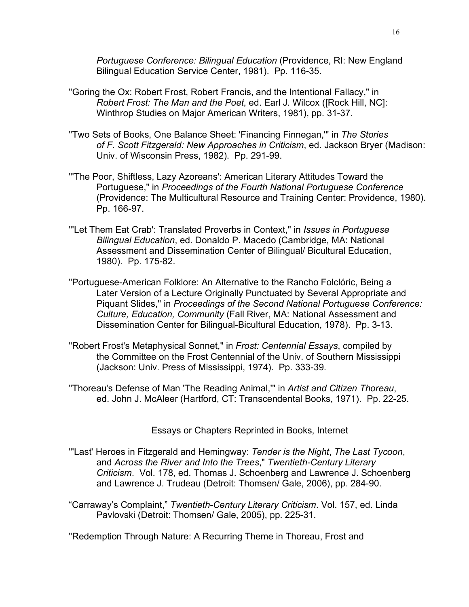*Portuguese Conference: Bilingual Education* (Providence, RI: New England Bilingual Education Service Center, 1981). Pp. 116-35.

- "Goring the Ox: Robert Frost, Robert Francis, and the Intentional Fallacy," in *Robert Frost: The Man and the Poet*, ed. Earl J. Wilcox ([Rock Hill, NC]: Winthrop Studies on Major American Writers, 1981), pp. 31-37.
- "Two Sets of Books, One Balance Sheet: 'Financing Finnegan,'" in *The Stories of F. Scott Fitzgerald: New Approaches in Criticism*, ed. Jackson Bryer (Madison: Univ. of Wisconsin Press, 1982). Pp. 291-99.
- "'The Poor, Shiftless, Lazy Azoreans': American Literary Attitudes Toward the Portuguese," in *Proceedings of the Fourth National Portuguese Conference* (Providence: The Multicultural Resource and Training Center: Providence, 1980). Pp. 166-97.
- "'Let Them Eat Crab': Translated Proverbs in Context," in *Issues in Portuguese Bilingual Education*, ed. Donaldo P. Macedo (Cambridge, MA: National Assessment and Dissemination Center of Bilingual/ Bicultural Education, 1980). Pp. 175-82.
- "Portuguese-American Folklore: An Alternative to the Rancho Folclóric, Being a Later Version of a Lecture Originally Punctuated by Several Appropriate and Piquant Slides," in *Proceedings of the Second National Portuguese Conference: Culture, Education, Community* (Fall River, MA: National Assessment and Dissemination Center for Bilingual-Bicultural Education, 1978). Pp. 3-13.
- "Robert Frost's Metaphysical Sonnet," in *Frost: Centennial Essays*, compiled by the Committee on the Frost Centennial of the Univ. of Southern Mississippi (Jackson: Univ. Press of Mississippi, 1974). Pp. 333-39.
- "Thoreau's Defense of Man 'The Reading Animal,'" in *Artist and Citizen Thoreau*, ed. John J. McAleer (Hartford, CT: Transcendental Books, 1971). Pp. 22-25.

Essays or Chapters Reprinted in Books, Internet

- "'Last' Heroes in Fitzgerald and Hemingway: *Tender is the Night*, *The Last Tycoon*, and *Across the River and Into the Trees*," *Twentieth-Century Literary Criticism*. Vol. 178, ed. Thomas J. Schoenberg and Lawrence J. Schoenberg and Lawrence J. Trudeau (Detroit: Thomsen/ Gale, 2006), pp. 284-90.
- "Carraway's Complaint," *Twentieth-Century Literary Criticism*. Vol. 157, ed. Linda Pavlovski (Detroit: Thomsen/ Gale, 2005), pp. 225-31.

"Redemption Through Nature: A Recurring Theme in Thoreau, Frost and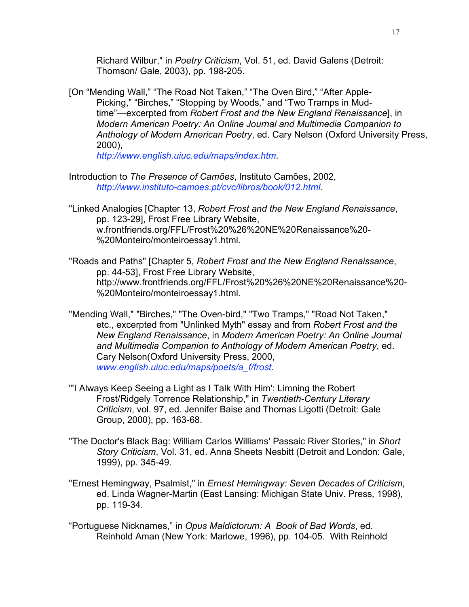Richard Wilbur," in *Poetry Criticism*, Vol. 51, ed. David Galens (Detroit: Thomson/ Gale, 2003), pp. 198-205.

[On "Mending Wall," "The Road Not Taken," "The Oven Bird," "After Apple-Picking," "Birches," "Stopping by Woods," and "Two Tramps in Mudtime"—excerpted from *Robert Frost and the New England Renaissance*], in *Modern American Poetry: An Online Journal and Multimedia Companion to Anthology of Modern American Poetry*, ed. Cary Nelson (Oxford University Press, 2000),

*http://www.english.uiuc.edu/maps/index.htm*.

- Introduction to *The Presence of Camões*, Instituto Camões, 2002, *http://www.instituto-camoes.pt/cvc/libros/book/012.html*.
- "Linked Analogies [Chapter 13, *Robert Frost and the New England Renaissance*, pp. 123-29], Frost Free Library Website, w.frontfriends.org/FFL/Frost%20%26%20NE%20Renaissance%20- %20Monteiro/monteiroessay1.html.
- "Roads and Paths" [Chapter 5, *Robert Frost and the New England Renaissance*, pp. 44-53], Frost Free Library Website, http://www.frontfriends.org/FFL/Frost%20%26%20NE%20Renaissance%20- %20Monteiro/monteiroessay1.html.
- "Mending Wall," "Birches," "The Oven-bird," "Two Tramps," "Road Not Taken," etc., excerpted from "Unlinked Myth" essay and from *Robert Frost and the New England Renaissance*, in *Modern American Poetry: An Online Journal and Multimedia Companion to Anthology of Modern American Poetry*, ed. Cary Nelson(Oxford University Press, 2000, *www.english.uiuc.edu/maps/poets/a\_f/frost*.
- "'I Always Keep Seeing a Light as I Talk With Him': Limning the Robert Frost/Ridgely Torrence Relationship," in *Twentieth-Century Literary Criticism*, vol. 97, ed. Jennifer Baise and Thomas Ligotti (Detroit: Gale Group, 2000), pp. 163-68.
- "The Doctor's Black Bag: William Carlos Williams' Passaic River Stories," in *Short Story Criticism*, Vol. 31, ed. Anna Sheets Nesbitt (Detroit and London: Gale, 1999), pp. 345-49.
- "Ernest Hemingway, Psalmist," in *Ernest Hemingway: Seven Decades of Criticism*, ed. Linda Wagner-Martin (East Lansing: Michigan State Univ. Press, 1998), pp. 119-34.
- "Portuguese Nicknames," in *Opus Maldictorum: A Book of Bad Words*, ed. Reinhold Aman (New York: Marlowe, 1996), pp. 104-05. With Reinhold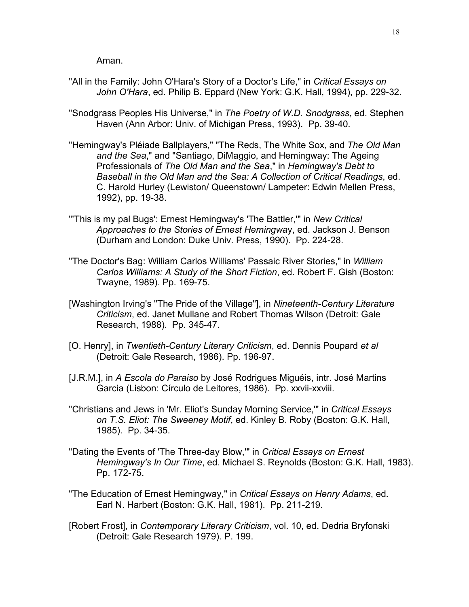Aman.

- "All in the Family: John O'Hara's Story of a Doctor's Life," in *Critical Essays on John O'Hara*, ed. Philip B. Eppard (New York: G.K. Hall, 1994), pp. 229-32.
- "Snodgrass Peoples His Universe," in *The Poetry of W.D. Snodgrass*, ed. Stephen Haven (Ann Arbor: Univ. of Michigan Press, 1993). Pp. 39-40.
- "Hemingway's Pléiade Ballplayers," "The Reds, The White Sox, and *The Old Man and the Sea*," and "Santiago, DiMaggio, and Hemingway: The Ageing Professionals of *The Old Man and the Sea*," in *Hemingway's Debt to Baseball in the Old Man and the Sea: A Collection of Critical Readings*, ed. C. Harold Hurley (Lewiston/ Queenstown/ Lampeter: Edwin Mellen Press, 1992), pp. 19-38.
- "'This is my pal Bugs': Ernest Hemingway's 'The Battler,'" in *New Critical Approaches to the Stories of Ernest Hemingwa*y, ed. Jackson J. Benson (Durham and London: Duke Univ. Press, 1990). Pp. 224-28.
- "The Doctor's Bag: William Carlos Williams' Passaic River Stories," in *William Carlos Williams: A Study of the Short Fiction*, ed. Robert F. Gish (Boston: Twayne, 1989). Pp. 169-75.
- [Washington Irving's "The Pride of the Village"], in *Nineteenth-Century Literature Criticism*, ed. Janet Mullane and Robert Thomas Wilson (Detroit: Gale Research, 1988). Pp. 345-47.
- [O. Henry], in *Twentieth-Century Literary Criticism*, ed. Dennis Poupard *et al* (Detroit: Gale Research, 1986). Pp. 196-97.
- [J.R.M.], in *A Escola do Paraiso* by José Rodrigues Miguéis, intr. José Martins Garcia (Lisbon: Círculo de Leitores, 1986). Pp. xxvii-xxviii.
- "Christians and Jews in 'Mr. Eliot's Sunday Morning Service,'" in *Critical Essays on T.S. Eliot: The Sweeney Motif*, ed. Kinley B. Roby (Boston: G.K. Hall, 1985). Pp. 34-35.
- "Dating the Events of 'The Three-day Blow,'" in *Critical Essays on Ernest Hemingway's In Our Time*, ed. Michael S. Reynolds (Boston: G.K. Hall, 1983). Pp. 172-75.
- "The Education of Ernest Hemingway," in *Critical Essays on Henry Adams*, ed. Earl N. Harbert (Boston: G.K. Hall, 1981). Pp. 211-219.
- [Robert Frost], in *Contemporary Literary Criticism*, vol. 10, ed. Dedria Bryfonski (Detroit: Gale Research 1979). P. 199.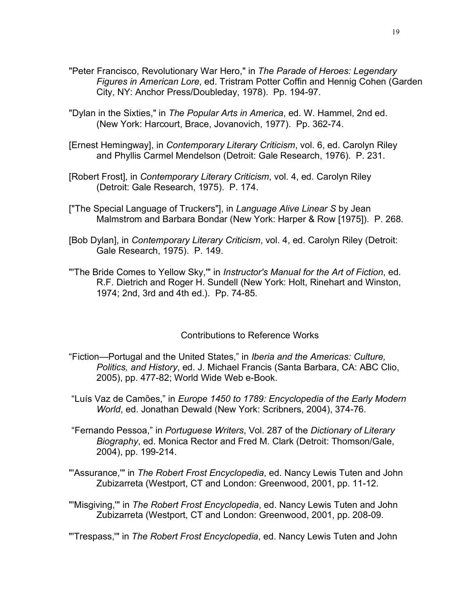- "Peter Francisco, Revolutionary War Hero," in *The Parade of Heroes: Legendary Figures in American Lore*, ed. Tristram Potter Coffin and Hennig Cohen (Garden City, NY: Anchor Press/Doubleday, 1978). Pp. 194-97.
- "Dylan in the Sixties," in *The Popular Arts in America*, ed. W. Hammel, 2nd ed. (New York: Harcourt, Brace, Jovanovich, 1977). Pp. 362-74.
- [Ernest Hemingway], in *Contemporary Literary Criticism*, vol. 6, ed. Carolyn Riley and Phyllis Carmel Mendelson (Detroit: Gale Research, 1976). P. 231.
- [Robert Frost], in *Contemporary Literary Criticism*, vol. 4, ed. Carolyn Riley (Detroit: Gale Research, 1975). P. 174.
- ["The Special Language of Truckers"], in *Language Alive Linear S* by Jean Malmstrom and Barbara Bondar (New York: Harper & Row [1975]). P. 268.
- [Bob Dylan], in *Contemporary Literary Criticism*, vol. 4, ed. Carolyn Riley (Detroit: Gale Research, 1975). P. 149.
- "'The Bride Comes to Yellow Sky,'" in *Instructor's Manual for the Art of Fiction*, ed. R.F. Dietrich and Roger H. Sundell (New York: Holt, Rinehart and Winston, 1974; 2nd, 3rd and 4th ed.). Pp. 74-85.

## Contributions to Reference Works

- "Fiction—Portugal and the United States," in *Iberia and the Americas: Culture, Politics, and History*, ed. J. Michael Francis (Santa Barbara, CA: ABC Clio, 2005), pp. 477-82; World Wide Web e-Book.
- "Luís Vaz de Camões," in *Europe 1450 to 1789: Encyclopedia of the Early Modern World*, ed. Jonathan Dewald (New York: Scribners, 2004), 374-76.
- "Fernando Pessoa," in *Portuguese Writers*, Vol. 287 of the *Dictionary of Literary Biography*, ed. Monica Rector and Fred M. Clark (Detroit: Thomson/Gale, 2004), pp. 199-214.
- "'Assurance,'" in *The Robert Frost Encyclopedia*, ed. Nancy Lewis Tuten and John Zubizarreta (Westport, CT and London: Greenwood, 2001, pp. 11-12.
- "'Misgiving,'" in *The Robert Frost Encyclopedia*, ed. Nancy Lewis Tuten and John Zubizarreta (Westport, CT and London: Greenwood, 2001, pp. 208-09.

"'Trespass,'" in *The Robert Frost Encyclopedia*, ed. Nancy Lewis Tuten and John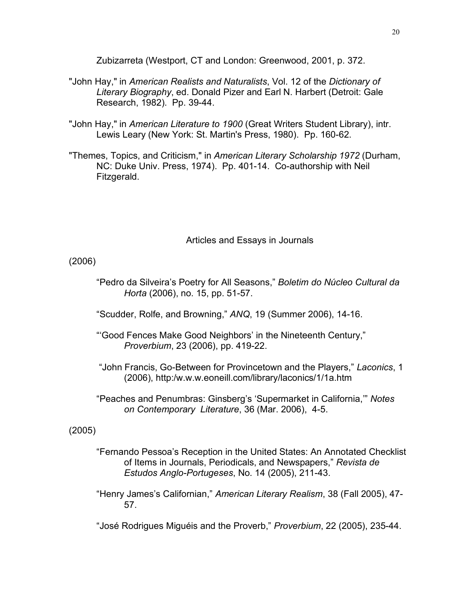Zubizarreta (Westport, CT and London: Greenwood, 2001, p. 372.

- "John Hay," in *American Realists and Naturalists*, Vol. 12 of the *Dictionary of Literary Biography*, ed. Donald Pizer and Earl N. Harbert (Detroit: Gale Research, 1982). Pp. 39-44.
- "John Hay," in *American Literature to 1900* (Great Writers Student Library), intr. Lewis Leary (New York: St. Martin's Press, 1980). Pp. 160-62.
- "Themes, Topics, and Criticism," in *American Literary Scholarship 1972* (Durham, NC: Duke Univ. Press, 1974). Pp. 401-14. Co-authorship with Neil Fitzgerald.

Articles and Essays in Journals

(2006)

- "Pedro da Silveira's Poetry for All Seasons," *Boletim do Núcleo Cultural da Horta* (2006), no. 15, pp. 51-57.
- "Scudder, Rolfe, and Browning," *ANQ*, 19 (Summer 2006), 14-16.
- "'Good Fences Make Good Neighbors' in the Nineteenth Century," *Proverbium*, 23 (2006), pp. 419-22.
- "John Francis, Go-Between for Provincetown and the Players," *Laconics*, 1 (2006), http:/w.w.w.eoneill.com/library/laconics/1/1a.htm
- "Peaches and Penumbras: Ginsberg's 'Supermarket in California,'" *Notes on Contemporary Literature*, 36 (Mar. 2006), 4-5.

(2005)

- "Fernando Pessoa's Reception in the United States: An Annotated Checklist of Items in Journals, Periodicals, and Newspapers," *Revista de Estudos Anglo-Portugeses*, No. 14 (2005), 211-43.
- "Henry James's Californian," *American Literary Realism*, 38 (Fall 2005), 47- 57.
- "José Rodrigues Miguéis and the Proverb," *Proverbium*, 22 (2005), 235-44.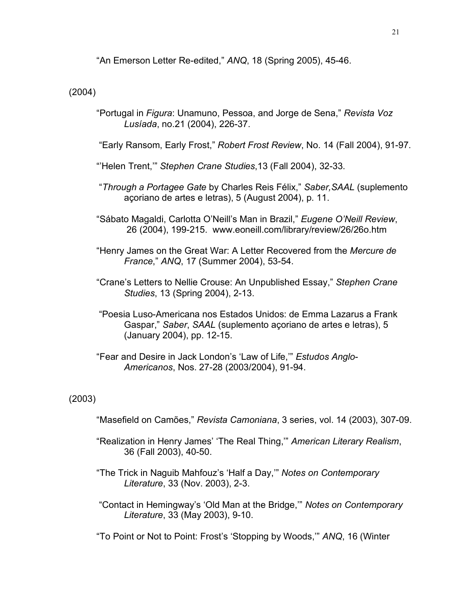"An Emerson Letter Re-edited," *ANQ*, 18 (Spring 2005), 45-46.

(2004)

"Portugal in *Figura*: Unamuno, Pessoa, and Jorge de Sena," *Revista Voz Lusíada*, no.21 (2004), 226-37.

"Early Ransom, Early Frost," *Robert Frost Review*, No. 14 (Fall 2004), 91-97.

- "'Helen Trent,'" *Stephen Crane Studies*,13 (Fall 2004), 32-33.
- "*Through a Portagee Gate* by Charles Reis Félix," *Saber,SAAL* (suplemento açoriano de artes e letras), 5 (August 2004), p. 11.
- "Sábato Magaldi, Carlotta O'Neill's Man in Brazil," *Eugene O'Neill Review*, 26 (2004), 199-215. www.eoneill.com/library/review/26/26o.htm
- "Henry James on the Great War: A Letter Recovered from the *Mercure de France*," *ANQ*, 17 (Summer 2004), 53-54.
- "Crane's Letters to Nellie Crouse: An Unpublished Essay," *Stephen Crane Studies*, 13 (Spring 2004), 2-13.
- "Poesia Luso-Americana nos Estados Unidos: de Emma Lazarus a Frank Gaspar," *Saber*, *SAAL* (suplemento açoriano de artes e letras), 5 (January 2004), pp. 12-15.
- "Fear and Desire in Jack London's 'Law of Life,'" *Estudos Anglo-Americanos*, Nos. 27-28 (2003/2004), 91-94.

# (2003)

- "Masefield on Camões," *Revista Camoniana*, 3 series, vol. 14 (2003), 307-09.
- "Realization in Henry James' 'The Real Thing,'" *American Literary Realism*, 36 (Fall 2003), 40-50.
- "The Trick in Naguib Mahfouz's 'Half a Day,'" *Notes on Contemporary Literature*, 33 (Nov. 2003), 2-3.
- "Contact in Hemingway's 'Old Man at the Bridge,'" *Notes on Contemporary Literature*, 33 (May 2003), 9-10.
- "To Point or Not to Point: Frost's 'Stopping by Woods,'" *ANQ*, 16 (Winter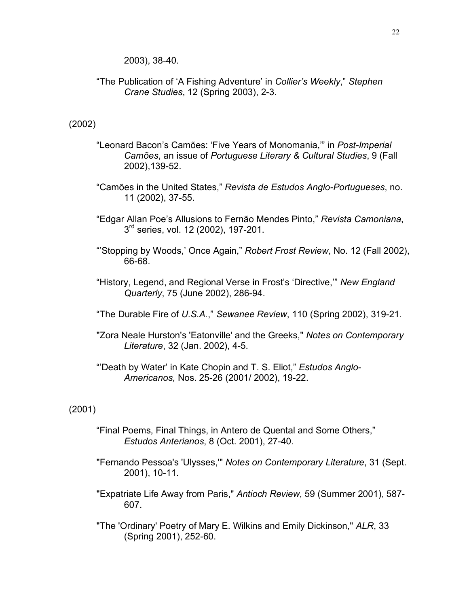2003), 38-40.

"The Publication of 'A Fishing Adventure' in *Collier's Weekly*," *Stephen Crane Studies*, 12 (Spring 2003), 2-3.

# (2002)

- "Leonard Bacon's Camões: 'Five Years of Monomania,'" in *Post-Imperial Camões*, an issue of *Portuguese Literary & Cultural Studies*, 9 (Fall 2002),139-52.
- "Camões in the United States," *Revista de Estudos Anglo-Portugueses*, no. 11 (2002), 37-55.
- "Edgar Allan Poe's Allusions to Fernão Mendes Pinto," *Revista Camoniana*, 3<sup>rd</sup> series, vol. 12 (2002), 197-201.
- "'Stopping by Woods,' Once Again," *Robert Frost Review*, No. 12 (Fall 2002), 66-68.
- "History, Legend, and Regional Verse in Frost's 'Directive,'" *New England Quarterly*, 75 (June 2002), 286-94.
- "The Durable Fire of *U.S.A.*," *Sewanee Review*, 110 (Spring 2002), 319-21.
- "Zora Neale Hurston's 'Eatonville' and the Greeks," *Notes on Contemporary Literature*, 32 (Jan. 2002), 4-5.
- "'Death by Water' in Kate Chopin and T. S. Eliot," *Estudos Anglo-Americanos,* Nos. 25-26 (2001/ 2002), 19-22.

# (2001)

- "Final Poems, Final Things, in Antero de Quental and Some Others," *Estudos Anterianos*, 8 (Oct. 2001), 27-40.
- "Fernando Pessoa's 'Ulysses,'" *Notes on Contemporary Literature*, 31 (Sept. 2001), 10-11.
- "Expatriate Life Away from Paris," *Antioch Review*, 59 (Summer 2001), 587- 607.
- "The 'Ordinary' Poetry of Mary E. Wilkins and Emily Dickinson," *ALR*, 33 (Spring 2001), 252-60.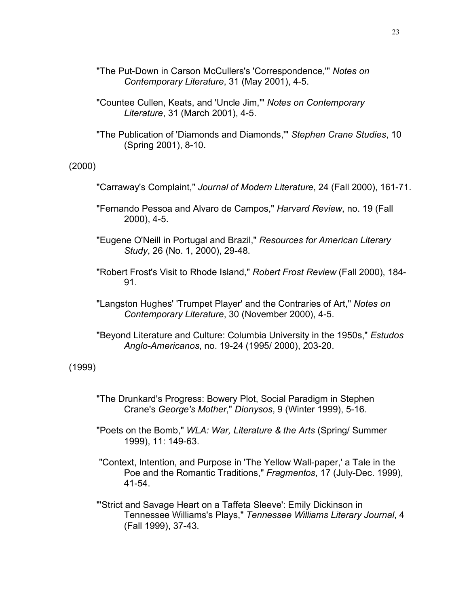- "The Put-Down in Carson McCullers's 'Correspondence,'" *Notes on Contemporary Literature*, 31 (May 2001), 4-5.
- "Countee Cullen, Keats, and 'Uncle Jim,'" *Notes on Contemporary Literature*, 31 (March 2001), 4-5.
- "The Publication of 'Diamonds and Diamonds,'" *Stephen Crane Studies*, 10 (Spring 2001), 8-10.

#### (2000)

- "Carraway's Complaint," *Journal of Modern Literature*, 24 (Fall 2000), 161-71.
- "Fernando Pessoa and Alvaro de Campos," *Harvard Review*, no. 19 (Fall 2000), 4-5.
- "Eugene O'Neill in Portugal and Brazil," *Resources for American Literary Study*, 26 (No. 1, 2000), 29-48.
- "Robert Frost's Visit to Rhode Island," *Robert Frost Review* (Fall 2000), 184- 91.
- "Langston Hughes' 'Trumpet Player' and the Contraries of Art," *Notes on Contemporary Literature*, 30 (November 2000), 4-5.
- "Beyond Literature and Culture: Columbia University in the 1950s," *Estudos Anglo-Americanos*, no. 19-24 (1995/ 2000), 203-20.

## (1999)

- "The Drunkard's Progress: Bowery Plot, Social Paradigm in Stephen Crane's *George's Mother*," *Dionysos*, 9 (Winter 1999), 5-16.
- "Poets on the Bomb," *WLA: War, Literature & the Arts* (Spring/ Summer 1999), 11: 149-63.
- "Context, Intention, and Purpose in 'The Yellow Wall-paper,' a Tale in the Poe and the Romantic Traditions," *Fragmentos*, 17 (July-Dec. 1999), 41-54.
- "'Strict and Savage Heart on a Taffeta Sleeve': Emily Dickinson in Tennessee Williams's Plays," *Tennessee Williams Literary Journal*, 4 (Fall 1999), 37-43.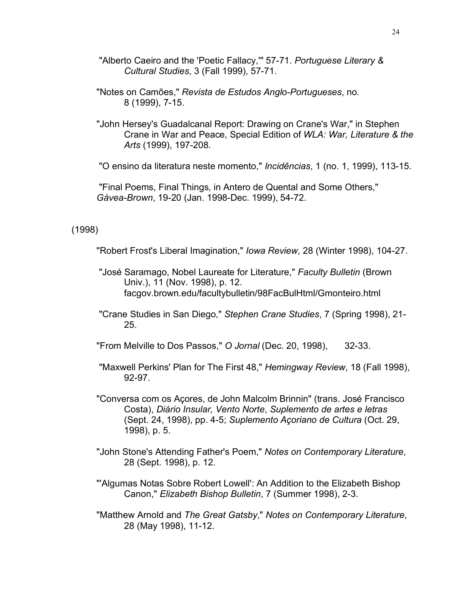- "Alberto Caeiro and the 'Poetic Fallacy,'" 57-71. *Portuguese Literary & Cultural Studies*, 3 (Fall 1999), 57-71.
- "Notes on Camões," *Revista de Estudos Anglo-Portugueses*, no. 8 (1999), 7-15.
- "John Hersey's Guadalcanal Report: Drawing on Crane's War," in Stephen Crane in War and Peace, Special Edition of *WLA: War, Literature & the Arts* (1999), 197-208.

"O ensino da literatura neste momento," *Incidências*, 1 (no. 1, 1999), 113-15.

"Final Poems, Final Things, in Antero de Quental and Some Others," *Gávea-Brown*, 19-20 (Jan. 1998-Dec. 1999), 54-72.

(1998)

"Robert Frost's Liberal Imagination," *Iowa Review*, 28 (Winter 1998), 104-27.

- "José Saramago, Nobel Laureate for Literature," *Faculty Bulletin* (Brown Univ.), 11 (Nov. 1998), p. 12. facgov.brown.edu/facultybulletin/98FacBulHtml/Gmonteiro.html
- "Crane Studies in San Diego," *Stephen Crane Studies*, 7 (Spring 1998), 21- 25.

"From Melville to Dos Passos," *O Jornal* (Dec. 20, 1998), 32-33.

- "Maxwell Perkins' Plan for The First 48," *Hemingway Review*, 18 (Fall 1998), 92-97.
- "Conversa com os Açores, de John Malcolm Brinnin" (trans. José Francisco Costa), *Diário Insular, Vento Norte*, *Suplemento de artes e letras* (Sept. 24, 1998), pp. 4-5; *Suplemento Açoriano de Cultura* (Oct. 29, 1998), p. 5.
- "John Stone's Attending Father's Poem," *Notes on Contemporary Literature*, 28 (Sept. 1998), p. 12.
- "'Algumas Notas Sobre Robert Lowell': An Addition to the Elizabeth Bishop Canon," *Elizabeth Bishop Bulletin*, 7 (Summer 1998), 2-3.
- "Matthew Arnold and *The Great Gatsby*," *Notes on Contemporary Literature*, 28 (May 1998), 11-12.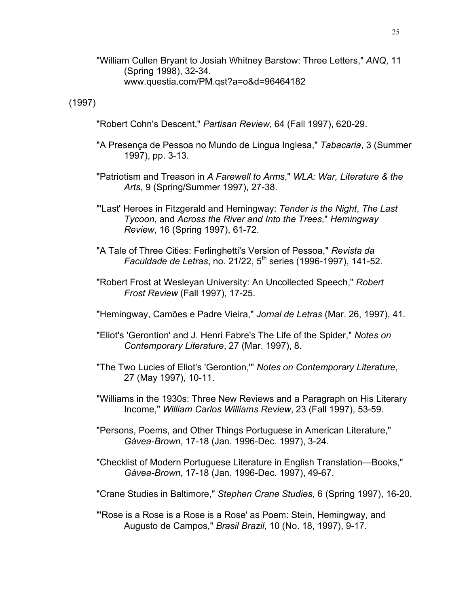"William Cullen Bryant to Josiah Whitney Barstow: Three Letters," *ANQ*, 11 (Spring 1998), 32-34. www.questia.com/PM.qst?a=o&d=96464182

(1997)

"Robert Cohn's Descent," *Partisan Review*, 64 (Fall 1997), 620-29.

- "A Presença de Pessoa no Mundo de Lingua Inglesa," *Tabacaria*, 3 (Summer 1997), pp. 3-13.
- "Patriotism and Treason in *A Farewell to Arms*," *WLA: War, Literature & the Arts*, 9 (Spring/Summer 1997), 27-38.
- "'Last' Heroes in Fitzgerald and Hemingway: *Tender is the Night*, *The Last Tycoon*, and *Across the River and Into the Trees*," *Hemingway Review*, 16 (Spring 1997), 61-72.
- "A Tale of Three Cities: Ferlinghetti's Version of Pessoa," *Revista da Faculdade de Letras*, no. 21/22, 5th series (1996-1997), 141-52.
- "Robert Frost at Wesleyan University: An Uncollected Speech," *Robert Frost Review* (Fall 1997), 17-25.
- "Hemingway, Camões e Padre Vieira," *Jornal de Letras* (Mar. 26, 1997), 41.
- "Eliot's 'Gerontion' and J. Henri Fabre's The Life of the Spider," *Notes on Contemporary Literature*, 27 (Mar. 1997), 8.
- "The Two Lucies of Eliot's 'Gerontion,'" *Notes on Contemporary Literature*, 27 (May 1997), 10-11.
- "Williams in the 1930s: Three New Reviews and a Paragraph on His Literary Income," *William Carlos Williams Review*, 23 (Fall 1997), 53-59.
- "Persons, Poems, and Other Things Portuguese in American Literature," *Gávea-Brown*, 17-18 (Jan. 1996-Dec. 1997), 3-24.
- "Checklist of Modern Portuguese Literature in English Translation—Books," *Gávea-Brown*, 17-18 (Jan. 1996-Dec. 1997), 49-67.

"Crane Studies in Baltimore," *Stephen Crane Studies*, 6 (Spring 1997), 16-20.

"'Rose is a Rose is a Rose is a Rose' as Poem: Stein, Hemingway, and Augusto de Campos," *Brasil Brazil*, 10 (No. 18, 1997), 9-17.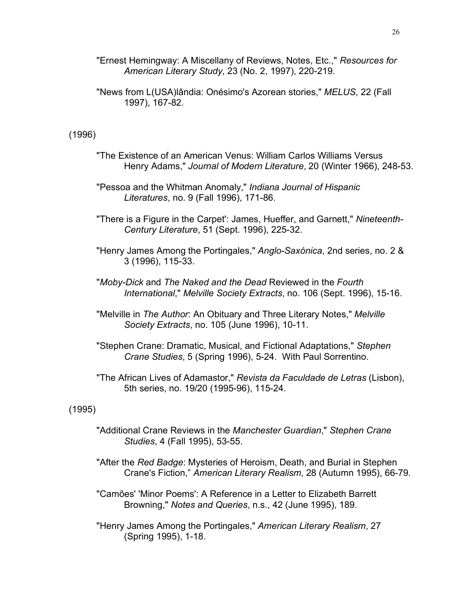"Ernest Hemingway: A Miscellany of Reviews, Notes, Etc.," *Resources for American Literary Study*, 23 (No. 2, 1997), 220-219.

"News from L(USA)lândia: Onésimo's Azorean stories," *MELUS*, 22 (Fall 1997), 167-82.

## (1996)

- "The Existence of an American Venus: William Carlos Williams Versus Henry Adams," *Journal of Modern Literature*, 20 (Winter 1966), 248-53.
- "Pessoa and the Whitman Anomaly," *Indiana Journal of Hispanic Literatures*, no. 9 (Fall 1996), 171-86.
- "There is a Figure in the Carpet': James, Hueffer, and Garnett," *Nineteenth-Century Literature*, 51 (Sept. 1996), 225-32.
- "Henry James Among the Portingales," *Anglo-Saxónica*, 2nd series, no. 2 & 3 (1996), 115-33.
- "*Moby-Dick* and *The Naked and the Dead* Reviewed in the *Fourth International*," *Melville Society Extracts*, no. 106 (Sept. 1996), 15-16.
- "Melville in *The Author*: An Obituary and Three Literary Notes," *Melville Society Extracts*, no. 105 (June 1996), 10-11.
- "Stephen Crane: Dramatic, Musical, and Fictional Adaptations," *Stephen Crane Studies*, 5 (Spring 1996), 5-24. With Paul Sorrentino.
- "The African Lives of Adamastor," *Revista da Faculdade de Letras* (Lisbon), 5th series, no. 19/20 (1995-96), 115-24.

## (1995)

- "Additional Crane Reviews in the *Manchester Guardian*," *Stephen Crane Studies*, 4 (Fall 1995), 53-55.
- "After the *Red Badge*: Mysteries of Heroism, Death, and Burial in Stephen Crane's Fiction," *American Literary Realism*, 28 (Autumn 1995), 66-79.
- "Camões' 'Minor Poems': A Reference in a Letter to Elizabeth Barrett Browning," *Notes and Queries*, n.s., 42 (June 1995), 189.
- "Henry James Among the Portingales," *American Literary Realism*, 27 (Spring 1995), 1-18.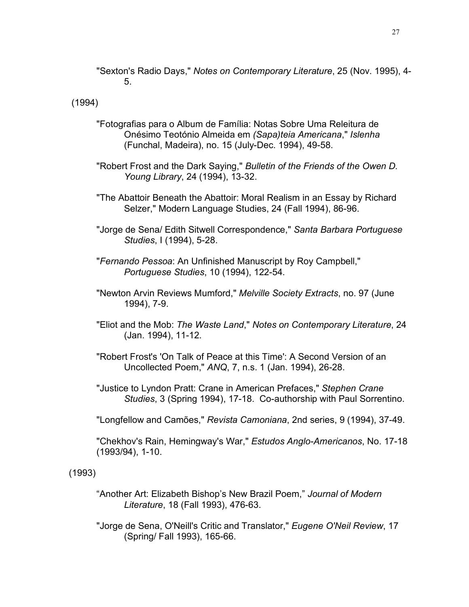"Sexton's Radio Days," *Notes on Contemporary Literature*, 25 (Nov. 1995), 4- 5.

(1994)

- "Fotografias para o Album de Família: Notas Sobre Uma Releitura de Onésimo Teotónio Almeida em *(Sapa)teia Americana*," *Islenha* (Funchal, Madeira), no. 15 (July-Dec. 1994), 49-58.
- "Robert Frost and the Dark Saying," *Bulletin of the Friends of the Owen D. Young Library*, 24 (1994), 13-32.
- "The Abattoir Beneath the Abattoir: Moral Realism in an Essay by Richard Selzer," Modern Language Studies, 24 (Fall 1994), 86-96.
- "Jorge de Sena/ Edith Sitwell Correspondence," *Santa Barbara Portuguese Studies*, I (1994), 5-28.
- "*Fernando Pessoa*: An Unfinished Manuscript by Roy Campbell," *Portuguese Studies*, 10 (1994), 122-54.
- "Newton Arvin Reviews Mumford," *Melville Society Extracts*, no. 97 (June 1994), 7-9.
- "Eliot and the Mob: *The Waste Land*," *Notes on Contemporary Literature*, 24 (Jan. 1994), 11-12.
- "Robert Frost's 'On Talk of Peace at this Time': A Second Version of an Uncollected Poem," *ANQ*, 7, n.s. 1 (Jan. 1994), 26-28.
- "Justice to Lyndon Pratt: Crane in American Prefaces," *Stephen Crane Studies*, 3 (Spring 1994), 17-18. Co-authorship with Paul Sorrentino.
- "Longfellow and Camões," *Revista Camoniana*, 2nd series, 9 (1994), 37-49.

"Chekhov's Rain, Hemingway's War," *Estudos Anglo-Americanos*, No. 17-18 (1993/94), 1-10.

(1993)

- "Another Art: Elizabeth Bishop's New Brazil Poem," *Journal of Modern Literature*, 18 (Fall 1993), 476-63.
- "Jorge de Sena, O'Neill's Critic and Translator," *Eugene O'Neil Review*, 17 (Spring/ Fall 1993), 165-66.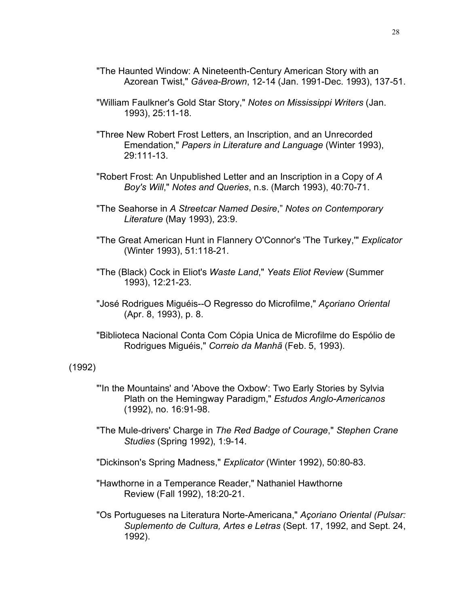- "The Haunted Window: A Nineteenth-Century American Story with an Azorean Twist," *Gávea-Brown*, 12-14 (Jan. 1991-Dec. 1993), 137-51.
- "William Faulkner's Gold Star Story," *Notes on Mississippi Writers* (Jan. 1993), 25:11-18.
- "Three New Robert Frost Letters, an Inscription, and an Unrecorded Emendation," *Papers in Literature and Language* (Winter 1993), 29:111-13.
- "Robert Frost: An Unpublished Letter and an Inscription in a Copy of *A Boy's Will*," *Notes and Queries*, n.s. (March 1993), 40:70-71.
- "The Seahorse in *A Streetcar Named Desire*," *Notes on Contemporary Literature* (May 1993), 23:9.
- "The Great American Hunt in Flannery O'Connor's 'The Turkey,'" *Explicator* (Winter 1993), 51:118-21.
- "The (Black) Cock in Eliot's *Waste Land*," *Yeats Eliot Review* (Summer 1993), 12:21-23.
- "José Rodrigues Miguéis--O Regresso do Microfilme," *Açoriano Oriental* (Apr. 8, 1993), p. 8.
- "Biblioteca Nacional Conta Com Cópia Unica de Microfilme do Espólio de Rodrigues Miguéis," *Correio da Manhã* (Feb. 5, 1993).

#### (1992)

- "'In the Mountains' and 'Above the Oxbow': Two Early Stories by Sylvia Plath on the Hemingway Paradigm," *Estudos Anglo-Americanos* (1992), no. 16:91-98.
- "The Mule-drivers' Charge in *The Red Badge of Courage*," *Stephen Crane Studies* (Spring 1992), 1:9-14.
- "Dickinson's Spring Madness," *Explicator* (Winter 1992), 50:80-83.
- "Hawthorne in a Temperance Reader," Nathaniel Hawthorne Review (Fall 1992), 18:20-21.
- "Os Portugueses na Literatura Norte-Americana," *Açoriano Oriental (Pulsar: Suplemento de Cultura, Artes e Letras* (Sept. 17, 1992, and Sept. 24, 1992).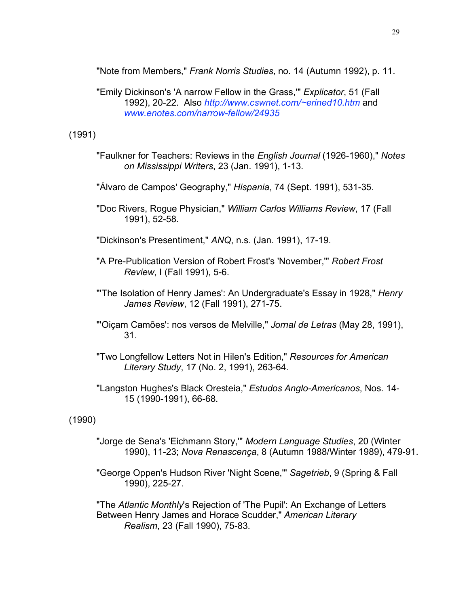"Note from Members," *Frank Norris Studies*, no. 14 (Autumn 1992), p. 11.

"Emily Dickinson's 'A narrow Fellow in the Grass,'" *Explicator*, 51 (Fall 1992), 20-22. Also *http://www.cswnet.com/~erined10.htm* and *www.enotes.com/narrow-fellow/24935*

(1991)

- "Faulkner for Teachers: Reviews in the *English Journal* (1926-1960)," *Notes on Mississippi Writers*, 23 (Jan. 1991), 1-13.
- "Álvaro de Campos' Geography," *Hispania*, 74 (Sept. 1991), 531-35.
- "Doc Rivers, Rogue Physician," *William Carlos Williams Review*, 17 (Fall 1991), 52-58.
- "Dickinson's Presentiment," *ANQ*, n.s. (Jan. 1991), 17-19.
- "A Pre-Publication Version of Robert Frost's 'November,'" *Robert Frost Review*, I (Fall 1991), 5-6.
- "'The Isolation of Henry James': An Undergraduate's Essay in 1928," *Henry James Review*, 12 (Fall 1991), 271-75.
- "'Oiçam Camões': nos versos de Melville," *Jornal de Letras* (May 28, 1991), 31.
- "Two Longfellow Letters Not in Hilen's Edition," *Resources for American Literary Study*, 17 (No. 2, 1991), 263-64.
- "Langston Hughes's Black Oresteia," *Estudos Anglo-Americanos*, Nos. 14- 15 (1990-1991), 66-68.

(1990)

- "Jorge de Sena's 'Eichmann Story,'" *Modern Language Studies*, 20 (Winter 1990), 11-23; *Nova Renascença*, 8 (Autumn 1988/Winter 1989), 479-91.
- "George Oppen's Hudson River 'Night Scene,'" *Sagetrieb*, 9 (Spring & Fall 1990), 225-27.

"The *Atlantic Monthly*'s Rejection of 'The Pupil': An Exchange of Letters Between Henry James and Horace Scudder," *American Literary Realism*, 23 (Fall 1990), 75-83.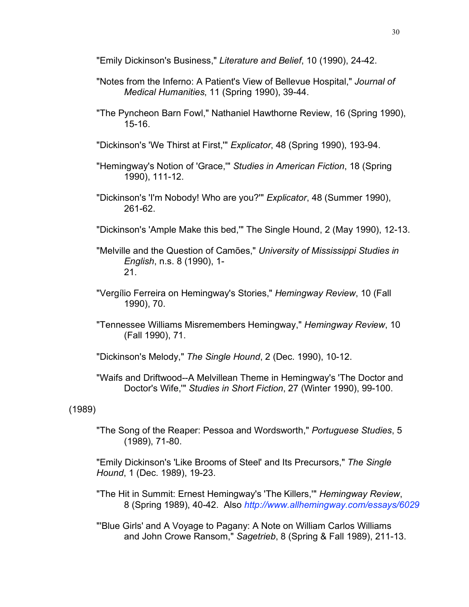"Emily Dickinson's Business," *Literature and Belief*, 10 (1990), 24-42.

- "Notes from the Inferno: A Patient's View of Bellevue Hospital," *Journal of Medical Humanities*, 11 (Spring 1990), 39-44.
- "The Pyncheon Barn Fowl," Nathaniel Hawthorne Review, 16 (Spring 1990), 15-16.
- "Dickinson's 'We Thirst at First,'" *Explicator*, 48 (Spring 1990), 193-94.
- "Hemingway's Notion of 'Grace,'" *Studies in American Fiction*, 18 (Spring 1990), 111-12.
- "Dickinson's 'I'm Nobody! Who are you?'" *Explicator*, 48 (Summer 1990), 261-62.
- "Dickinson's 'Ample Make this bed,'" The Single Hound, 2 (May 1990), 12-13.
- "Melville and the Question of Camões," *University of Mississippi Studies in English*, n.s. 8 (1990), 1- 21.
- "Vergílio Ferreira on Hemingway's Stories," *Hemingway Review*, 10 (Fall 1990), 70.
- "Tennessee Williams Misremembers Hemingway," *Hemingway Review*, 10 (Fall 1990), 71.
- "Dickinson's Melody," *The Single Hound*, 2 (Dec. 1990), 10-12.
- "Waifs and Driftwood--A Melvillean Theme in Hemingway's 'The Doctor and Doctor's Wife,'" *Studies in Short Fiction*, 27 (Winter 1990), 99-100.

# (1989)

"The Song of the Reaper: Pessoa and Wordsworth," *Portuguese Studies*, 5 (1989), 71-80.

"Emily Dickinson's 'Like Brooms of Steel' and Its Precursors," *The Single Hound*, 1 (Dec. 1989), 19-23.

- "The Hit in Summit: Ernest Hemingway's 'The Killers,'" *Hemingway Review*, 8 (Spring 1989), 40-42. Also *http://www.allhemingway.com/essays/6029*
- "'Blue Girls' and A Voyage to Pagany: A Note on William Carlos Williams and John Crowe Ransom," *Sagetrieb*, 8 (Spring & Fall 1989), 211-13.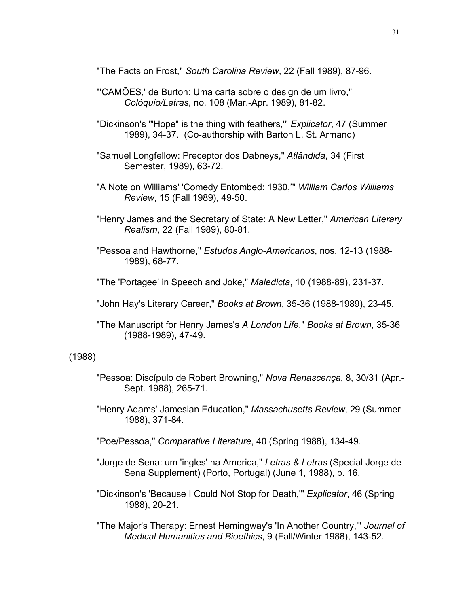"The Facts on Frost," *South Carolina Review*, 22 (Fall 1989), 87-96.

- "'CAMÕES,' de Burton: Uma carta sobre o design de um livro," *Colóquio/Letras*, no. 108 (Mar.-Apr. 1989), 81-82.
- "Dickinson's '"Hope" is the thing with feathers,'" *Explicator*, 47 (Summer 1989), 34-37. (Co-authorship with Barton L. St. Armand)
- "Samuel Longfellow: Preceptor dos Dabneys," *Atlândida*, 34 (First Semester, 1989), 63-72.
- "A Note on Williams' 'Comedy Entombed: 1930,'" *William Carlos Williams Review*, 15 (Fall 1989), 49-50.
- "Henry James and the Secretary of State: A New Letter," *American Literary Realism*, 22 (Fall 1989), 80-81.
- "Pessoa and Hawthorne," *Estudos Anglo-Americanos*, nos. 12-13 (1988- 1989), 68-77.
- "The 'Portagee' in Speech and Joke," *Maledicta*, 10 (1988-89), 231-37.
- "John Hay's Literary Career," *Books at Brown*, 35-36 (1988-1989), 23-45.
- "The Manuscript for Henry James's *A London Life*," *Books at Brown*, 35-36 (1988-1989), 47-49.

#### (1988)

- "Pessoa: Discípulo de Robert Browning," *Nova Renascença*, 8, 30/31 (Apr.- Sept. 1988), 265-71.
- "Henry Adams' Jamesian Education," *Massachusetts Review*, 29 (Summer 1988), 371-84.
- "Poe/Pessoa," *Comparative Literature*, 40 (Spring 1988), 134-49.
- "Jorge de Sena: um 'ingles' na America," *Letras & Letras* (Special Jorge de Sena Supplement) (Porto, Portugal) (June 1, 1988), p. 16.
- "Dickinson's 'Because I Could Not Stop for Death,'" *Explicator*, 46 (Spring 1988), 20-21.
- "The Major's Therapy: Ernest Hemingway's 'In Another Country,'" *Journal of Medical Humanities and Bioethics*, 9 (Fall/Winter 1988), 143-52.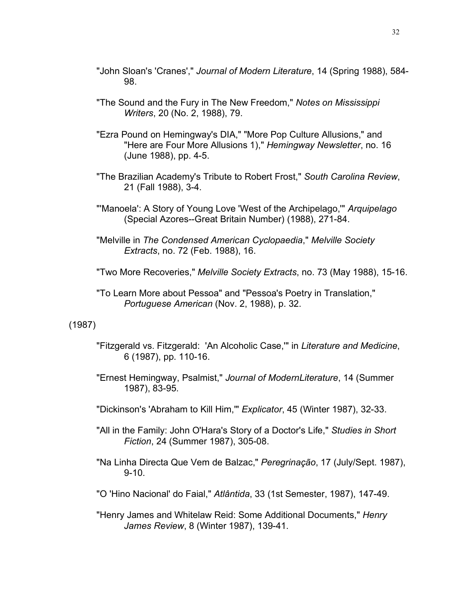- "John Sloan's 'Cranes'," *Journal of Modern Literature*, 14 (Spring 1988), 584- 98.
- "The Sound and the Fury in The New Freedom," *Notes on Mississippi Writers*, 20 (No. 2, 1988), 79.
- "Ezra Pound on Hemingway's DIA," "More Pop Culture Allusions," and "Here are Four More Allusions 1)," *Hemingway Newsletter*, no. 16 (June 1988), pp. 4-5.
- "The Brazilian Academy's Tribute to Robert Frost," *South Carolina Review*, 21 (Fall 1988), 3-4.
- "'Manoela': A Story of Young Love 'West of the Archipelago,'" *Arquipelago* (Special Azores--Great Britain Number) (1988), 271-84.
- "Melville in *The Condensed American Cyclopaedia*," *Melville Society Extracts*, no. 72 (Feb. 1988), 16.
- "Two More Recoveries," *Melville Society Extracts*, no. 73 (May 1988), 15-16.
- "To Learn More about Pessoa" and "Pessoa's Poetry in Translation," *Portuguese American* (Nov. 2, 1988), p. 32.

## (1987)

- "Fitzgerald vs. Fitzgerald: 'An Alcoholic Case,'" in *Literature and Medicine*, 6 (1987), pp. 110-16.
- "Ernest Hemingway, Psalmist," *Journal of ModernLiterature*, 14 (Summer 1987), 83-95.
- "Dickinson's 'Abraham to Kill Him,'" *Explicator*, 45 (Winter 1987), 32-33.
- "All in the Family: John O'Hara's Story of a Doctor's Life," *Studies in Short Fiction*, 24 (Summer 1987), 305-08.
- "Na Linha Directa Que Vem de Balzac," *Peregrinação*, 17 (July/Sept. 1987), 9-10.
- "O 'Hino Nacional' do Faial," *Atlântida*, 33 (1st Semester, 1987), 147-49.
- "Henry James and Whitelaw Reid: Some Additional Documents," *Henry James Review*, 8 (Winter 1987), 139-41.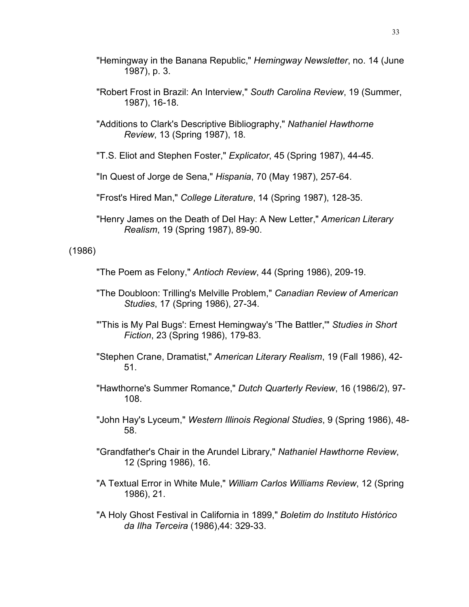- "Hemingway in the Banana Republic," *Hemingway Newsletter*, no. 14 (June 1987), p. 3.
- "Robert Frost in Brazil: An Interview," *South Carolina Review*, 19 (Summer, 1987), 16-18.
- "Additions to Clark's Descriptive Bibliography," *Nathaniel Hawthorne Review*, 13 (Spring 1987), 18.
- "T.S. Eliot and Stephen Foster," *Explicator*, 45 (Spring 1987), 44-45.
- "In Quest of Jorge de Sena," *Hispania*, 70 (May 1987), 257-64.
- "Frost's Hired Man," *College Literature*, 14 (Spring 1987), 128-35.
- "Henry James on the Death of Del Hay: A New Letter," *American Literary Realism*, 19 (Spring 1987), 89-90.

## (1986)

- "The Poem as Felony," *Antioch Review*, 44 (Spring 1986), 209-19.
- "The Doubloon: Trilling's Melville Problem," *Canadian Review of American Studies*, 17 (Spring 1986), 27-34.
- "'This is My Pal Bugs': Ernest Hemingway's 'The Battler,'" *Studies in Short Fiction*, 23 (Spring 1986), 179-83.
- "Stephen Crane, Dramatist," *American Literary Realism*, 19 (Fall 1986), 42- 51.
- "Hawthorne's Summer Romance," *Dutch Quarterly Review*, 16 (1986/2), 97- 108.
- "John Hay's Lyceum," *Western Illinois Regional Studies*, 9 (Spring 1986), 48- 58.
- "Grandfather's Chair in the Arundel Library," *Nathaniel Hawthorne Review*, 12 (Spring 1986), 16.
- "A Textual Error in White Mule," *William Carlos Williams Review*, 12 (Spring 1986), 21.
- "A Holy Ghost Festival in California in 1899," *Boletim do Instituto Histórico da Ilha Terceira* (1986),44: 329-33.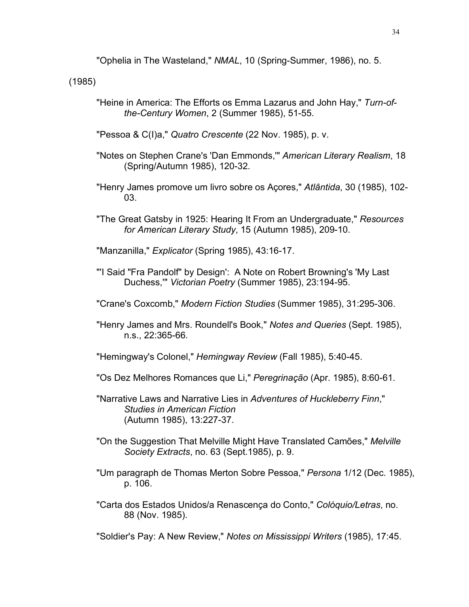"Ophelia in The Wasteland," *NMAL*, 10 (Spring-Summer, 1986), no. 5.

(1985)

"Heine in America: The Efforts os Emma Lazarus and John Hay," *Turn-ofthe-Century Women*, 2 (Summer 1985), 51-55.

"Pessoa & C(I)a," *Quatro Crescente* (22 Nov. 1985), p. v.

- "Notes on Stephen Crane's 'Dan Emmonds,'" *American Literary Realism*, 18 (Spring/Autumn 1985), 120-32.
- "Henry James promove um livro sobre os Açores," *Atlântida*, 30 (1985), 102- 03.
- "The Great Gatsby in 1925: Hearing It From an Undergraduate," *Resources for American Literary Study*, 15 (Autumn 1985), 209-10.

"Manzanilla," *Explicator* (Spring 1985), 43:16-17.

- "'I Said "Fra Pandolf" by Design': A Note on Robert Browning's 'My Last Duchess,'" *Victorian Poetry* (Summer 1985), 23:194-95.
- "Crane's Coxcomb," *Modern Fiction Studies* (Summer 1985), 31:295-306.
- "Henry James and Mrs. Roundell's Book," *Notes and Queries* (Sept. 1985), n.s., 22:365-66.

"Hemingway's Colonel," *Hemingway Review* (Fall 1985), 5:40-45.

- "Os Dez Melhores Romances que Li," *Peregrinação* (Apr. 1985), 8:60-61.
- "Narrative Laws and Narrative Lies in *Adventures of Huckleberry Finn*," *Studies in American Fiction* (Autumn 1985), 13:227-37.
- "On the Suggestion That Melville Might Have Translated Camões," *Melville Society Extracts*, no. 63 (Sept.1985), p. 9.
- "Um paragraph de Thomas Merton Sobre Pessoa," *Persona* 1/12 (Dec. 1985), p. 106.
- "Carta dos Estados Unidos/a Renascença do Conto," *Colóquio/Letras*, no. 88 (Nov. 1985).

"Soldier's Pay: A New Review," *Notes on Mississippi Writers* (1985), 17:45.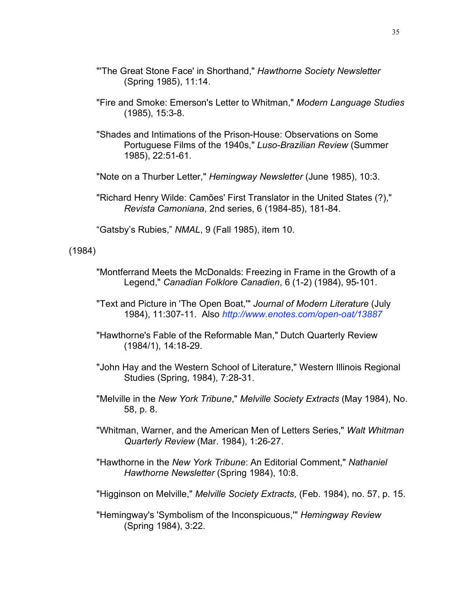- "'The Great Stone Face' in Shorthand," *Hawthorne Society Newsletter* (Spring 1985), 11:14.
- "Fire and Smoke: Emerson's Letter to Whitman," *Modern Language Studies*  (1985), 15:3-8.
- "Shades and Intimations of the Prison-House: Observations on Some Portuguese Films of the 1940s," *Luso-Brazilian Review* (Summer 1985), 22:51-61.
- "Note on a Thurber Letter," *Hemingway Newsletter* (June 1985), 10:3.
- "Richard Henry Wilde: Camões' First Translator in the United States (?)," *Revista Camoniana*, 2nd series, 6 (1984-85), 181-84.

"Gatsby's Rubies," *NMAL*, 9 (Fall 1985), item 10.

### (1984)

- "Montferrand Meets the McDonalds: Freezing in Frame in the Growth of a Legend," *Canadian Folklore Canadien*, 6 (1-2) (1984), 95-101.
- "Text and Picture in 'The Open Boat,'" *Journal of Modern Literature* (July 1984), 11:307-11. Also *http://www.enotes.com/open-oat/13887*
- "Hawthorne's Fable of the Reformable Man," Dutch Quarterly Review (1984/1), 14:18-29.
- "John Hay and the Western School of Literature," Western Illinois Regional Studies (Spring, 1984), 7:28-31.
- "Melville in the *New York Tribune*," *Melville Society Extracts* (May 1984), No. 58, p. 8.
- "Whitman, Warner, and the American Men of Letters Series," *Walt Whitman Quarterly Review* (Mar. 1984), 1:26-27.
- "Hawthorne in the *New York Tribune*: An Editorial Comment," *Nathaniel Hawthorne Newsletter* (Spring 1984), 10:8.
- "Higginson on Melville," *Melville Society Extracts*, (Feb. 1984), no. 57, p. 15.
- "Hemingway's 'Symbolism of the Inconspicuous,'" *Hemingway Review* (Spring 1984), 3:22.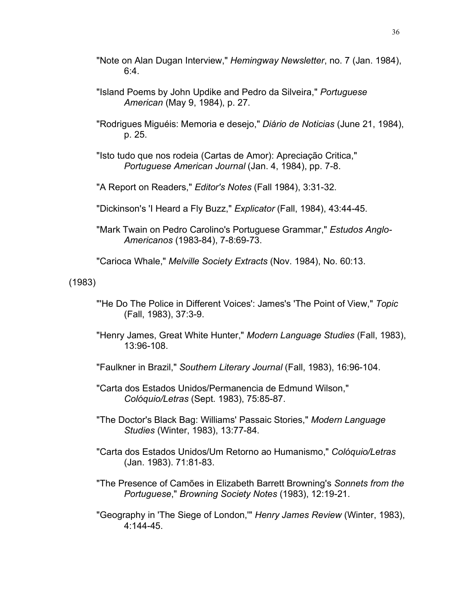- "Note on Alan Dugan Interview," *Hemingway Newsletter*, no. 7 (Jan. 1984), 6:4.
- "Island Poems by John Updike and Pedro da Silveira," *Portuguese American* (May 9, 1984), p. 27.
- "Rodrigues Miguéis: Memoria e desejo," *Diário de Noticias* (June 21, 1984), p. 25.
- "Isto tudo que nos rodeia (Cartas de Amor): Apreciação Critica," *Portuguese American Journal* (Jan. 4, 1984), pp. 7-8.
- "A Report on Readers," *Editor's Notes* (Fall 1984), 3:31-32.
- "Dickinson's 'I Heard a Fly Buzz," *Explicator* (Fall, 1984), 43:44-45.
- "Mark Twain on Pedro Carolino's Portuguese Grammar," *Estudos Anglo-Americanos* (1983-84), 7-8:69-73.
- "Carioca Whale," *Melville Society Extracts* (Nov. 1984), No. 60:13.

(1983)

- "'He Do The Police in Different Voices': James's 'The Point of View," *Topic* (Fall, 1983), 37:3-9.
- "Henry James, Great White Hunter," *Modern Language Studies* (Fall, 1983), 13:96-108.
- "Faulkner in Brazil," *Southern Literary Journal* (Fall, 1983), 16:96-104.
- "Carta dos Estados Unidos/Permanencia de Edmund Wilson," *Colóquio/Letras* (Sept. 1983), 75:85-87.
- "The Doctor's Black Bag: Williams' Passaic Stories," *Modern Language Studies* (Winter, 1983), 13:77-84.
- "Carta dos Estados Unidos/Um Retorno ao Humanismo," *Colóquio/Letras* (Jan. 1983). 71:81-83.
- "The Presence of Camões in Elizabeth Barrett Browning's *Sonnets from the Portuguese*," *Browning Society Notes* (1983), 12:19-21.
- "Geography in 'The Siege of London,'" *Henry James Review* (Winter, 1983), 4:144-45.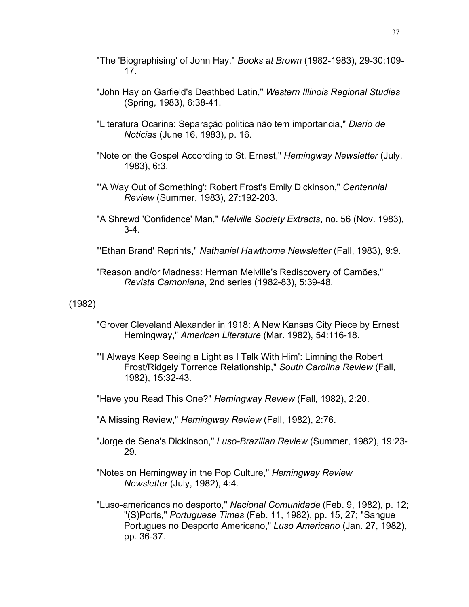- "The 'Biographising' of John Hay," *Books at Brown* (1982-1983), 29-30:109- 17.
- "John Hay on Garfield's Deathbed Latin," *Western Illinois Regional Studies* (Spring, 1983), 6:38-41.
- "Literatura Ocarina: Separação politica não tem importancia," *Diario de Noticias* (June 16, 1983), p. 16.
- "Note on the Gospel According to St. Ernest," *Hemingway Newsletter* (July, 1983), 6:3.
- "'A Way Out of Something': Robert Frost's Emily Dickinson," *Centennial Review* (Summer, 1983), 27:192-203.
- "A Shrewd 'Confidence' Man," *Melville Society Extracts*, no. 56 (Nov. 1983), 3-4.
- "'Ethan Brand' Reprints," *Nathaniel Hawthorne Newsletter* (Fall, 1983), 9:9.
- "Reason and/or Madness: Herman Melville's Rediscovery of Camões," *Revista Camoniana*, 2nd series (1982-83), 5:39-48.

(1982)

- "Grover Cleveland Alexander in 1918: A New Kansas City Piece by Ernest Hemingway," *American Literature* (Mar. 1982), 54:116-18.
- "'I Always Keep Seeing a Light as I Talk With Him': Limning the Robert Frost/Ridgely Torrence Relationship," *South Carolina Review* (Fall, 1982), 15:32-43.
- "Have you Read This One?" *Hemingway Review* (Fall, 1982), 2:20.
- "A Missing Review," *Hemingway Review* (Fall, 1982), 2:76.
- "Jorge de Sena's Dickinson," *Luso-Brazilian Review* (Summer, 1982), 19:23- 29.
- "Notes on Hemingway in the Pop Culture," *Hemingway Review Newsletter* (July, 1982), 4:4.
- "Luso-americanos no desporto," *Nacional Comunidade* (Feb. 9, 1982), p. 12; "(S)Ports," *Portuguese Times* (Feb. 11, 1982), pp. 15, 27; "Sangue Portugues no Desporto Americano," *Luso Americano* (Jan. 27, 1982), pp. 36-37.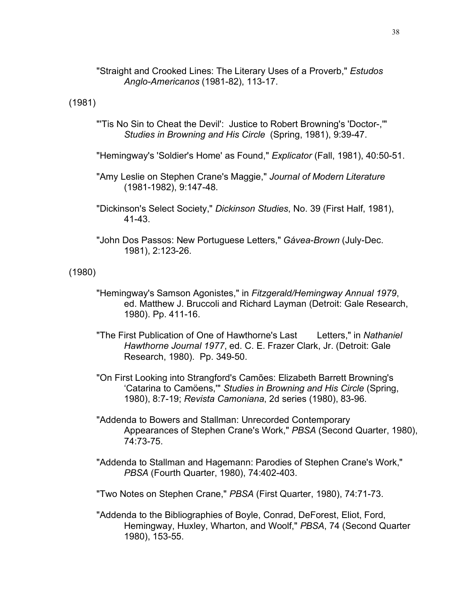"Straight and Crooked Lines: The Literary Uses of a Proverb," *Estudos Anglo-Americanos* (1981-82), 113-17.

(1981)

- "'Tis No Sin to Cheat the Devil': Justice to Robert Browning's 'Doctor-,'" *Studies in Browning and His Circle* (Spring, 1981), 9:39-47.
- "Hemingway's 'Soldier's Home' as Found," *Explicator* (Fall, 1981), 40:50-51.
- "Amy Leslie on Stephen Crane's Maggie," *Journal of Modern Literature* (1981-1982), 9:147-48.
- "Dickinson's Select Society," *Dickinson Studies*, No. 39 (First Half, 1981), 41-43.
- "John Dos Passos: New Portuguese Letters," *Gávea-Brown* (July-Dec. 1981), 2:123-26.

(1980)

- "Hemingway's Samson Agonistes," in *Fitzgerald/Hemingway Annual 1979*, ed. Matthew J. Bruccoli and Richard Layman (Detroit: Gale Research, 1980). Pp. 411-16.
- "The First Publication of One of Hawthorne's Last Letters," in *Nathaniel Hawthorne Journal 1977*, ed. C. E. Frazer Clark, Jr. (Detroit: Gale Research, 1980). Pp. 349-50.
- "On First Looking into Strangford's Camões: Elizabeth Barrett Browning's 'Catarina to Camöens,'" *Studies in Browning and His Circle* (Spring, 1980), 8:7-19; *Revista Camoniana*, 2d series (1980), 83-96.
- "Addenda to Bowers and Stallman: Unrecorded Contemporary Appearances of Stephen Crane's Work," *PBSA* (Second Quarter, 1980), 74:73-75.
- "Addenda to Stallman and Hagemann: Parodies of Stephen Crane's Work," *PBSA* (Fourth Quarter, 1980), 74:402-403.
- "Two Notes on Stephen Crane," *PBSA* (First Quarter, 1980), 74:71-73.
- "Addenda to the Bibliographies of Boyle, Conrad, DeForest, Eliot, Ford, Hemingway, Huxley, Wharton, and Woolf," *PBSA*, 74 (Second Quarter 1980), 153-55.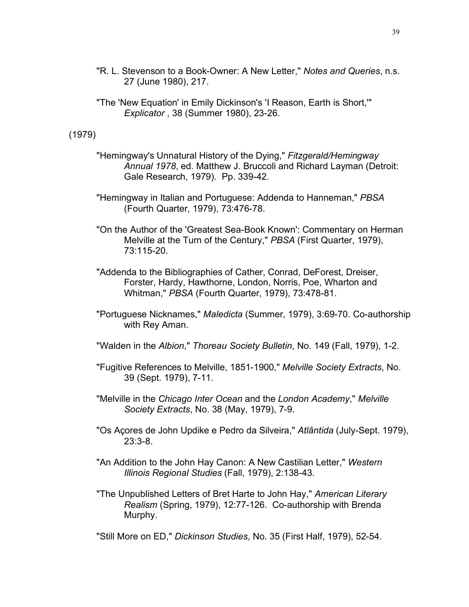- "R. L. Stevenson to a Book-Owner: A New Letter," *Notes and Queries*, n.s. 27 (June 1980), 217.
- "The 'New Equation' in Emily Dickinson's 'I Reason, Earth is Short,'" *Explicator* , 38 (Summer 1980), 23-26.

#### (1979)

- "Hemingway's Unnatural History of the Dying," *Fitzgerald/Hemingway Annual 1978*, ed. Matthew J. Bruccoli and Richard Layman (Detroit: Gale Research, 1979). Pp. 339-42.
- "Hemingway in Italian and Portuguese: Addenda to Hanneman," *PBSA* (Fourth Quarter, 1979), 73:476-78.
- "On the Author of the 'Greatest Sea-Book Known': Commentary on Herman Melville at the Turn of the Century," *PBSA* (First Quarter, 1979), 73:115-20.
- "Addenda to the Bibliographies of Cather, Conrad, DeForest, Dreiser, Forster, Hardy, Hawthorne, London, Norris, Poe, Wharton and Whitman," *PBSA* (Fourth Quarter, 1979), 73:478-81.
- "Portuguese Nicknames," *Maledicta* (Summer, 1979), 3:69-70. Co-authorship with Rey Aman.
- "Walden in the *Albion*," *Thoreau Society Bulletin*, No. 149 (Fall, 1979), 1-2.
- "Fugitive References to Melville, 1851-1900," *Melville Society Extracts*, No. 39 (Sept. 1979), 7-11.
- "Melville in the *Chicago Inter Ocean* and the *London Academy*," *Melville Society Extracts*, No. 38 (May, 1979), 7-9.
- "Os Açores de John Updike e Pedro da Silveira," *Atlântida* (July-Sept. 1979), 23:3-8.
- "An Addition to the John Hay Canon: A New Castilian Letter," *Western Illinois Regional Studies* (Fall, 1979), 2:138-43.
- "The Unpublished Letters of Bret Harte to John Hay," *American Literary Realism* (Spring, 1979), 12:77-126. Co-authorship with Brenda Murphy.

"Still More on ED," *Dickinson Studies*, No. 35 (First Half, 1979), 52-54.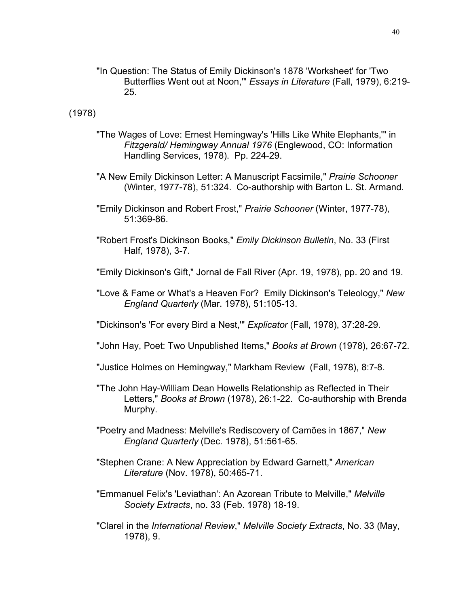"In Question: The Status of Emily Dickinson's 1878 'Worksheet' for 'Two Butterflies Went out at Noon,'" *Essays in Literature* (Fall, 1979), 6:219- 25.

### (1978)

- "The Wages of Love: Ernest Hemingway's 'Hills Like White Elephants,'" in *Fitzgerald/ Hemingway Annual 1976* (Englewood, CO: Information Handling Services, 1978). Pp. 224-29.
- "A New Emily Dickinson Letter: A Manuscript Facsimile," *Prairie Schooner* (Winter, 1977-78), 51:324. Co-authorship with Barton L. St. Armand.
- "Emily Dickinson and Robert Frost," *Prairie Schooner* (Winter, 1977-78), 51:369-86.
- "Robert Frost's Dickinson Books," *Emily Dickinson Bulletin*, No. 33 (First Half, 1978), 3-7.
- "Emily Dickinson's Gift," Jornal de Fall River (Apr. 19, 1978), pp. 20 and 19.
- "Love & Fame or What's a Heaven For? Emily Dickinson's Teleology," *New England Quarterly* (Mar. 1978), 51:105-13.
- "Dickinson's 'For every Bird a Nest,'" *Explicator* (Fall, 1978), 37:28-29.
- "John Hay, Poet: Two Unpublished Items," *Books at Brown* (1978), 26:67-72.
- "Justice Holmes on Hemingway," Markham Review (Fall, 1978), 8:7-8.
- "The John Hay-William Dean Howells Relationship as Reflected in Their Letters," *Books at Brown* (1978), 26:1-22. Co-authorship with Brenda Murphy.
- "Poetry and Madness: Melville's Rediscovery of Camões in 1867," *New England Quarterly* (Dec. 1978), 51:561-65.
- "Stephen Crane: A New Appreciation by Edward Garnett," *American Literature* (Nov. 1978), 50:465-71.
- "Emmanuel Felix's 'Leviathan': An Azorean Tribute to Melville," *Melville Society Extracts*, no. 33 (Feb. 1978) 18-19.
- "Clarel in the *International Review*," *Melville Society Extracts*, No. 33 (May, 1978), 9.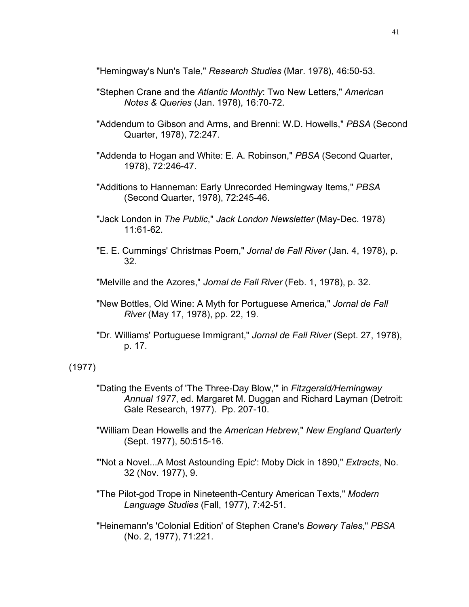"Hemingway's Nun's Tale," *Research Studies* (Mar. 1978), 46:50-53.

- "Stephen Crane and the *Atlantic Monthly*: Two New Letters," *American Notes & Queries* (Jan. 1978), 16:70-72.
- "Addendum to Gibson and Arms, and Brenni: W.D. Howells," *PBSA* (Second Quarter, 1978), 72:247.
- "Addenda to Hogan and White: E. A. Robinson," *PBSA* (Second Quarter, 1978), 72:246-47.
- "Additions to Hanneman: Early Unrecorded Hemingway Items," *PBSA* (Second Quarter, 1978), 72:245-46.
- "Jack London in *The Public*," *Jack London Newsletter* (May-Dec. 1978) 11:61-62.
- "E. E. Cummings' Christmas Poem," *Jornal de Fall River* (Jan. 4, 1978), p. 32.
- "Melville and the Azores," *Jornal de Fall River* (Feb. 1, 1978), p. 32.
- "New Bottles, Old Wine: A Myth for Portuguese America," *Jornal de Fall River* (May 17, 1978), pp. 22, 19.
- "Dr. Williams' Portuguese Immigrant," *Jornal de Fall River* (Sept. 27, 1978), p. 17.

### (1977)

- "Dating the Events of 'The Three-Day Blow,'" in *Fitzgerald/Hemingway Annual 1977*, ed. Margaret M. Duggan and Richard Layman (Detroit: Gale Research, 1977). Pp. 207-10.
- "William Dean Howells and the *American Hebrew*," *New England Quarterly* (Sept. 1977), 50:515-16.
- "'Not a Novel...A Most Astounding Epic': Moby Dick in 1890," *Extracts*, No. 32 (Nov. 1977), 9.
- "The Pilot-god Trope in Nineteenth-Century American Texts," *Modern Language Studies* (Fall, 1977), 7:42-51.
- "Heinemann's 'Colonial Edition' of Stephen Crane's *Bowery Tales*," *PBSA* (No. 2, 1977), 71:221.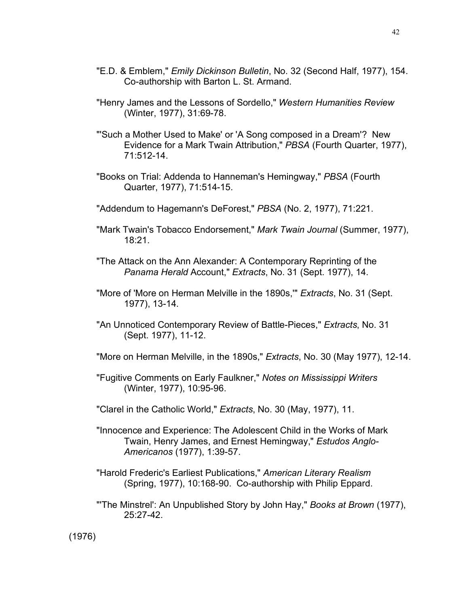- "E.D. & Emblem," *Emily Dickinson Bulletin*, No. 32 (Second Half, 1977), 154. Co-authorship with Barton L. St. Armand.
- "Henry James and the Lessons of Sordello," *Western Humanities Review* (Winter, 1977), 31:69-78.
- "'Such a Mother Used to Make' or 'A Song composed in a Dream'? New Evidence for a Mark Twain Attribution," *PBSA* (Fourth Quarter, 1977), 71:512-14.
- "Books on Trial: Addenda to Hanneman's Hemingway," *PBSA* (Fourth Quarter, 1977), 71:514-15.
- "Addendum to Hagemann's DeForest," *PBSA* (No. 2, 1977), 71:221.
- "Mark Twain's Tobacco Endorsement," *Mark Twain Journal* (Summer, 1977), 18:21.
- "The Attack on the Ann Alexander: A Contemporary Reprinting of the *Panama Herald* Account," *Extracts*, No. 31 (Sept. 1977), 14.
- "More of 'More on Herman Melville in the 1890s,'" *Extracts*, No. 31 (Sept. 1977), 13-14.
- "An Unnoticed Contemporary Review of Battle-Pieces," *Extracts*, No. 31 (Sept. 1977), 11-12.
- "More on Herman Melville, in the 1890s," *Extracts*, No. 30 (May 1977), 12-14.
- "Fugitive Comments on Early Faulkner," *Notes on Mississippi Writers* (Winter, 1977), 10:95-96.
- "Clarel in the Catholic World," *Extracts*, No. 30 (May, 1977), 11.
- "Innocence and Experience: The Adolescent Child in the Works of Mark Twain, Henry James, and Ernest Hemingway," *Estudos Anglo-Americanos* (1977), 1:39-57.
- "Harold Frederic's Earliest Publications," *American Literary Realism* (Spring, 1977), 10:168-90. Co-authorship with Philip Eppard.
- "'The Minstrel': An Unpublished Story by John Hay," *Books at Brown* (1977), 25:27-42.

(1976)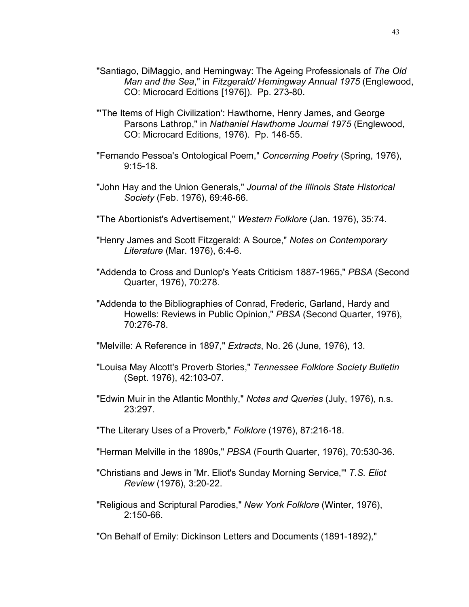- "Santiago, DiMaggio, and Hemingway: The Ageing Professionals of *The Old Man and the Sea*," in *Fitzgerald/ Hemingway Annual 1975* (Englewood, CO: Microcard Editions [1976]). Pp. 273-80.
- "'The Items of High Civilization': Hawthorne, Henry James, and George Parsons Lathrop," in *Nathaniel Hawthorne Journal 1975* (Englewood, CO: Microcard Editions, 1976). Pp. 146-55.
- "Fernando Pessoa's Ontological Poem," *Concerning Poetry* (Spring, 1976), 9:15-18.
- "John Hay and the Union Generals," *Journal of the Illinois State Historical Society* (Feb. 1976), 69:46-66.
- "The Abortionist's Advertisement," *Western Folklore* (Jan. 1976), 35:74.
- "Henry James and Scott Fitzgerald: A Source," *Notes on Contemporary Literature* (Mar. 1976), 6:4-6.
- "Addenda to Cross and Dunlop's Yeats Criticism 1887-1965," *PBSA* (Second Quarter, 1976), 70:278.
- "Addenda to the Bibliographies of Conrad, Frederic, Garland, Hardy and Howells: Reviews in Public Opinion," *PBSA* (Second Quarter, 1976), 70:276-78.
- "Melville: A Reference in 1897," *Extracts*, No. 26 (June, 1976), 13.
- "Louisa May Alcott's Proverb Stories," *Tennessee Folklore Society Bulletin* (Sept. 1976), 42:103-07.
- "Edwin Muir in the Atlantic Monthly," *Notes and Queries* (July, 1976), n.s. 23:297.
- "The Literary Uses of a Proverb," *Folklore* (1976), 87:216-18.
- "Herman Melville in the 1890s," *PBSA* (Fourth Quarter, 1976), 70:530-36.
- "Christians and Jews in 'Mr. Eliot's Sunday Morning Service,'" *T.S. Eliot Review* (1976), 3:20-22.
- "Religious and Scriptural Parodies," *New York Folklore* (Winter, 1976), 2:150-66.
- "On Behalf of Emily: Dickinson Letters and Documents (1891-1892),"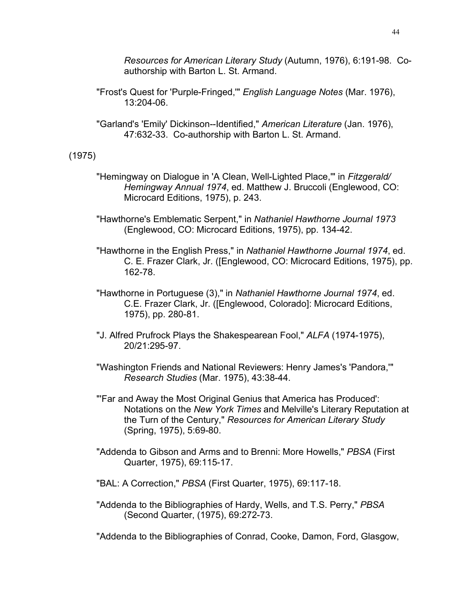*Resources for American Literary Study* (Autumn, 1976), 6:191-98. Coauthorship with Barton L. St. Armand.

- "Frost's Quest for 'Purple-Fringed,'" *English Language Notes* (Mar. 1976), 13:204-06.
- "Garland's 'Emily' Dickinson--Identified," *American Literature* (Jan. 1976), 47:632-33. Co-authorship with Barton L. St. Armand.

### (1975)

- "Hemingway on Dialogue in 'A Clean, Well-Lighted Place,'" in *Fitzgerald/ Hemingway Annual 1974*, ed. Matthew J. Bruccoli (Englewood, CO: Microcard Editions, 1975), p. 243.
- "Hawthorne's Emblematic Serpent," in *Nathaniel Hawthorne Journal 1973* (Englewood, CO: Microcard Editions, 1975), pp. 134-42.
- "Hawthorne in the English Press," in *Nathaniel Hawthorne Journal 1974*, ed. C. E. Frazer Clark, Jr. ([Englewood, CO: Microcard Editions, 1975), pp. 162-78.
- "Hawthorne in Portuguese (3)," in *Nathaniel Hawthorne Journal 1974*, ed. C.E. Frazer Clark, Jr. ([Englewood, Colorado]: Microcard Editions, 1975), pp. 280-81.
- "J. Alfred Prufrock Plays the Shakespearean Fool," *ALFA* (1974-1975), 20/21:295-97.
- "Washington Friends and National Reviewers: Henry James's 'Pandora,'" *Research Studies* (Mar. 1975), 43:38-44.
- "'Far and Away the Most Original Genius that America has Produced': Notations on the *New York Times* and Melville's Literary Reputation at the Turn of the Century," *Resources for American Literary Study* (Spring, 1975), 5:69-80.
- "Addenda to Gibson and Arms and to Brenni: More Howells," *PBSA* (First Quarter, 1975), 69:115-17.
- "BAL: A Correction," *PBSA* (First Quarter, 1975), 69:117-18.
- "Addenda to the Bibliographies of Hardy, Wells, and T.S. Perry," *PBSA* (Second Quarter, (1975), 69:272-73.

"Addenda to the Bibliographies of Conrad, Cooke, Damon, Ford, Glasgow,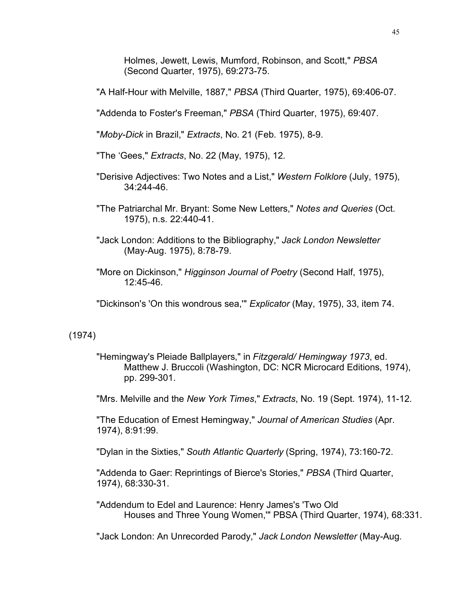Holmes, Jewett, Lewis, Mumford, Robinson, and Scott," *PBSA* (Second Quarter, 1975), 69:273-75.

"A Half-Hour with Melville, 1887," *PBSA* (Third Quarter, 1975), 69:406-07.

"Addenda to Foster's Freeman," *PBSA* (Third Quarter, 1975), 69:407.

"*Moby-Dick* in Brazil," *Extracts*, No. 21 (Feb. 1975), 8-9.

"The 'Gees," *Extracts*, No. 22 (May, 1975), 12.

- "Derisive Adjectives: Two Notes and a List," *Western Folklore* (July, 1975), 34:244-46.
- "The Patriarchal Mr. Bryant: Some New Letters," *Notes and Queries* (Oct. 1975), n.s. 22:440-41.
- "Jack London: Additions to the Bibliography," *Jack London Newsletter* (May-Aug. 1975), 8:78-79.

"More on Dickinson," *Higginson Journal of Poetry* (Second Half, 1975), 12:45-46.

"Dickinson's 'On this wondrous sea,'" *Explicator* (May, 1975), 33, item 74.

## (1974)

"Hemingway's Pleiade Ballplayers," in *Fitzgerald/ Hemingway 1973*, ed. Matthew J. Bruccoli (Washington, DC: NCR Microcard Editions, 1974), pp. 299-301.

"Mrs. Melville and the *New York Times*," *Extracts*, No. 19 (Sept. 1974), 11-12.

"The Education of Ernest Hemingway," *Journal of American Studies* (Apr. 1974), 8:91:99.

"Dylan in the Sixties," *South Atlantic Quarterly* (Spring, 1974), 73:160-72.

"Addenda to Gaer: Reprintings of Bierce's Stories," *PBSA* (Third Quarter, 1974), 68:330-31.

"Addendum to Edel and Laurence: Henry James's 'Two Old Houses and Three Young Women,'" PBSA (Third Quarter, 1974), 68:331.

"Jack London: An Unrecorded Parody," *Jack London Newsletter* (May-Aug.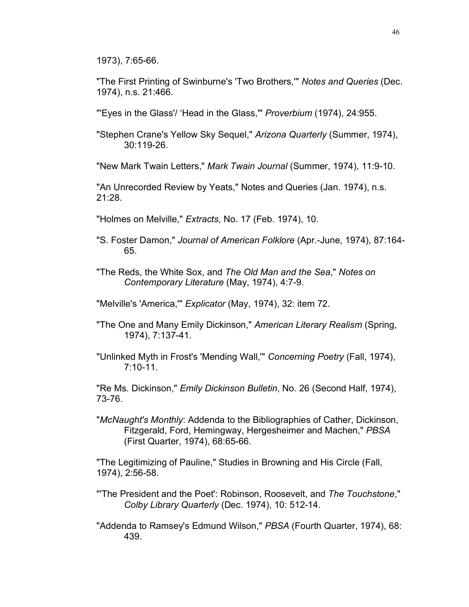1973), 7:65-66.

"The First Printing of Swinburne's 'Two Brothers,'" *Notes and Queries* (Dec. 1974), n.s. 21:466.

"'Eyes in the Glass'/ 'Head in the Glass,'" *Proverbium* (1974), 24:955.

"Stephen Crane's Yellow Sky Sequel," *Arizona Quarterly* (Summer, 1974), 30:119-26.

"New Mark Twain Letters," *Mark Twain Journal* (Summer, 1974), 11:9-10.

"An Unrecorded Review by Yeats," Notes and Queries (Jan. 1974), n.s. 21:28.

"Holmes on Melville," *Extracts*, No. 17 (Feb. 1974), 10.

- "S. Foster Damon," *Journal of American Folklore* (Apr.-June, 1974), 87:164- 65.
- "The Reds, the White Sox, and *The Old Man and the Sea*," *Notes on Contemporary Literature* (May, 1974), 4:7-9.

"Melville's 'America,'" *Explicator* (May, 1974), 32: item 72.

- "The One and Many Emily Dickinson," *American Literary Realism* (Spring, 1974), 7:137-41.
- "Unlinked Myth in Frost's 'Mending Wall,'" *Concerning Poetry* (Fall, 1974), 7:10-11.

"Re Ms. Dickinson," *Emily Dickinson Bulletin*, No. 26 (Second Half, 1974), 73-76.

"*McNaught's Monthly*: Addenda to the Bibliographies of Cather, Dickinson, Fitzgerald, Ford, Hemingway, Hergesheimer and Machen," *PBSA* (First Quarter, 1974), 68:65-66.

"The Legitimizing of Pauline," Studies in Browning and His Circle (Fall, 1974), 2:56-58.

- "'The President and the Poet': Robinson, Roosevelt, and *The Touchstone*," *Colby Library Quarterly* (Dec. 1974), 10: 512-14.
- "Addenda to Ramsey's Edmund Wilson," *PBSA* (Fourth Quarter, 1974), 68: 439.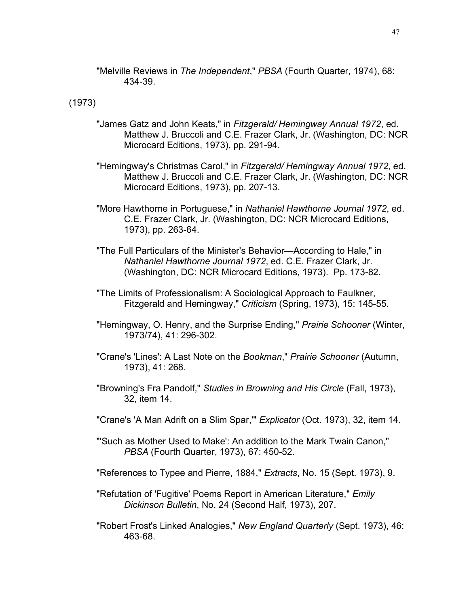"Melville Reviews in *The Independent*," *PBSA* (Fourth Quarter, 1974), 68: 434-39.

(1973)

- "James Gatz and John Keats," in *Fitzgerald/ Hemingway Annual 1972*, ed. Matthew J. Bruccoli and C.E. Frazer Clark, Jr. (Washington, DC: NCR Microcard Editions, 1973), pp. 291-94.
- "Hemingway's Christmas Carol," in *Fitzgerald/ Hemingway Annual 1972*, ed. Matthew J. Bruccoli and C.E. Frazer Clark, Jr. (Washington, DC: NCR Microcard Editions, 1973), pp. 207-13.
- "More Hawthorne in Portuguese," in *Nathaniel Hawthorne Journal 1972*, ed. C.E. Frazer Clark, Jr. (Washington, DC: NCR Microcard Editions, 1973), pp. 263-64.
- "The Full Particulars of the Minister's Behavior—According to Hale," in *Nathaniel Hawthorne Journal 1972*, ed. C.E. Frazer Clark, Jr. (Washington, DC: NCR Microcard Editions, 1973). Pp. 173-82.
- "The Limits of Professionalism: A Sociological Approach to Faulkner, Fitzgerald and Hemingway," *Criticism* (Spring, 1973), 15: 145-55.
- "Hemingway, O. Henry, and the Surprise Ending," *Prairie Schooner* (Winter, 1973/74), 41: 296-302.
- "Crane's 'Lines': A Last Note on the *Bookman*," *Prairie Schooner* (Autumn, 1973), 41: 268.
- "Browning's Fra Pandolf," *Studies in Browning and His Circle* (Fall, 1973), 32, item 14.
- "Crane's 'A Man Adrift on a Slim Spar,'" *Explicator* (Oct. 1973), 32, item 14.
- "'Such as Mother Used to Make': An addition to the Mark Twain Canon," *PBSA* (Fourth Quarter, 1973), 67: 450-52.
- "References to Typee and Pierre, 1884," *Extracts*, No. 15 (Sept. 1973), 9.
- "Refutation of 'Fugitive' Poems Report in American Literature," *Emily Dickinson Bulletin*, No. 24 (Second Half, 1973), 207.
- "Robert Frost's Linked Analogies," *New England Quarterly* (Sept. 1973), 46: 463-68.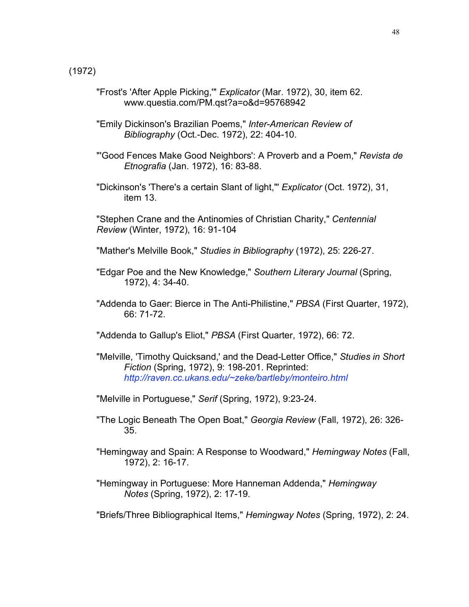- "Frost's 'After Apple Picking,'" *Explicator* (Mar. 1972), 30, item 62. www.questia.com/PM.qst?a=o&d=95768942
- "Emily Dickinson's Brazilian Poems," *Inter-American Review of Bibliography* (Oct.-Dec. 1972), 22: 404-10.
- "'Good Fences Make Good Neighbors': A Proverb and a Poem," *Revista de Etnografia* (Jan. 1972), 16: 83-88.
- "Dickinson's 'There's a certain Slant of light,"' *Explicator* (Oct. 1972), 31, item 13.
- "Stephen Crane and the Antinomies of Christian Charity," *Centennial Review* (Winter, 1972), 16: 91-104
- "Mather's Melville Book," *Studies in Bibliography* (1972), 25: 226-27.
- "Edgar Poe and the New Knowledge," *Southern Literary Journal* (Spring, 1972), 4: 34-40.
- "Addenda to Gaer: Bierce in The Anti-Philistine," *PBSA* (First Quarter, 1972), 66: 71-72.
- "Addenda to Gallup's Eliot," *PBSA* (First Quarter, 1972), 66: 72.
- "Melville, 'Timothy Quicksand,' and the Dead-Letter Office," *Studies in Short Fiction* (Spring, 1972), 9: 198-201. Reprinted: *http://raven.cc.ukans.edu/~zeke/bartleby/monteiro.html*
- "Melville in Portuguese," *Serif* (Spring, 1972), 9:23-24.
- "The Logic Beneath The Open Boat," *Georgia Review* (Fall, 1972), 26: 326- 35.
- "Hemingway and Spain: A Response to Woodward," *Hemingway Notes* (Fall, 1972), 2: 16-17.
- "Hemingway in Portuguese: More Hanneman Addenda," *Hemingway Notes* (Spring, 1972), 2: 17-19.

"Briefs/Three Bibliographical Items," *Hemingway Notes* (Spring, 1972), 2: 24.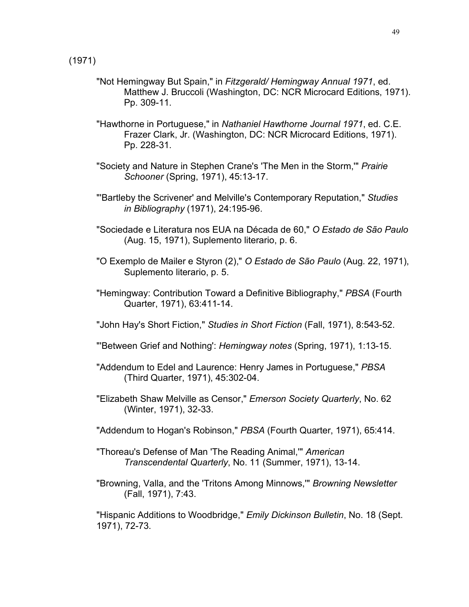(1971)

- "Not Hemingway But Spain," in *Fitzgerald/ Hemingway Annual 1971*, ed. Matthew J. Bruccoli (Washington, DC: NCR Microcard Editions, 1971). Pp. 309-11.
- "Hawthorne in Portuguese," in *Nathaniel Hawthorne Journal 1971*, ed. C.E. Frazer Clark, Jr. (Washington, DC: NCR Microcard Editions, 1971). Pp. 228-31.
- "Society and Nature in Stephen Crane's 'The Men in the Storm,'" *Prairie Schooner* (Spring, 1971), 45:13-17.
- "'Bartleby the Scrivener' and Melville's Contemporary Reputation," *Studies in Bibliography* (1971), 24:195-96.
- "Sociedade e Literatura nos EUA na Década de 60," *O Estado de São Paulo* (Aug. 15, 1971), Suplemento literario, p. 6.
- "O Exemplo de Mailer e Styron (2)," *O Estado de São Paulo* (Aug. 22, 1971), Suplemento literario, p. 5.
- "Hemingway: Contribution Toward a Definitive Bibliography," *PBSA* (Fourth Quarter, 1971), 63:411-14.
- "John Hay's Short Fiction," *Studies in Short Fiction* (Fall, 1971), 8:543-52.
- "'Between Grief and Nothing': *Hemingway notes* (Spring, 1971), 1:13-15.
- "Addendum to Edel and Laurence: Henry James in Portuguese," *PBSA* (Third Quarter, 1971), 45:302-04.
- "Elizabeth Shaw Melville as Censor," *Emerson Society Quarterly*, No. 62 (Winter, 1971), 32-33.
- "Addendum to Hogan's Robinson," *PBSA* (Fourth Quarter, 1971), 65:414.
- "Thoreau's Defense of Man 'The Reading Animal,'" *American Transcendental Quarterly*, No. 11 (Summer, 1971), 13-14.
- "Browning, Valla, and the 'Tritons Among Minnows,'" *Browning Newsletter* (Fall, 1971), 7:43.

"Hispanic Additions to Woodbridge," *Emily Dickinson Bulletin*, No. 18 (Sept. 1971), 72-73.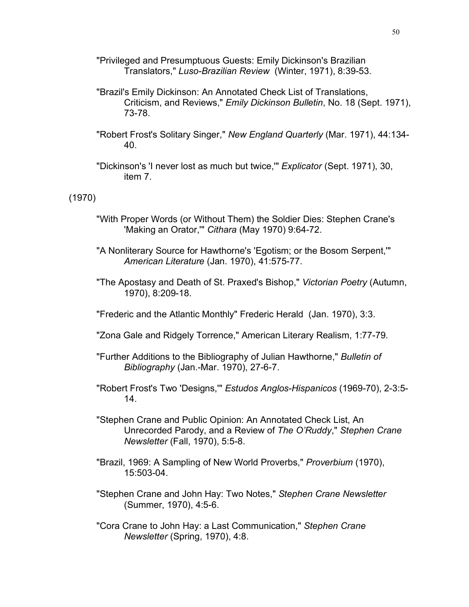- "Privileged and Presumptuous Guests: Emily Dickinson's Brazilian Translators," *Luso-Brazilian Review* (Winter, 1971), 8:39-53.
- "Brazil's Emily Dickinson: An Annotated Check List of Translations, Criticism, and Reviews," *Emily Dickinson Bulletin*, No. 18 (Sept. 1971), 73-78.
- "Robert Frost's Solitary Singer," *New England Quarterly* (Mar. 1971), 44:134- 40.
- "Dickinson's 'I never lost as much but twice,'" *Explicator* (Sept. 1971), 30, item 7.

(1970)

- "With Proper Words (or Without Them) the Soldier Dies: Stephen Crane's 'Making an Orator,'" *Cithara* (May 1970) 9:64-72.
- "A Nonliterary Source for Hawthorne's 'Egotism; or the Bosom Serpent,'" *American Literature* (Jan. 1970), 41:575-77.
- "The Apostasy and Death of St. Praxed's Bishop," *Victorian Poetry* (Autumn, 1970), 8:209-18.
- "Frederic and the Atlantic Monthly" Frederic Herald (Jan. 1970), 3:3.
- "Zona Gale and Ridgely Torrence," American Literary Realism, 1:77-79.
- "Further Additions to the Bibliography of Julian Hawthorne," *Bulletin of Bibliography* (Jan.-Mar. 1970), 27-6-7.
- "Robert Frost's Two 'Designs,'" *Estudos Anglos-Hispanicos* (1969-70), 2-3:5- 14.
- "Stephen Crane and Public Opinion: An Annotated Check List, An Unrecorded Parody, and a Review of *The O'Ruddy*," *Stephen Crane Newsletter* (Fall, 1970), 5:5-8.
- "Brazil, 1969: A Sampling of New World Proverbs," *Proverbium* (1970), 15:503-04.
- "Stephen Crane and John Hay: Two Notes," *Stephen Crane Newsletter* (Summer, 1970), 4:5-6.
- "Cora Crane to John Hay: a Last Communication," *Stephen Crane Newsletter* (Spring, 1970), 4:8.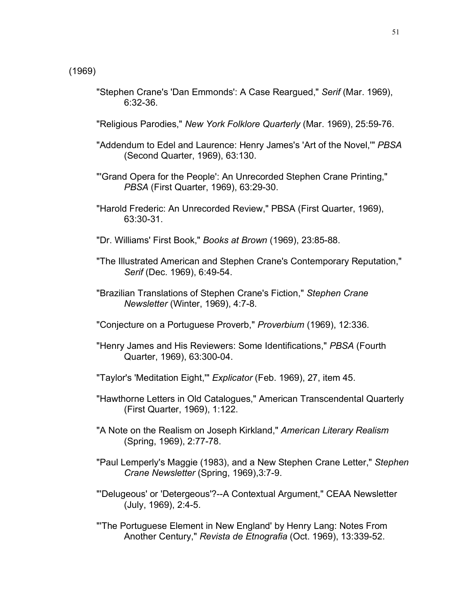- "Stephen Crane's 'Dan Emmonds': A Case Reargued," *Serif* (Mar. 1969), 6:32-36.
- "Religious Parodies," *New York Folklore Quarterly* (Mar. 1969), 25:59-76.
- "Addendum to Edel and Laurence: Henry James's 'Art of the Novel,'" *PBSA* (Second Quarter, 1969), 63:130.
- "'Grand Opera for the People': An Unrecorded Stephen Crane Printing," *PBSA* (First Quarter, 1969), 63:29-30.
- "Harold Frederic: An Unrecorded Review," PBSA (First Quarter, 1969), 63:30-31.
- "Dr. Williams' First Book," *Books at Brown* (1969), 23:85-88.
- "The Illustrated American and Stephen Crane's Contemporary Reputation," *Serif* (Dec. 1969), 6:49-54.
- "Brazilian Translations of Stephen Crane's Fiction," *Stephen Crane Newsletter* (Winter, 1969), 4:7-8.
- "Conjecture on a Portuguese Proverb," *Proverbium* (1969), 12:336.
- "Henry James and His Reviewers: Some Identifications," *PBSA* (Fourth Quarter, 1969), 63:300-04.
- "Taylor's 'Meditation Eight,'" *Explicator* (Feb. 1969), 27, item 45.
- "Hawthorne Letters in Old Catalogues," American Transcendental Quarterly (First Quarter, 1969), 1:122.
- "A Note on the Realism on Joseph Kirkland," *American Literary Realism* (Spring, 1969), 2:77-78.
- "Paul Lemperly's Maggie (1983), and a New Stephen Crane Letter," *Stephen Crane Newsletter* (Spring, 1969),3:7-9.
- "'Delugeous' or 'Detergeous'?--A Contextual Argument," CEAA Newsletter (July, 1969), 2:4-5.
- "'The Portuguese Element in New England' by Henry Lang: Notes From Another Century," *Revista de Etnografia* (Oct. 1969), 13:339-52.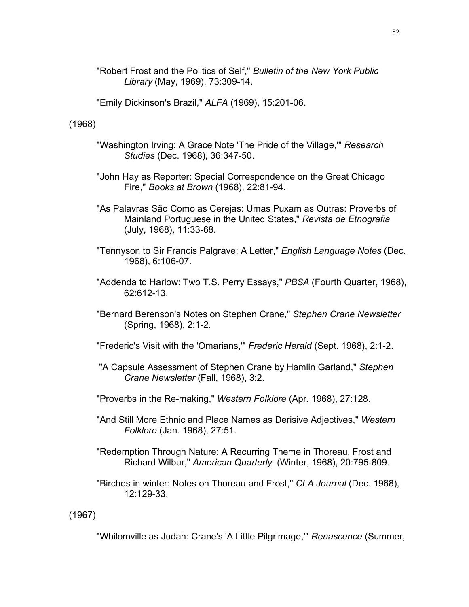"Robert Frost and the Politics of Self," *Bulletin of the New York Public Library* (May, 1969), 73:309-14.

"Emily Dickinson's Brazil," *ALFA* (1969), 15:201-06.

(1968)

- "Washington Irving: A Grace Note 'The Pride of the Village,'" *Research Studies* (Dec. 1968), 36:347-50.
- "John Hay as Reporter: Special Correspondence on the Great Chicago Fire," *Books at Brown* (1968), 22:81-94.
- "As Palavras São Como as Cerejas: Umas Puxam as Outras: Proverbs of Mainland Portuguese in the United States," *Revista de Etnografia* (July, 1968), 11:33-68.
- "Tennyson to Sir Francis Palgrave: A Letter," *English Language Notes* (Dec. 1968), 6:106-07.
- "Addenda to Harlow: Two T.S. Perry Essays," *PBSA* (Fourth Quarter, 1968), 62:612-13.
- "Bernard Berenson's Notes on Stephen Crane," *Stephen Crane Newsletter* (Spring, 1968), 2:1-2.
- "Frederic's Visit with the 'Omarians,'" *Frederic Herald* (Sept. 1968), 2:1-2.
- "A Capsule Assessment of Stephen Crane by Hamlin Garland," *Stephen Crane Newsletter* (Fall, 1968), 3:2.
- "Proverbs in the Re-making," *Western Folklore* (Apr. 1968), 27:128.
- "And Still More Ethnic and Place Names as Derisive Adjectives," *Western Folklore* (Jan. 1968), 27:51.
- "Redemption Through Nature: A Recurring Theme in Thoreau, Frost and Richard Wilbur," *American Quarterly* (Winter, 1968), 20:795-809.
- "Birches in winter: Notes on Thoreau and Frost," *CLA Journal* (Dec. 1968), 12:129-33.

(1967)

"Whilomville as Judah: Crane's 'A Little Pilgrimage,'" *Renascence* (Summer,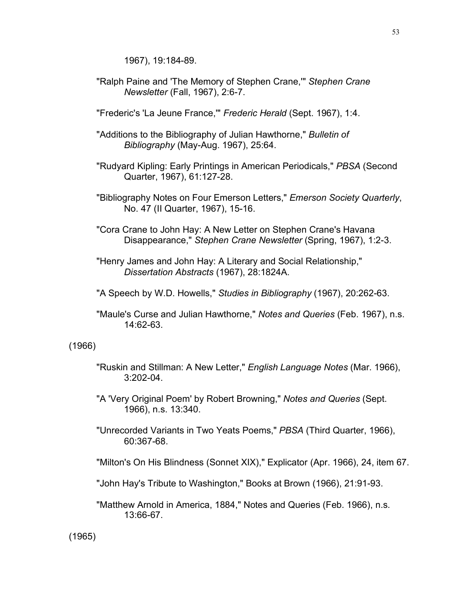1967), 19:184-89.

"Ralph Paine and 'The Memory of Stephen Crane,'" *Stephen Crane Newsletter* (Fall, 1967), 2:6-7.

"Frederic's 'La Jeune France,'" *Frederic Herald* (Sept. 1967), 1:4.

- "Additions to the Bibliography of Julian Hawthorne," *Bulletin of Bibliography* (May-Aug. 1967), 25:64.
- "Rudyard Kipling: Early Printings in American Periodicals," *PBSA* (Second Quarter, 1967), 61:127-28.
- "Bibliography Notes on Four Emerson Letters," *Emerson Society Quarterly*, No. 47 (II Quarter, 1967), 15-16.
- "Cora Crane to John Hay: A New Letter on Stephen Crane's Havana Disappearance," *Stephen Crane Newsletter* (Spring, 1967), 1:2-3.
- "Henry James and John Hay: A Literary and Social Relationship," *Dissertation Abstracts* (1967), 28:1824A.
- "A Speech by W.D. Howells," *Studies in Bibliography* (1967), 20:262-63.
- "Maule's Curse and Julian Hawthorne," *Notes and Queries* (Feb. 1967), n.s. 14:62-63.

### (1966)

- "Ruskin and Stillman: A New Letter," *English Language Notes* (Mar. 1966), 3:202-04.
- "A 'Very Original Poem' by Robert Browning," *Notes and Queries* (Sept. 1966), n.s. 13:340.
- "Unrecorded Variants in Two Yeats Poems," *PBSA* (Third Quarter, 1966), 60:367-68.
- "Milton's On His Blindness (Sonnet XIX)," Explicator (Apr. 1966), 24, item 67.
- "John Hay's Tribute to Washington," Books at Brown (1966), 21:91-93.
- "Matthew Arnold in America, 1884," Notes and Queries (Feb. 1966), n.s. 13:66-67.

(1965)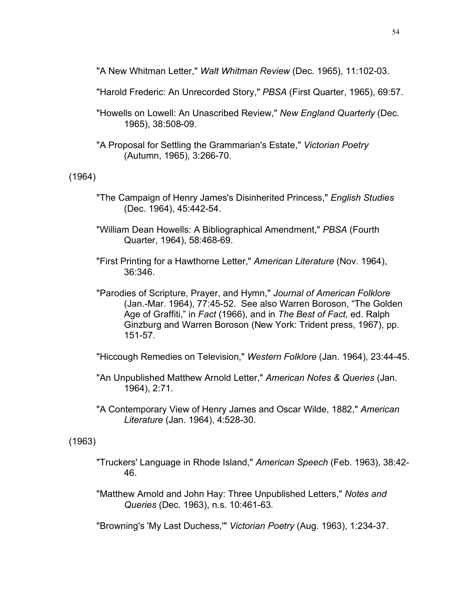"A New Whitman Letter," *Walt Whitman Review* (Dec. 1965), 11:102-03.

"Harold Frederic: An Unrecorded Story," *PBSA* (First Quarter, 1965), 69:57.

"Howells on Lowell: An Unascribed Review," *New England Quarterly* (Dec. 1965), 38:508-09.

"A Proposal for Settling the Grammarian's Estate," *Victorian Poetry* (Autumn, 1965), 3:266-70.

(1964)

- "The Campaign of Henry James's Disinherited Princess," *English Studies* (Dec. 1964), 45:442-54.
- "William Dean Howells: A Bibliographical Amendment," *PBSA* (Fourth Quarter, 1964), 58:468-69.

"First Printing for a Hawthorne Letter," *American Literature* (Nov. 1964), 36:346.

"Parodies of Scripture, Prayer, and Hymn," *Journal of American Folklore* (Jan.-Mar. 1964), 77:45-52. See also Warren Boroson, "The Golden Age of Graffiti," in *Fact* (1966), and in *The Best of Fact*, ed. Ralph Ginzburg and Warren Boroson (New York: Trident press, 1967), pp. 151-57.

"Hiccough Remedies on Television," *Western Folklore* (Jan. 1964), 23:44-45.

"An Unpublished Matthew Arnold Letter," *American Notes & Queries* (Jan. 1964), 2:71.

"A Contemporary View of Henry James and Oscar Wilde, 1882," *American Literature* (Jan. 1964), 4:528-30.

(1963)

"Truckers' Language in Rhode Island," *American Speech* (Feb. 1963), 38:42- 46.

"Matthew Arnold and John Hay: Three Unpublished Letters," *Notes and Queries* (Dec. 1963), n.s. 10:461-63.

"Browning's 'My Last Duchess,'" *Victorian Poetry* (Aug. 1963), 1:234-37.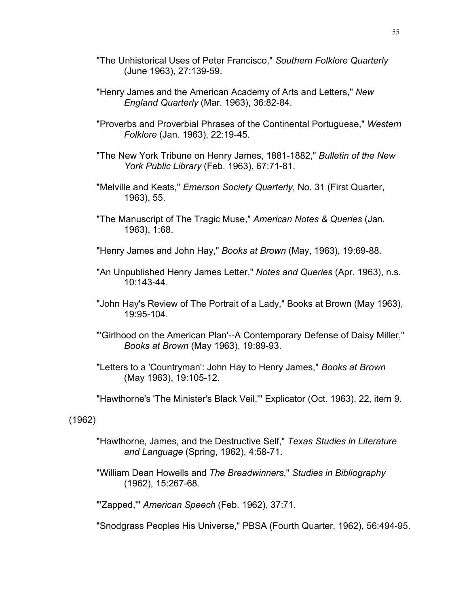- "The Unhistorical Uses of Peter Francisco," *Southern Folklore Quarterly* (June 1963), 27:139-59.
- "Henry James and the American Academy of Arts and Letters," *New England Quarterly* (Mar. 1963), 36:82-84.
- "Proverbs and Proverbial Phrases of the Continental Portuguese," *Western Folklore* (Jan. 1963), 22:19-45.
- "The New York Tribune on Henry James, 1881-1882," *Bulletin of the New York Public Library* (Feb. 1963), 67:71-81.
- "Melville and Keats," *Emerson Society Quarterly*, No. 31 (First Quarter, 1963), 55.
- "The Manuscript of The Tragic Muse," *American Notes & Queries* (Jan. 1963), 1:68.
- "Henry James and John Hay," *Books at Brown* (May, 1963), 19:69-88.
- "An Unpublished Henry James Letter," *Notes and Queries* (Apr. 1963), n.s. 10:143-44.
- "John Hay's Review of The Portrait of a Lady," Books at Brown (May 1963), 19:95-104.
- "'Girlhood on the American Plan'--A Contemporary Defense of Daisy Miller," *Books at Brown* (May 1963), 19:89-93.
- "Letters to a 'Countryman': John Hay to Henry James," *Books at Brown* (May 1963), 19:105-12.
- "Hawthorne's 'The Minister's Black Veil,'" Explicator (Oct. 1963), 22, item 9.

(1962)

- "Hawthorne, James, and the Destructive Self," *Texas Studies in Literature and Language* (Spring, 1962), 4:58-71.
- "William Dean Howells and *The Breadwinners*," *Studies in Bibliography* (1962), 15:267-68.

"'Zapped,'" *American Speech* (Feb. 1962), 37:71.

"Snodgrass Peoples His Universe," PBSA (Fourth Quarter, 1962), 56:494-95.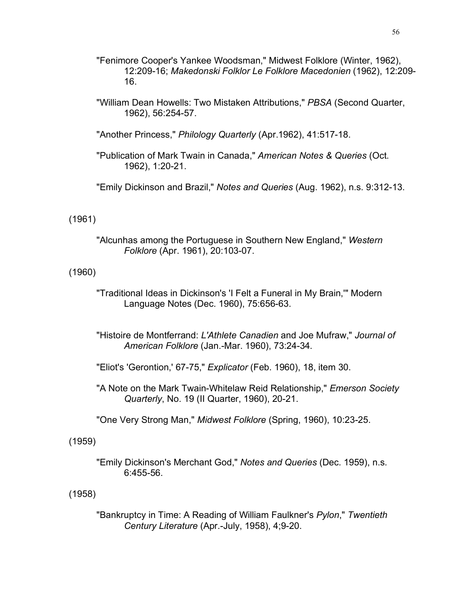- "Fenimore Cooper's Yankee Woodsman," Midwest Folklore (Winter, 1962), 12:209-16; *Makedonski Folklor Le Folklore Macedonien* (1962), 12:209- 16.
- "William Dean Howells: Two Mistaken Attributions," *PBSA* (Second Quarter, 1962), 56:254-57.
- "Another Princess," *Philology Quarterly* (Apr.1962), 41:517-18.
- "Publication of Mark Twain in Canada," *American Notes & Queries* (Oct. 1962), 1:20-21.
- "Emily Dickinson and Brazil," *Notes and Queries* (Aug. 1962), n.s. 9:312-13.

#### (1961)

"Alcunhas among the Portuguese in Southern New England," *Western Folklore* (Apr. 1961), 20:103-07.

### (1960)

- "Traditional Ideas in Dickinson's 'I Felt a Funeral in My Brain,'" Modern Language Notes (Dec. 1960), 75:656-63.
- "Histoire de Montferrand: *L'Athlete Canadien* and Joe Mufraw," *Journal of American Folklore* (Jan.-Mar. 1960), 73:24-34.
- "Eliot's 'Gerontion,' 67-75," *Explicator* (Feb. 1960), 18, item 30.
- "A Note on the Mark Twain-Whitelaw Reid Relationship," *Emerson Society Quarterly*, No. 19 (II Quarter, 1960), 20-21.
- "One Very Strong Man," *Midwest Folklore* (Spring, 1960), 10:23-25.

#### (1959)

"Emily Dickinson's Merchant God," *Notes and Queries* (Dec. 1959), n.s. 6:455-56.

### (1958)

"Bankruptcy in Time: A Reading of William Faulkner's *Pylon*," *Twentieth Century Literature* (Apr.-July, 1958), 4;9-20.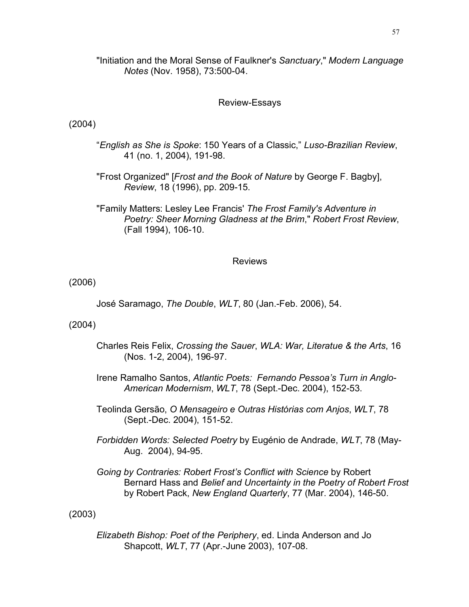"Initiation and the Moral Sense of Faulkner's *Sanctuary*," *Modern Language Notes* (Nov. 1958), 73:500-04.

### Review-Essays

## (2004)

- "*English as She is Spoke*: 150 Years of a Classic," *Luso-Brazilian Review*, 41 (no. 1, 2004), 191-98.
- "Frost Organized" [*Frost and the Book of Nature* by George F. Bagby], *Review*, 18 (1996), pp. 209-15.
- "Family Matters: Lesley Lee Francis' *The Frost Family's Adventure in Poetry: Sheer Morning Gladness at the Brim*," *Robert Frost Review*, (Fall 1994), 106-10.

## Reviews

(2006)

José Saramago, *The Double*, *WLT*, 80 (Jan.-Feb. 2006), 54.

(2004)

- Charles Reis Felix, *Crossing the Sauer*, *WLA: War, Literatue & the Arts*, 16 (Nos. 1-2, 2004), 196-97.
- Irene Ramalho Santos, *Atlantic Poets: Fernando Pessoa's Turn in Anglo-American Modernism*, *WLT*, 78 (Sept.-Dec. 2004), 152-53.
- Teolinda Gersão, *O Mensageiro e Outras Histórias com Anjos*, *WLT*, 78 (Sept.-Dec. 2004), 151-52.
- *Forbidden Words: Selected Poetry* by Eugénio de Andrade, *WLT*, 78 (May-Aug. 2004), 94-95.
- *Going by Contraries: Robert Frost's Conflict with Science* by Robert Bernard Hass and *Belief and Uncertainty in the Poetry of Robert Frost* by Robert Pack, *New England Quarterly*, 77 (Mar. 2004), 146-50.

(2003)

*Elizabeth Bishop: Poet of the Periphery*, ed. Linda Anderson and Jo Shapcott, *WLT*, 77 (Apr.-June 2003), 107-08.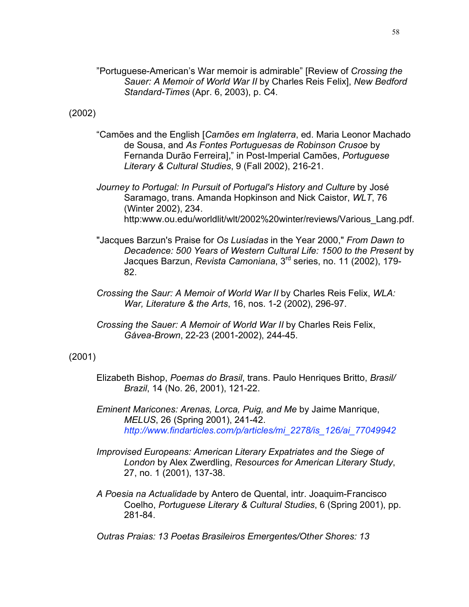"Portuguese-American's War memoir is admirable" [Review of *Crossing the Sauer: A Memoir of World War II* by Charles Reis Felix], *New Bedford Standard-Times* (Apr. 6, 2003), p. C4.

#### (2002)

- "Camões and the English [*Camões em Inglaterra*, ed. Maria Leonor Machado de Sousa, and *As Fontes Portuguesas de Robinson Crusoe* by Fernanda Durão Ferreira]," in Post-Imperial Camões, *Portuguese Literary & Cultural Studies*, 9 (Fall 2002), 216-21.
- *Journey to Portugal: In Pursuit of Portugal's History and Culture* by José Saramago, trans. Amanda Hopkinson and Nick Caistor, *WLT*, 76 (Winter 2002), 234. http:www.ou.edu/worldlit/wlt/2002%20winter/reviews/Various\_Lang.pdf.
- "Jacques Barzun's Praise for *Os Lusíadas* in the Year 2000," *From Dawn to Decadence: 500 Years of Western Cultural Life: 1500 to the Present* by Jacques Barzun, *Revista Camoniana*, 3rd series, no. 11 (2002), 179- 82.
- *Crossing the Saur: A Memoir of World War II* by Charles Reis Felix, *WLA: War, Literature & the Arts*, 16, nos. 1-2 (2002), 296-97.
- *Crossing the Sauer: A Memoir of World War II* by Charles Reis Felix, *Gávea-Brown*, 22-23 (2001-2002), 244-45.

### (2001)

- Elizabeth Bishop, *Poemas do Brasil*, trans. Paulo Henriques Britto, *Brasil/ Brazil*, 14 (No. 26, 2001), 121-22.
- *Eminent Maricones: Arenas, Lorca, Puig, and Me* by Jaime Manrique, *MELUS*, 26 (Spring 2001), 241-42. *http://www.findarticles.com/p/articles/mi\_2278/is\_126/ai\_77049942*
- *Improvised Europeans: American Literary Expatriates and the Siege of London* by Alex Zwerdling, *Resources for American Literary Study*, 27, no. 1 (2001), 137-38.
- *A Poesia na Actualidade* by Antero de Quental, intr. Joaquim-Francisco Coelho, *Portuguese Literary & Cultural Studies*, 6 (Spring 2001), pp. 281-84.

*Outras Praias: 13 Poetas Brasileiros Emergentes/Other Shores: 13*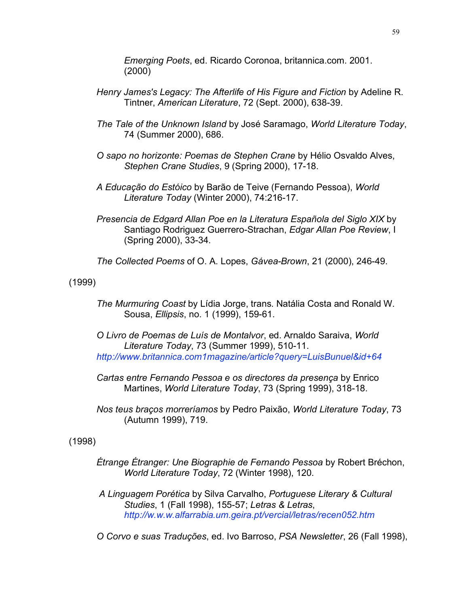*Emerging Poets*, ed. Ricardo Coronoa, britannica.com. 2001. (2000)

- *Henry James's Legacy: The Afterlife of His Figure and Fiction* by Adeline R. Tintner, *American Literature*, 72 (Sept. 2000), 638-39.
- *The Tale of the Unknown Island* by José Saramago, *World Literature Today*, 74 (Summer 2000), 686.
- *O sapo no horizonte: Poemas de Stephen Crane* by Hélio Osvaldo Alves, *Stephen Crane Studies*, 9 (Spring 2000), 17-18.
- *A Educação do Estóico* by Barão de Teive (Fernando Pessoa), *World Literature Today* (Winter 2000), 74:216-17.
- *Presencia de Edgard Allan Poe en la Literatura Española del Siglo XIX* by Santiago Rodriguez Guerrero-Strachan, *Edgar Allan Poe Review*, I (Spring 2000), 33-34.
- *The Collected Poems* of O. A. Lopes, *Gávea-Brown*, 21 (2000), 246-49.

(1999)

- *The Murmuring Coast* by Lídia Jorge, trans. Natália Costa and Ronald W. Sousa, *Ellipsis*, no. 1 (1999), 159-61.
- *O Livro de Poemas de Luís de Montalvor*, ed. Arnaldo Saraiva, *World Literature Today*, 73 (Summer 1999), 510-11. *http://www.britannica.com1magazine/article?query=LuisBunuel&id+64*
- *Cartas entre Fernando Pessoa e os directores da presença* by Enrico Martines, *World Literature Today*, 73 (Spring 1999), 318-18.
- *Nos teus braços morreríamos* by Pedro Paixão, *World Literature Today*, 73 (Autumn 1999), 719.

(1998)

- *Étrange Étranger: Une Biographie de Fernando Pessoa* by Robert Bréchon, *World Literature Today*, 72 (Winter 1998), 120.
- *A Linguagem Porética* by Silva Carvalho, *Portuguese Literary & Cultural Studies*, 1 (Fall 1998), 155-57; *Letras & Letras*, *http://w.w.w.alfarrabia.um.geira.pt/vercial/letras/recen052.htm*
- *O Corvo e suas Traduções*, ed. Ivo Barroso, *PSA Newsletter*, 26 (Fall 1998),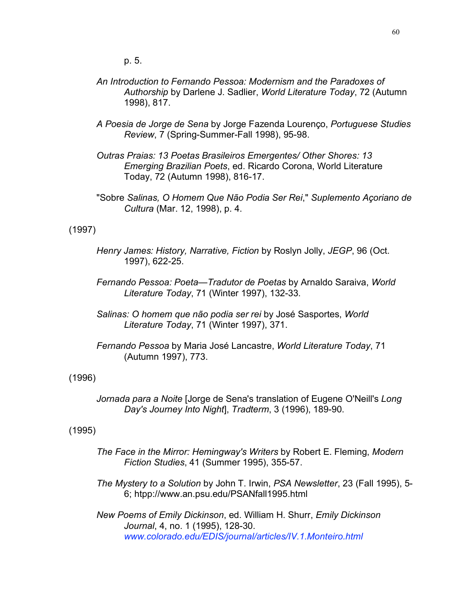p. 5.

- *An Introduction to Fernando Pessoa: Modernism and the Paradoxes of Authorship* by Darlene J. Sadlier, *World Literature Today*, 72 (Autumn 1998), 817.
- *A Poesia de Jorge de Sena* by Jorge Fazenda Lourenço, *Portuguese Studies Review*, 7 (Spring-Summer-Fall 1998), 95-98.
- *Outras Praias: 13 Poetas Brasileiros Emergentes/ Other Shores: 13 Emerging Brazilian Poets*, ed. Ricardo Corona, World Literature Today, 72 (Autumn 1998), 816-17.
- "Sobre *Salinas, O Homem Que Não Podia Ser Rei*," *Suplemento Açoriano de Cultura* (Mar. 12, 1998), p. 4.

#### (1997)

- *Henry James: History, Narrative, Fiction* by Roslyn Jolly, *JEGP*, 96 (Oct. 1997), 622-25.
- *Fernando Pessoa: Poeta—Tradutor de Poetas* by Arnaldo Saraiva, *World Literature Today*, 71 (Winter 1997), 132-33.
- *Salinas: O homem que não podia ser rei* by José Sasportes, *World Literature Today*, 71 (Winter 1997), 371.
- *Fernando Pessoa* by Maria José Lancastre, *World Literature Today*, 71 (Autumn 1997), 773.

(1996)

*Jornada para a Noite* [Jorge de Sena's translation of Eugene O'Neill's *Long Day's Journey Into Night*], *Tradterm*, 3 (1996), 189-90.

#### (1995)

- *The Face in the Mirror: Hemingway's Writers* by Robert E. Fleming, *Modern Fiction Studies*, 41 (Summer 1995), 355-57.
- *The Mystery to a Solution* by John T. Irwin, *PSA Newsletter*, 23 (Fall 1995), 5- 6; htpp://www.an.psu.edu/PSANfall1995.html

*New Poems of Emily Dickinson*, ed. William H. Shurr, *Emily Dickinson Journal*, 4, no. 1 (1995), 128-30. *www.colorado.edu/EDIS/journal/articles/IV.1.Monteiro.html*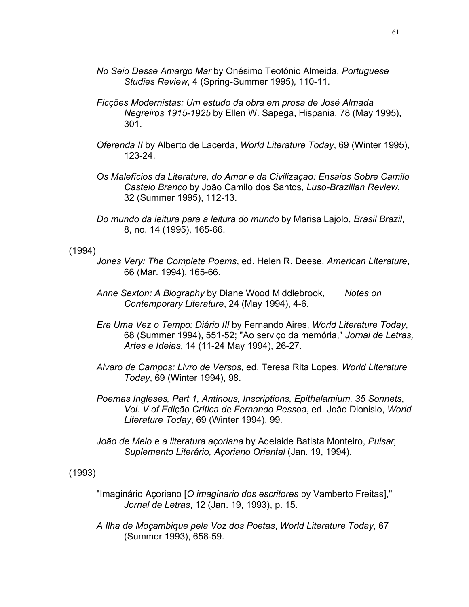- *No Seio Desse Amargo Mar* by Onésimo Teotónio Almeida, *Portuguese Studies Review*, 4 (Spring-Summer 1995), 110-11.
- *Ficções Modernistas: Um estudo da obra em prosa de José Almada Negreiros 1915-1925* by Ellen W. Sapega, Hispania, 78 (May 1995), 301.
- *Oferenda II* by Alberto de Lacerda, *World Literature Today*, 69 (Winter 1995), 123-24.
- *Os Malefícios da Literature, do Amor e da Civilizaçao: Ensaios Sobre Camilo Castelo Branco* by João Camilo dos Santos, *Luso-Brazilian Review*, 32 (Summer 1995), 112-13.
- *Do mundo da leitura para a leitura do mundo* by Marisa Lajolo, *Brasil Brazil*, 8, no. 14 (1995), 165-66.

#### (1994)

- *Jones Very: The Complete Poems*, ed. Helen R. Deese, *American Literature*, 66 (Mar. 1994), 165-66.
- *Anne Sexton: A Biography* by Diane Wood Middlebrook, *Notes on Contemporary Literature*, 24 (May 1994), 4-6.
- *Era Uma Vez o Tempo: Diário III* by Fernando Aires, *World Literature Today*, 68 (Summer 1994), 551-52; "Ao serviço da memória," *Jornal de Letras, Artes e Ideias*, 14 (11-24 May 1994), 26-27.
- *Alvaro de Campos: Livro de Versos*, ed. Teresa Rita Lopes, *World Literature Today*, 69 (Winter 1994), 98.
- *Poemas Ingleses, Part 1, Antinous, Inscriptions, Epithalamium, 35 Sonnets*, *Vol. V of Edição Crítica de Fernando Pessoa*, ed. João Dionisio, *World Literature Today*, 69 (Winter 1994), 99.
- *João de Melo e a literatura açoriana* by Adelaide Batista Monteiro, *Pulsar, Suplemento Literário, Açoriano Oriental* (Jan. 19, 1994).

#### (1993)

- "Imaginário Açoriano [*O imaginario dos escritores* by Vamberto Freitas]," *Jornal de Letras*, 12 (Jan. 19, 1993), p. 15.
- *A Ilha de Moçambique pela Voz dos Poetas*, *World Literature Today*, 67 (Summer 1993), 658-59.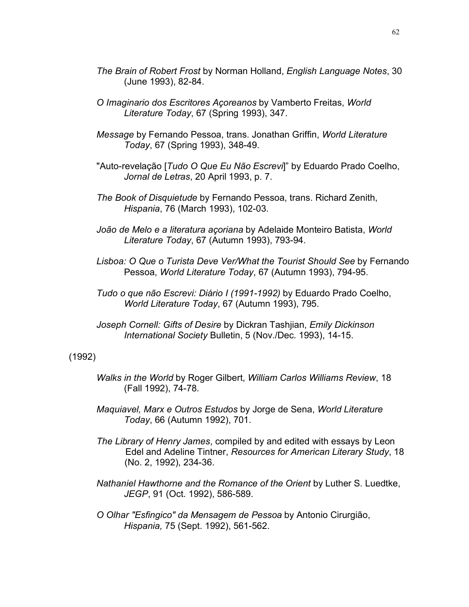- *The Brain of Robert Frost* by Norman Holland, *English Language Notes*, 30 (June 1993), 82-84.
- *O Imaginario dos Escritores Açoreanos* by Vamberto Freitas, *World Literature Today*, 67 (Spring 1993), 347.
- *Message* by Fernando Pessoa, trans. Jonathan Griffin, *World Literature Today*, 67 (Spring 1993), 348-49.
- "Auto-revelação [*Tudo O Que Eu Não Escrevi*]" by Eduardo Prado Coelho, *Jornal de Letras*, 20 April 1993, p. 7.
- *The Book of Disquietude* by Fernando Pessoa, trans. Richard Zenith, *Hispania*, 76 (March 1993), 102-03.
- *João de Melo e a literatura açoriana* by Adelaide Monteiro Batista, *World Literature Today*, 67 (Autumn 1993), 793-94.
- *Lisboa: O Que o Turista Deve Ver/What the Tourist Should See* by Fernando Pessoa, *World Literature Today*, 67 (Autumn 1993), 794-95.
- *Tudo o que não Escrevi: Diário I (1991-1992)* by Eduardo Prado Coelho, *World Literature Today*, 67 (Autumn 1993), 795.
- *Joseph Cornell: Gifts of Desire* by Dickran Tashjian, *Emily Dickinson International Society* Bulletin, 5 (Nov./Dec. 1993), 14-15.

### (1992)

- *Walks in the World* by Roger Gilbert, *William Carlos Williams Review*, 18 (Fall 1992), 74-78.
- *Maquiavel, Marx e Outros Estudos* by Jorge de Sena, *World Literature Today*, 66 (Autumn 1992), 701.
- *The Library of Henry James*, compiled by and edited with essays by Leon Edel and Adeline Tintner, *Resources for American Literary Study*, 18 (No. 2, 1992), 234-36.
- *Nathaniel Hawthorne and the Romance of the Orient* by Luther S. Luedtke, *JEGP*, 91 (Oct. 1992), 586-589.
- *O Olhar "Esfingico" da Mensagem de Pessoa* by Antonio Cirurgião, *Hispania,* 75 (Sept. 1992), 561-562.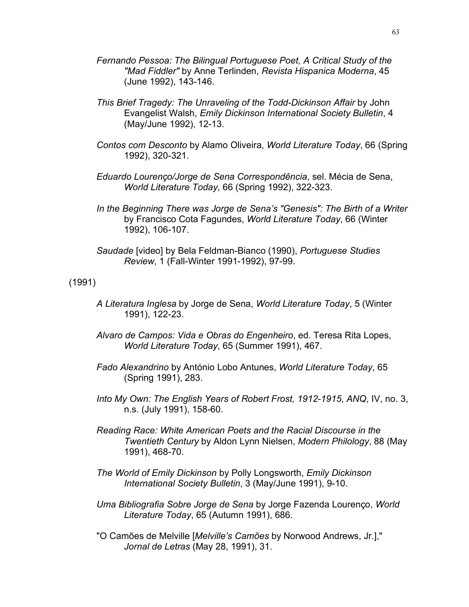- *Fernando Pessoa: The Bilingual Portuguese Poet, A Critical Study of the "Mad Fiddler"* by Anne Terlinden, *Revista Hispanica Moderna*, 45 (June 1992), 143-146.
- *This Brief Tragedy: The Unraveling of the Todd-Dickinson Affair* by John Evangelist Walsh, *Emily Dickinson International Society Bulletin*, 4 (May/June 1992), 12-13.
- *Contos com Desconto* by Alamo Oliveira, *World Literature Today*, 66 (Spring 1992), 320-321.
- *Eduardo Lourenço/Jorge de Sena Correspondência*, sel. Mécia de Sena, *World Literature Today*, 66 (Spring 1992), 322-323.
- *In the Beginning There was Jorge de Sena's "Genesis": The Birth of a Writer* by Francisco Cota Fagundes, *World Literature Today*, 66 (Winter 1992), 106-107.
- *Saudade* [video] by Bela Feldman-Bianco (1990), *Portuguese Studies Review*, 1 (Fall-Winter 1991-1992), 97-99.

### (1991)

- *A Literatura Inglesa* by Jorge de Sena, *World Literature Today*, 5 (Winter 1991), 122-23.
- *Alvaro de Campos: Vida e Obras do Engenheiro*, ed. Teresa Rita Lopes, *World Literature Today*, 65 (Summer 1991), 467.
- *Fado Alexandrino* by António Lobo Antunes, *World Literature Today*, 65 (Spring 1991), 283.
- *Into My Own: The English Years of Robert Frost, 1912-1915*, *ANQ*, IV, no. 3, n.s. (July 1991), 158-60.
- *Reading Race: White American Poets and the Racial Discourse in the Twentieth Century* by Aldon Lynn Nielsen, *Modern Philology*, 88 (May 1991), 468-70.
- *The World of Emily Dickinson* by Polly Longsworth, *Emily Dickinson International Society Bulletin*, 3 (May/June 1991), 9-10.
- *Uma Bibliografia Sobre Jorge de Sena* by Jorge Fazenda Lourenço, *World Literature Today*, 65 (Autumn 1991), 686.
- "O Camões de Melville [*Melville's Camões* by Norwood Andrews, Jr.]," *Jornal de Letras* (May 28, 1991), 31.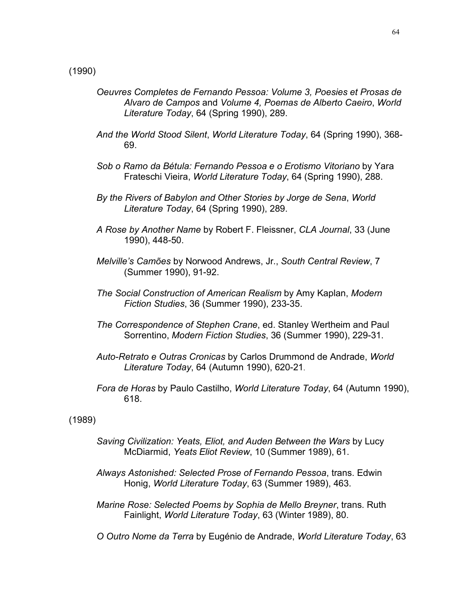- *Oeuvres Completes de Fernando Pessoa: Volume 3, Poesies et Prosas de Alvaro de Campos* and *Volume 4, Poemas de Alberto Caeiro*, *World Literature Today*, 64 (Spring 1990), 289.
- *And the World Stood Silent*, *World Literature Today*, 64 (Spring 1990), 368- 69.
- *Sob o Ramo da Bétula: Fernando Pessoa e o Erotismo Vitoriano* by Yara Frateschi Vieira, *World Literature Today*, 64 (Spring 1990), 288.
- *By the Rivers of Babylon and Other Stories by Jorge de Sena*, *World Literature Today*, 64 (Spring 1990), 289.
- *A Rose by Another Name* by Robert F. Fleissner, *CLA Journal*, 33 (June 1990), 448-50.
- *Melville's Camões* by Norwood Andrews, Jr., *South Central Review*, 7 (Summer 1990), 91-92.
- *The Social Construction of American Realism* by Amy Kaplan, *Modern Fiction Studies*, 36 (Summer 1990), 233-35.
- *The Correspondence of Stephen Crane*, ed. Stanley Wertheim and Paul Sorrentino, *Modern Fiction Studies*, 36 (Summer 1990), 229-31.
- *Auto-Retrato e Outras Cronicas* by Carlos Drummond de Andrade, *World Literature Today*, 64 (Autumn 1990), 620-21.
- *Fora de Horas* by Paulo Castilho, *World Literature Today*, 64 (Autumn 1990), 618.

#### (1989)

- *Saving Civilization: Yeats, Eliot, and Auden Between the Wars* by Lucy McDiarmid, *Yeats Eliot Review*, 10 (Summer 1989), 61.
- *Always Astonished: Selected Prose of Fernando Pessoa*, trans. Edwin Honig, *World Literature Today*, 63 (Summer 1989), 463.
- *Marine Rose: Selected Poems by Sophia de Mello Breyner*, trans. Ruth Fainlight, *World Literature Today*, 63 (Winter 1989), 80.
- *O Outro Nome da Terra* by Eugénio de Andrade, *World Literature Today*, 63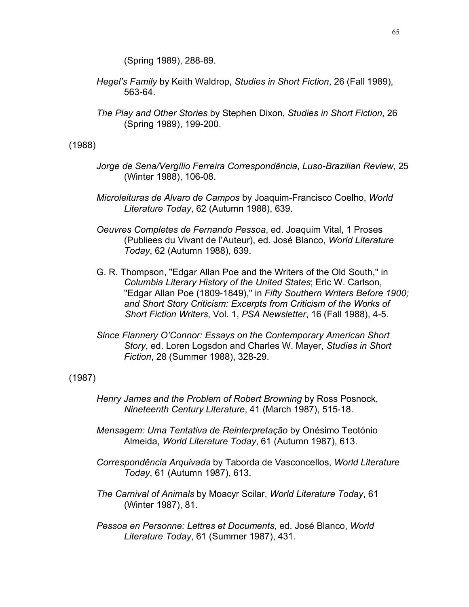(Spring 1989), 288-89.

- *Hegel's Family* by Keith Waldrop, *Studies in Short Fiction*, 26 (Fall 1989), 563-64.
- *The Play and Other Stories* by Stephen Dixon, *Studies in Short Fiction*, 26 (Spring 1989), 199-200.

(1988)

- *Jorge de Sena/Vergílio Ferreira Correspondência*, *Luso-Brazilian Review*, 25 (Winter 1988), 106-08.
- *Microleituras de Alvaro de Campos* by Joaquim-Francisco Coelho, *World Literature Today*, 62 (Autumn 1988), 639.
- *Oeuvres Completes de Fernando Pessoa*, ed. Joaquim Vital, 1 Proses (Publiees du Vivant de l'Auteur), ed. José Blanco, *World Literature Today*, 62 (Autumn 1988), 639.
- G. R. Thompson, "Edgar Allan Poe and the Writers of the Old South," in *Columbia Literary History of the United States*; Eric W. Carlson, "Edgar Allan Poe (1809-1849)," in *Fifty Southern Writers Before 1900; and Short Story Criticism: Excerpts from Criticism of the Works of Short Fiction Writers*, Vol. 1, *PSA Newsletter*, 16 (Fall 1988), 4-5.
- *Since Flannery O'Connor: Essays on the Contemporary American Short Story*, ed. Loren Logsdon and Charles W. Mayer, *Studies in Short Fiction*, 28 (Summer 1988), 328-29.

(1987)

- *Henry James and the Problem of Robert Browning* by Ross Posnock, *Nineteenth Century Literature*, 41 (March 1987), 515-18.
- *Mensagem: Uma Tentativa de Reinterpretação* by Onésimo Teotónio Almeida, *World Literature Today*, 61 (Autumn 1987), 613.
- *Correspondência Arquivada* by Taborda de Vasconcellos, *World Literature Today*, 61 (Autumn 1987), 613.
- *The Carnival of Animals* by Moacyr Scilar, *World Literature Today*, 61 (Winter 1987), 81.
- *Pessoa en Personne: Lettres et Documents*, ed. José Blanco, *World Literature Today*, 61 (Summer 1987), 431.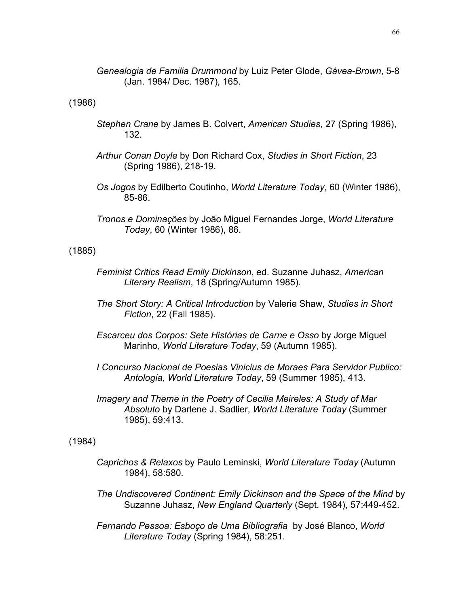*Genealogia de Familia Drummond* by Luiz Peter Glode, *Gávea-Brown*, 5-8 (Jan. 1984/ Dec. 1987), 165.

(1986)

- *Stephen Crane* by James B. Colvert, *American Studies*, 27 (Spring 1986), 132.
- *Arthur Conan Doyle* by Don Richard Cox, *Studies in Short Fiction*, 23 (Spring 1986), 218-19.
- *Os Jogos* by Edilberto Coutinho, *World Literature Today*, 60 (Winter 1986), 85-86.
- *Tronos e Dominações* by João Miguel Fernandes Jorge, *World Literature Today*, 60 (Winter 1986), 86.

(1885)

- *Feminist Critics Read Emily Dickinson*, ed. Suzanne Juhasz, *American Literary Realism*, 18 (Spring/Autumn 1985).
- *The Short Story: A Critical Introduction* by Valerie Shaw, *Studies in Short Fiction*, 22 (Fall 1985).
- *Escarceu dos Corpos: Sete Histórias de Carne e Osso* by Jorge Miguel Marinho, *World Literature Today*, 59 (Autumn 1985).
- *I Concurso Nacional de Poesias Vinicius de Moraes Para Servidor Publico: Antologia*, *World Literature Today*, 59 (Summer 1985), 413.
- *Imagery and Theme in the Poetry of Cecilia Meireles: A Study of Mar Absoluto* by Darlene J. Sadlier, *World Literature Today* (Summer 1985), 59:413.

(1984)

- *Caprichos & Relaxos* by Paulo Leminski, *World Literature Today* (Autumn 1984), 58:580.
- *The Undiscovered Continent: Emily Dickinson and the Space of the Mind* by Suzanne Juhasz, *New England Quarterly* (Sept. 1984), 57:449-452.
- *Fernando Pessoa: Esboço de Uma Bibliografia* by José Blanco, *World Literature Today* (Spring 1984), 58:251.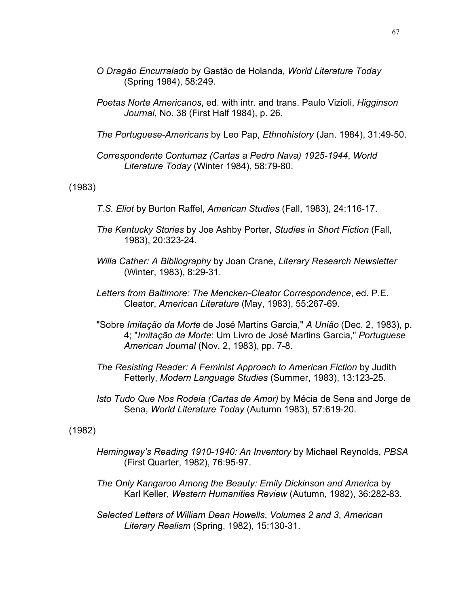- *O Dragão Encurralado* by Gastão de Holanda, *World Literature Today* (Spring 1984), 58:249.
- *Poetas Norte Americanos*, ed. with intr. and trans. Paulo Vizioli, *Higginson Journal*, No. 38 (First Half 1984), p. 26.
- *The Portuguese-Americans* by Leo Pap, *Ethnohistory* (Jan. 1984), 31:49-50.
- *Correspondente Contumaz (Cartas a Pedro Nava) 1925-1944*, *World Literature Today* (Winter 1984), 58:79-80.

(1983)

- *T.S. Eliot* by Burton Raffel, *American Studies* (Fall, 1983), 24:116-17.
- *The Kentucky Stories* by Joe Ashby Porter, *Studies in Short Fiction* (Fall, 1983), 20:323-24.
- *Willa Cather: A Bibliography* by Joan Crane, *Literary Research Newsletter* (Winter, 1983), 8:29-31.
- *Letters from Baltimore: The Mencken-Cleator Correspondence*, ed. P.E. Cleator, *American Literature* (May, 1983), 55:267-69.
- "Sobre *Imitação da Morte* de José Martins Garcia," *A União* (Dec. 2, 1983), p. 4; "*Imitação da Morte*: Um Livro de José Martins Garcia," *Portuguese American Journal* (Nov. 2, 1983), pp. 7-8.
- *The Resisting Reader: A Feminist Approach to American Fiction* by Judith Fetterly, *Modern Language Studies* (Summer, 1983), 13:123-25.
- *Isto Tudo Que Nos Rodeia (Cartas de Amor)* by Mécia de Sena and Jorge de Sena, *World Literature Today* (Autumn 1983), 57:619-20.

(1982)

- *Hemingway's Reading 1910-1940: An Inventory* by Michael Reynolds, *PBSA* (First Quarter, 1982), 76:95-97.
- *The Only Kangaroo Among the Beauty: Emily Dickinson and America* by Karl Keller, *Western Humanities Review* (Autumn, 1982), 36:282-83.

*Selected Letters of William Dean Howells*, *Volumes 2 and 3*, *American Literary Realism* (Spring, 1982), 15:130-31.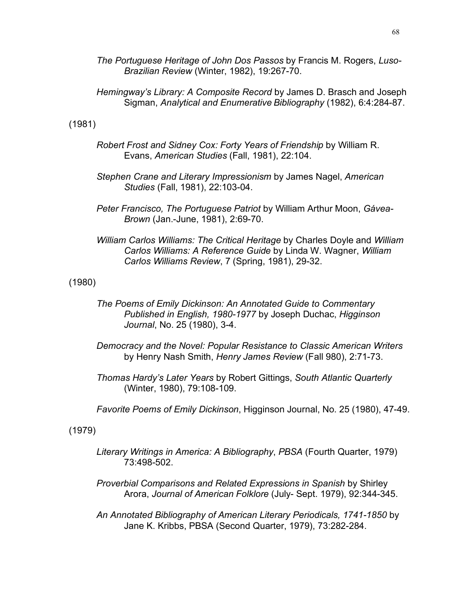*The Portuguese Heritage of John Dos Passos* by Francis M. Rogers, *Luso-Brazilian Review* (Winter, 1982), 19:267-70.

*Hemingway's Library: A Composite Record* by James D. Brasch and Joseph Sigman, *Analytical and Enumerative Bibliography* (1982), 6:4:284-87.

(1981)

- *Robert Frost and Sidney Cox: Forty Years of Friendship* by William R. Evans, *American Studies* (Fall, 1981), 22:104.
- *Stephen Crane and Literary Impressionism* by James Nagel, *American Studies* (Fall, 1981), 22:103-04.
- *Peter Francisco, The Portuguese Patriot* by William Arthur Moon, *Gávea-Brown* (Jan.-June, 1981), 2:69-70.
- *William Carlos Williams: The Critical Heritage* by Charles Doyle and *William Carlos Williams: A Reference Guide* by Linda W. Wagner, *William Carlos Williams Review*, 7 (Spring, 1981), 29-32.

(1980)

- *The Poems of Emily Dickinson: An Annotated Guide to Commentary Published in English, 1980-1977* by Joseph Duchac, *Higginson Journal*, No. 25 (1980), 3-4.
- *Democracy and the Novel: Popular Resistance to Classic American Writers*  by Henry Nash Smith, *Henry James Review* (Fall 980), 2:71-73.
- *Thomas Hardy's Later Years* by Robert Gittings, *South Atlantic Quarterly* (Winter, 1980), 79:108-109.
- *Favorite Poems of Emily Dickinson*, Higginson Journal, No. 25 (1980), 47-49.

(1979)

- *Literary Writings in America: A Bibliography*, *PBSA* (Fourth Quarter, 1979) 73:498-502.
- *Proverbial Comparisons and Related Expressions in Spanish* by Shirley Arora, *Journal of American Folklore* (July- Sept. 1979), 92:344-345.
- *An Annotated Bibliography of American Literary Periodicals, 1741-1850* by Jane K. Kribbs, PBSA (Second Quarter, 1979), 73:282-284.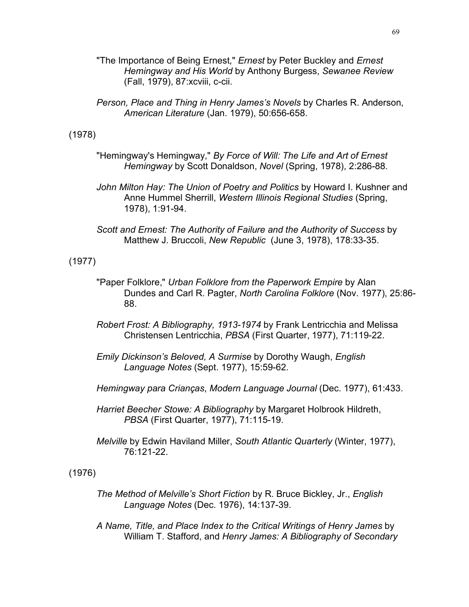- "The Importance of Being Ernest," *Ernest* by Peter Buckley and *Ernest Hemingway and His World* by Anthony Burgess, *Sewanee Review* (Fall, 1979), 87:xcviii, c-cii.
- *Person, Place and Thing in Henry James's Novels* by Charles R. Anderson, *American Literature* (Jan. 1979), 50:656-658.

### (1978)

- "Hemingway's Hemingway," *By Force of Will: The Life and Art of Ernest Hemingway* by Scott Donaldson, *Novel* (Spring, 1978), 2:286-88.
- *John Milton Hay: The Union of Poetry and Politics* by Howard I. Kushner and Anne Hummel Sherrill, *Western Illinois Regional Studies* (Spring, 1978), 1:91-94.
- *Scott and Ernest: The Authority of Failure and the Authority of Success* by Matthew J. Bruccoli, *New Republic* (June 3, 1978), 178:33-35.

### (1977)

- "Paper Folklore," *Urban Folklore from the Paperwork Empire* by Alan Dundes and Carl R. Pagter, *North Carolina Folklore* (Nov. 1977), 25:86- 88.
- *Robert Frost: A Bibliography, 1913-1974* by Frank Lentricchia and Melissa Christensen Lentricchia, *PBSA* (First Quarter, 1977), 71:119-22.
- *Emily Dickinson's Beloved, A Surmise* by Dorothy Waugh, *English Language Notes* (Sept. 1977), 15:59-62.
- *Hemingway para Crianças*, *Modern Language Journal* (Dec. 1977), 61:433.
- *Harriet Beecher Stowe: A Bibliography* by Margaret Holbrook Hildreth, *PBSA* (First Quarter, 1977), 71:115-19.
- *Melville* by Edwin Haviland Miller, *South Atlantic Quarterly* (Winter, 1977), 76:121-22.

### (1976)

- *The Method of Melville's Short Fiction* by R. Bruce Bickley, Jr., *English Language Notes* (Dec. 1976), 14:137-39.
- *A Name, Title, and Place Index to the Critical Writings of Henry James* by William T. Stafford, and *Henry James: A Bibliography of Secondary*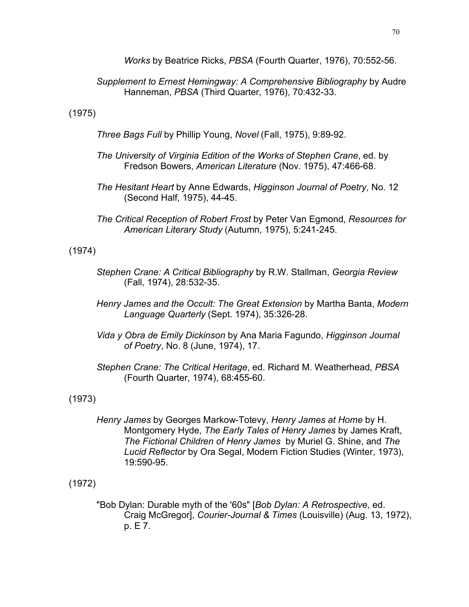*Works* by Beatrice Ricks, *PBSA* (Fourth Quarter, 1976), 70:552-56.

# *Supplement to Ernest Hemingway: A Comprehensive Bibliography* by Audre Hanneman, *PBSA* (Third Quarter, 1976), 70:432-33.

(1975)

*Three Bags Full* by Phillip Young, *Novel* (Fall, 1975), 9:89-92.

- *The University of Virginia Edition of the Works of Stephen Crane*, ed. by Fredson Bowers, *American Literature* (Nov. 1975), 47:466-68.
- *The Hesitant Heart* by Anne Edwards, *Higginson Journal of Poetry*, No. 12 (Second Half, 1975), 44-45.
- *The Critical Reception of Robert Frost* by Peter Van Egmond, *Resources for American Literary Study* (Autumn, 1975), 5:241-245.

(1974)

- *Stephen Crane: A Critical Bibliography* by R.W. Stallman, *Georgia Review* (Fall, 1974), 28:532-35.
- *Henry James and the Occult: The Great Extension* by Martha Banta, *Modern Language Quarterly* (Sept. 1974), 35:326-28.
- *Vida y Obra de Emily Dickinson* by Ana Maria Fagundo, *Higginson Journal of Poetry*, No. 8 (June, 1974), 17.
- *Stephen Crane: The Critical Heritage*, ed. Richard M. Weatherhead, *PBSA* (Fourth Quarter, 1974), 68:455-60.

(1973)

*Henry James* by Georges Markow-Totevy, *Henry James at Home* by H. Montgomery Hyde, *The Early Tales of Henry James* by James Kraft, *The Fictional Children of Henry James* by Muriel G. Shine, and *The Lucid Reflector* by Ora Segal, Modern Fiction Studies (Winter, 1973), 19:590-95.

(1972)

"Bob Dylan: Durable myth of the '60s" [*Bob Dylan: A Retrospective*, ed. Craig McGregor], *Courier-Journal & Times* (Louisville) (Aug. 13, 1972), p. E 7.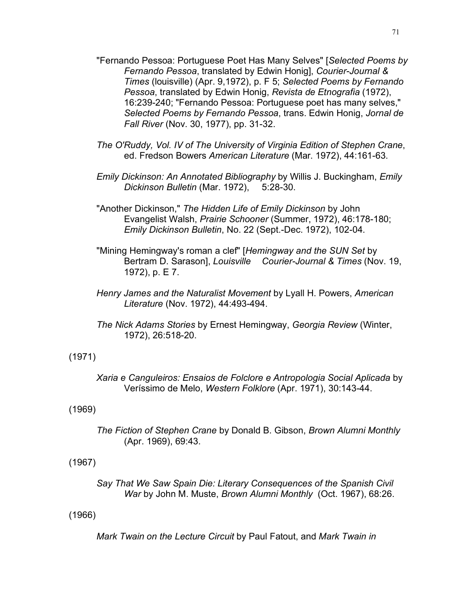- "Fernando Pessoa: Portuguese Poet Has Many Selves" [*Selected Poems by Fernando Pessoa*, translated by Edwin Honig], *Courier-Journal & Times* (louisville) (Apr. 9,1972), p. F 5; *Selected Poems by Fernando Pessoa*, translated by Edwin Honig, *Revista de Etnografia* (1972), 16:239-240; "Fernando Pessoa: Portuguese poet has many selves," *Selected Poems by Fernando Pessoa*, trans. Edwin Honig, *Jornal de Fall River* (Nov. 30, 1977), pp. 31-32.
- *The O'Ruddy, Vol. IV of The University of Virginia Edition of Stephen Crane*, ed. Fredson Bowers *American Literature* (Mar. 1972), 44:161-63.
- *Emily Dickinson: An Annotated Bibliography* by Willis J. Buckingham, *Emily Dickinson Bulletin* (Mar. 1972), 5:28-30.
- "Another Dickinson," *The Hidden Life of Emily Dickinson* by John Evangelist Walsh, *Prairie Schooner* (Summer, 1972), 46:178-180; *Emily Dickinson Bulletin*, No. 22 (Sept.-Dec. 1972), 102-04.
- "Mining Hemingway's roman a clef" [*Hemingway and the SUN Set* by Bertram D. Sarason], *Louisville Courier-Journal & Times* (Nov. 19, 1972), p. E 7.
- *Henry James and the Naturalist Movement* by Lyall H. Powers, *American Literature* (Nov. 1972), 44:493-494.
- *The Nick Adams Stories* by Ernest Hemingway, *Georgia Review* (Winter, 1972), 26:518-20.

## (1971)

*Xaria e Canguleiros: Ensaios de Folclore e Antropologia Social Aplicada* by Veríssimo de Melo, *Western Folklore* (Apr. 1971), 30:143-44.

## (1969)

*The Fiction of Stephen Crane* by Donald B. Gibson, *Brown Alumni Monthly* (Apr. 1969), 69:43.

# (1967)

*Say That We Saw Spain Die: Literary Consequences of the Spanish Civil War* by John M. Muste, *Brown Alumni Monthly* (Oct. 1967), 68:26.

## (1966)

*Mark Twain on the Lecture Circuit* by Paul Fatout, and *Mark Twain in*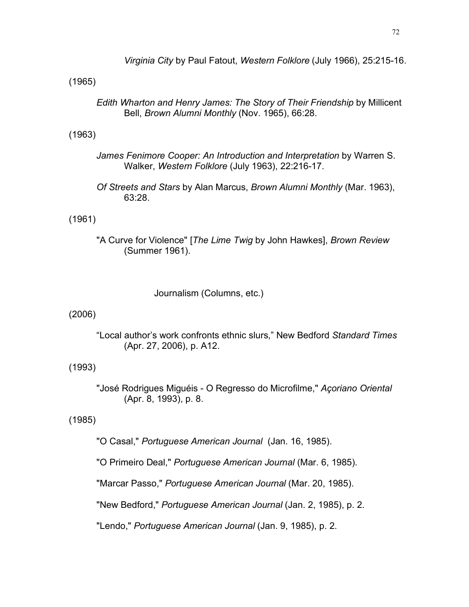*Virginia City* by Paul Fatout, *Western Folklore* (July 1966), 25:215-16.

### (1965)

*Edith Wharton and Henry James: The Story of Their Friendship* by Millicent Bell, *Brown Alumni Monthly* (Nov. 1965), 66:28.

### (1963)

- *James Fenimore Cooper: An Introduction and Interpretation* by Warren S. Walker, *Western Folklore* (July 1963), 22:216-17.
- *Of Streets and Stars* by Alan Marcus, *Brown Alumni Monthly* (Mar. 1963), 63:28.

### (1961)

"A Curve for Violence" [*The Lime Twig* by John Hawkes], *Brown Review* (Summer 1961).

Journalism (Columns, etc.)

### (2006)

"Local author's work confronts ethnic slurs," New Bedford *Standard Times* (Apr. 27, 2006), p. A12.

## (1993)

"José Rodrigues Miguéis - O Regresso do Microfilme," *Açoriano Oriental* (Apr. 8, 1993), p. 8.

## (1985)

"O Casal," *Portuguese American Journal* (Jan. 16, 1985).

"O Primeiro Deal," *Portuguese American Journal* (Mar. 6, 1985).

"Marcar Passo," *Portuguese American Journal* (Mar. 20, 1985).

"New Bedford," *Portuguese American Journal* (Jan. 2, 1985), p. 2.

"Lendo," *Portuguese American Journal* (Jan. 9, 1985), p. 2.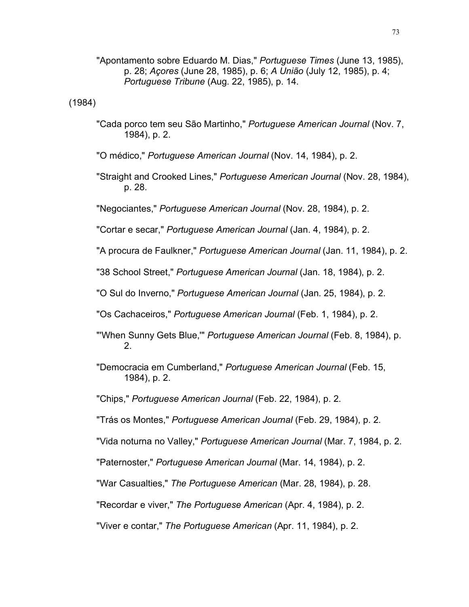"Apontamento sobre Eduardo M. Dias," *Portuguese Times* (June 13, 1985), p. 28; *Açores* (June 28, 1985), p. 6; *A União* (July 12, 1985), p. 4; *Portuguese Tribune* (Aug. 22, 1985), p. 14.

(1984)

"Cada porco tem seu São Martinho," *Portuguese American Journal* (Nov. 7, 1984), p. 2.

"O médico," *Portuguese American Journal* (Nov. 14, 1984), p. 2.

"Straight and Crooked Lines," *Portuguese American Journal* (Nov. 28, 1984), p. 28.

"Negociantes," *Portuguese American Journal* (Nov. 28, 1984), p. 2.

"Cortar e secar," *Portuguese American Journal* (Jan. 4, 1984), p. 2.

"A procura de Faulkner," *Portuguese American Journal* (Jan. 11, 1984), p. 2.

"38 School Street," *Portuguese American Journal* (Jan. 18, 1984), p. 2.

"O Sul do Inverno," *Portuguese American Journal* (Jan. 25, 1984), p. 2.

"Os Cachaceiros," *Portuguese American Journal* (Feb. 1, 1984), p. 2.

- "'When Sunny Gets Blue,'" *Portuguese American Journal* (Feb. 8, 1984), p. 2.
- "Democracia em Cumberland," *Portuguese American Journal* (Feb. 15, 1984), p. 2.

"Chips," *Portuguese American Journal* (Feb. 22, 1984), p. 2.

"Trás os Montes," *Portuguese American Journal* (Feb. 29, 1984), p. 2.

- "Vida noturna no Valley," *Portuguese American Journal* (Mar. 7, 1984, p. 2.
- "Paternoster," *Portuguese American Journal* (Mar. 14, 1984), p. 2.

"War Casualties," *The Portuguese American* (Mar. 28, 1984), p. 28.

"Recordar e viver," *The Portuguese American* (Apr. 4, 1984), p. 2.

"Viver e contar," *The Portuguese American* (Apr. 11, 1984), p. 2.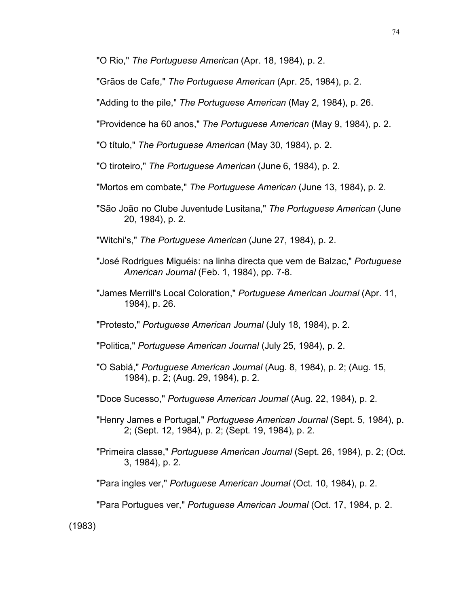"O Rio," *The Portuguese American* (Apr. 18, 1984), p. 2.

"Grãos de Cafe," *The Portuguese American* (Apr. 25, 1984), p. 2.

"Adding to the pile," *The Portuguese American* (May 2, 1984), p. 26.

"Providence ha 60 anos," *The Portuguese American* (May 9, 1984), p. 2.

"O título," *The Portuguese American* (May 30, 1984), p. 2.

"O tiroteiro," *The Portuguese American* (June 6, 1984), p. 2.

"Mortos em combate," *The Portuguese American* (June 13, 1984), p. 2.

"São João no Clube Juventude Lusitana," *The Portuguese American* (June 20, 1984), p. 2.

"Witchi's," *The Portuguese American* (June 27, 1984), p. 2.

- "José Rodrigues Miguéis: na linha directa que vem de Balzac," *Portuguese American Journal* (Feb. 1, 1984), pp. 7-8.
- "James Merrill's Local Coloration," *Portuguese American Journal* (Apr. 11, 1984), p. 26.

"Protesto," *Portuguese American Journal* (July 18, 1984), p. 2.

"Politica," *Portuguese American Journal* (July 25, 1984), p. 2.

- "O Sabiá," *Portuguese American Journal* (Aug. 8, 1984), p. 2; (Aug. 15, 1984), p. 2; (Aug. 29, 1984), p. 2.
- "Doce Sucesso," *Portuguese American Journal* (Aug. 22, 1984), p. 2.
- "Henry James e Portugal," *Portuguese American Journal* (Sept. 5, 1984), p. 2; (Sept. 12, 1984), p. 2; (Sept. 19, 1984), p. 2.
- "Primeira classe," *Portuguese American Journal* (Sept. 26, 1984), p. 2; (Oct. 3, 1984), p. 2.

"Para ingles ver," *Portuguese American Journal* (Oct. 10, 1984), p. 2.

"Para Portugues ver," *Portuguese American Journal* (Oct. 17, 1984, p. 2.

(1983)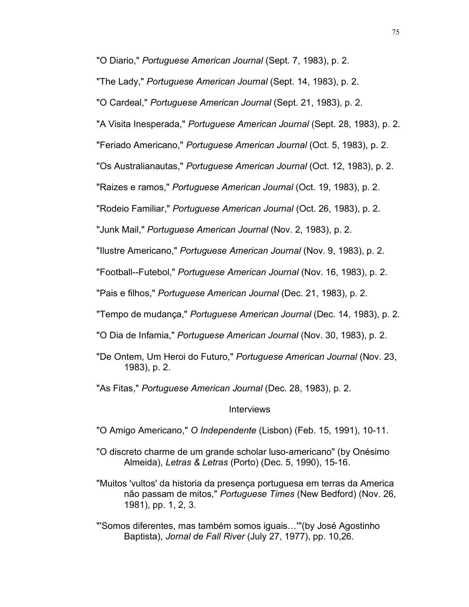"O Diario," *Portuguese American Journal* (Sept. 7, 1983), p. 2.

"The Lady," *Portuguese American Journal* (Sept. 14, 1983), p. 2.

"O Cardeal," *Portuguese American Journal* (Sept. 21, 1983), p. 2.

"A Visita Inesperada," *Portuguese American Journal* (Sept. 28, 1983), p. 2.

"Feriado Americano," *Portuguese American Journal* (Oct. 5, 1983), p. 2.

"Os Australianautas," *Portuguese American Journal* (Oct. 12, 1983), p. 2.

"Raizes e ramos," *Portuguese American Journal* (Oct. 19, 1983), p. 2.

"Rodeio Familiar," *Portuguese American Journal* (Oct. 26, 1983), p. 2.

"Junk Mail," *Portuguese American Journal* (Nov. 2, 1983), p. 2.

"Ilustre Americano," *Portuguese American Journal* (Nov. 9, 1983), p. 2.

"Football--Futebol," *Portuguese American Journal* (Nov. 16, 1983), p. 2.

"Pais e filhos," *Portuguese American Journal* (Dec. 21, 1983), p. 2.

"Tempo de mudança," *Portuguese American Journal* (Dec. 14, 1983), p. 2.

"O Dia de Infamia," *Portuguese American Journal* (Nov. 30, 1983), p. 2.

"De Ontem, Um Heroi do Futuro," *Portuguese American Journal* (Nov. 23, 1983), p. 2.

"As Fitas," *Portuguese American Journal* (Dec. 28, 1983), p. 2.

Interviews

"O Amigo Americano," *O Independente* (Lisbon) (Feb. 15, 1991), 10-11.

"O discreto charme de um grande scholar luso-americano" (by Onésimo Almeida), *Letras & Letras* (Porto) (Dec. 5, 1990), 15-16.

"Muitos 'vultos' da historia da presença portuguesa em terras da America não passam de mitos," *Portuguese Times* (New Bedford) (Nov. 26, 1981), pp. 1, 2, 3.

"'Somos diferentes, mas também somos iguais…'"(by José Agostinho Baptista), *Jornal de Fall River* (July 27, 1977), pp. 10,26.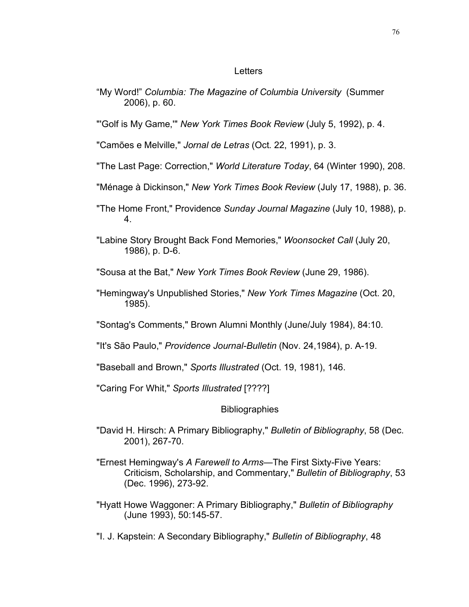### **Letters**

"My Word!" *Columbia: The Magazine of Columbia University* (Summer 2006), p. 60.

"'Golf is My Game,'" *New York Times Book Review* (July 5, 1992), p. 4.

"Camões e Melville," *Jornal de Letras* (Oct. 22, 1991), p. 3.

- "The Last Page: Correction," *World Literature Today*, 64 (Winter 1990), 208.
- "Ménage à Dickinson," *New York Times Book Review* (July 17, 1988), p. 36.
- "The Home Front," Providence *Sunday Journal Magazine* (July 10, 1988), p. 4.
- "Labine Story Brought Back Fond Memories," *Woonsocket Call* (July 20, 1986), p. D-6.
- "Sousa at the Bat," *New York Times Book Review* (June 29, 1986).
- "Hemingway's Unpublished Stories," *New York Times Magazine* (Oct. 20, 1985).
- "Sontag's Comments," Brown Alumni Monthly (June/July 1984), 84:10.
- "It's São Paulo," *Providence Journal-Bulletin* (Nov. 24,1984), p. A-19.
- "Baseball and Brown," *Sports Illustrated* (Oct. 19, 1981), 146.
- "Caring For Whit," *Sports Illustrated* [????]

### **Bibliographies**

- "David H. Hirsch: A Primary Bibliography," *Bulletin of Bibliography*, 58 (Dec. 2001), 267-70.
- "Ernest Hemingway's *A Farewell to Arms*—The First Sixty-Five Years: Criticism, Scholarship, and Commentary," *Bulletin of Bibliography*, 53 (Dec. 1996), 273-92.
- "Hyatt Howe Waggoner: A Primary Bibliography," *Bulletin of Bibliography*  (June 1993), 50:145-57.
- "I. J. Kapstein: A Secondary Bibliography," *Bulletin of Bibliography*, 48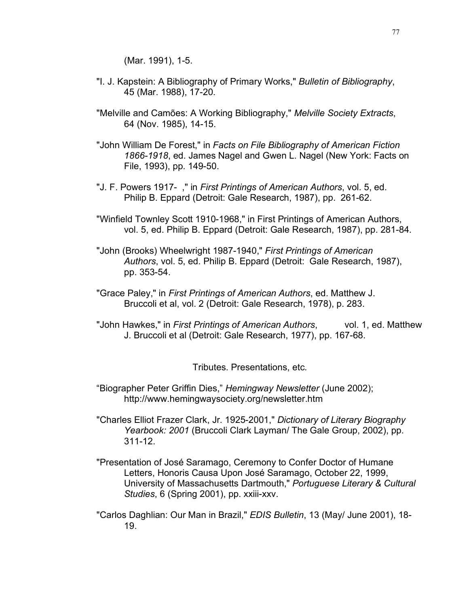(Mar. 1991), 1-5.

- "I. J. Kapstein: A Bibliography of Primary Works," *Bulletin of Bibliography*, 45 (Mar. 1988), 17-20.
- "Melville and Camões: A Working Bibliography," *Melville Society Extracts*, 64 (Nov. 1985), 14-15.
- "John William De Forest," in *Facts on File Bibliography of American Fiction 1866-1918*, ed. James Nagel and Gwen L. Nagel (New York: Facts on File, 1993), pp. 149-50.
- "J. F. Powers 1917- ," in *First Printings of American Authors*, vol. 5, ed. Philip B. Eppard (Detroit: Gale Research, 1987), pp. 261-62.
- "Winfield Townley Scott 1910-1968," in First Printings of American Authors, vol. 5, ed. Philip B. Eppard (Detroit: Gale Research, 1987), pp. 281-84.
- "John (Brooks) Wheelwright 1987-1940," *First Printings of American Authors*, vol. 5, ed. Philip B. Eppard (Detroit: Gale Research, 1987), pp. 353-54.
- "Grace Paley," in *First Printings of American Authors*, ed. Matthew J. Bruccoli et al, vol. 2 (Detroit: Gale Research, 1978), p. 283.
- "John Hawkes," in *First Printings of American Authors*, vol. 1, ed. Matthew J. Bruccoli et al (Detroit: Gale Research, 1977), pp. 167-68.

Tributes. Presentations, etc.

- "Biographer Peter Griffin Dies," *Hemingway Newsletter* (June 2002); http://www.hemingwaysociety.org/newsletter.htm
- "Charles Elliot Frazer Clark, Jr. 1925-2001," *Dictionary of Literary Biography Yearbook: 2001* (Bruccoli Clark Layman/ The Gale Group, 2002), pp. 311-12.
- "Presentation of José Saramago, Ceremony to Confer Doctor of Humane Letters, Honoris Causa Upon José Saramago, October 22, 1999, University of Massachusetts Dartmouth," *Portuguese Literary & Cultural Studies*, 6 (Spring 2001), pp. xxiii-xxv.
- "Carlos Daghlian: Our Man in Brazil," *EDIS Bulletin*, 13 (May/ June 2001), 18- 19.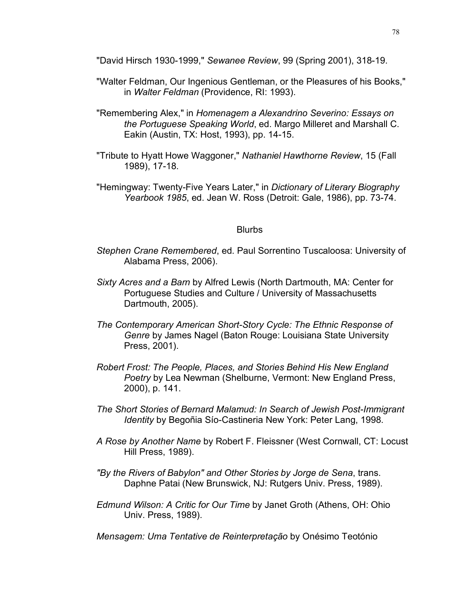"David Hirsch 1930-1999," *Sewanee Review*, 99 (Spring 2001), 318-19.

- "Walter Feldman, Our Ingenious Gentleman, or the Pleasures of his Books," in *Walter Feldman* (Providence, RI: 1993).
- "Remembering Alex," in *Homenagem a Alexandrino Severino: Essays on the Portuguese Speaking World*, ed. Margo Milleret and Marshall C. Eakin (Austin, TX: Host, 1993), pp. 14-15.
- "Tribute to Hyatt Howe Waggoner," *Nathaniel Hawthorne Review*, 15 (Fall 1989), 17-18.
- "Hemingway: Twenty-Five Years Later," in *Dictionary of Literary Biography Yearbook 1985*, ed. Jean W. Ross (Detroit: Gale, 1986), pp. 73-74.

#### **Blurbs**

- *Stephen Crane Remembered*, ed. Paul Sorrentino Tuscaloosa: University of Alabama Press, 2006).
- *Sixty Acres and a Barn* by Alfred Lewis (North Dartmouth, MA: Center for Portuguese Studies and Culture / University of Massachusetts Dartmouth, 2005).
- *The Contemporary American Short-Story Cycle: The Ethnic Response of Genre* by James Nagel (Baton Rouge: Louisiana State University Press, 2001).
- *Robert Frost: The People, Places, and Stories Behind His New England Poetry* by Lea Newman (Shelburne, Vermont: New England Press, 2000), p. 141.
- *The Short Stories of Bernard Malamud: In Search of Jewish Post-Immigrant Identity* by Begoñia Sío-Castineria New York: Peter Lang, 1998.
- *A Rose by Another Name* by Robert F. Fleissner (West Cornwall, CT: Locust Hill Press, 1989).
- *"By the Rivers of Babylon" and Other Stories by Jorge de Sena*, trans. Daphne Patai (New Brunswick, NJ: Rutgers Univ. Press, 1989).
- *Edmund Wilson: A Critic for Our Time* by Janet Groth (Athens, OH: Ohio Univ. Press, 1989).
- *Mensagem: Uma Tentative de Reinterpretação* by Onésimo Teotónio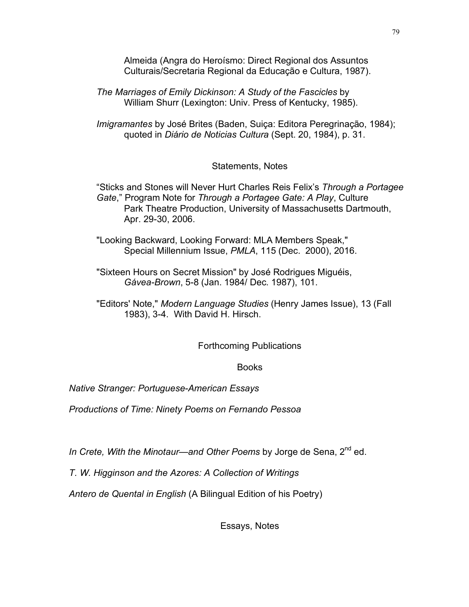Almeida (Angra do Heroísmo: Direct Regional dos Assuntos Culturais/Secretaria Regional da Educação e Cultura, 1987).

*The Marriages of Emily Dickinson: A Study of the Fascicles* by William Shurr (Lexington: Univ. Press of Kentucky, 1985).

*Imigramantes* by José Brites (Baden, Suiça: Editora Peregrinação, 1984); quoted in *Diário de Noticias Cultura* (Sept. 20, 1984), p. 31.

Statements, Notes

"Sticks and Stones will Never Hurt Charles Reis Felix's *Through a Portagee Gate*," Program Note for *Through a Portagee Gate: A Play*, Culture Park Theatre Production, University of Massachusetts Dartmouth, Apr. 29-30, 2006.

"Looking Backward, Looking Forward: MLA Members Speak," Special Millennium Issue, *PMLA*, 115 (Dec. 2000), 2016.

"Sixteen Hours on Secret Mission" by José Rodrigues Miguéis, *Gávea-Brown*, 5-8 (Jan. 1984/ Dec. 1987), 101.

"Editors' Note," *Modern Language Studies* (Henry James Issue), 13 (Fall 1983), 3-4. With David H. Hirsch.

Forthcoming Publications

Books

*Native Stranger: Portuguese-American Essays*

*Productions of Time: Ninety Poems on Fernando Pessoa*

*In Crete, With the Minotaur—and Other Poems* by Jorge de Sena, 2nd ed.

*T. W. Higginson and the Azores: A Collection of Writings*

*Antero de Quental in English* (A Bilingual Edition of his Poetry)

Essays, Notes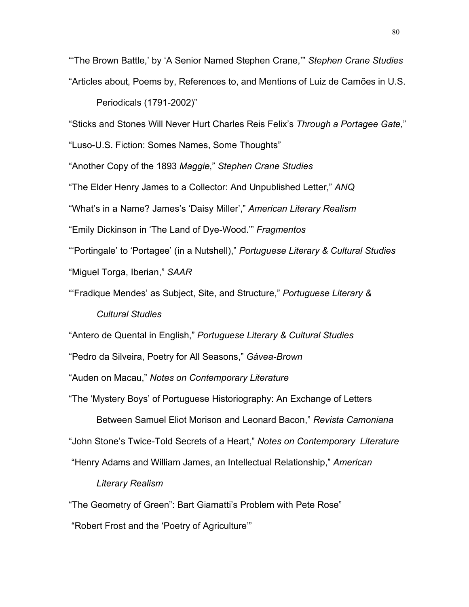"'The Brown Battle,' by 'A Senior Named Stephen Crane,'" *Stephen Crane Studies* "Articles about, Poems by, References to, and Mentions of Luiz de Camões in U.S.

Periodicals (1791-2002)"

"Sticks and Stones Will Never Hurt Charles Reis Felix's *Through a Portagee Gate*,"

"Luso-U.S. Fiction: Somes Names, Some Thoughts"

"Another Copy of the 1893 *Maggie*," *Stephen Crane Studies*

"The Elder Henry James to a Collector: And Unpublished Letter," *ANQ*

"What's in a Name? James's 'Daisy Miller'," *American Literary Realism*

"Emily Dickinson in 'The Land of Dye-Wood.'" *Fragmentos*

"'Portingale' to 'Portagee' (in a Nutshell)," *Portuguese Literary & Cultural Studies* "Miguel Torga, Iberian," *SAAR*

"'Fradique Mendes' as Subject, Site, and Structure," *Portuguese Literary &*

*Cultural Studies*

"Antero de Quental in English," *Portuguese Literary & Cultural Studies*

"Pedro da Silveira, Poetry for All Seasons," *Gávea-Brown*

"Auden on Macau," *Notes on Contemporary Literature*

"The 'Mystery Boys' of Portuguese Historiography: An Exchange of Letters

Between Samuel Eliot Morison and Leonard Bacon," *Revista Camoniana*

"John Stone's Twice-Told Secrets of a Heart," *Notes on Contemporary Literature*

"Henry Adams and William James, an Intellectual Relationship," *American*

*Literary Realism*

"The Geometry of Green": Bart Giamatti's Problem with Pete Rose"

"Robert Frost and the 'Poetry of Agriculture'"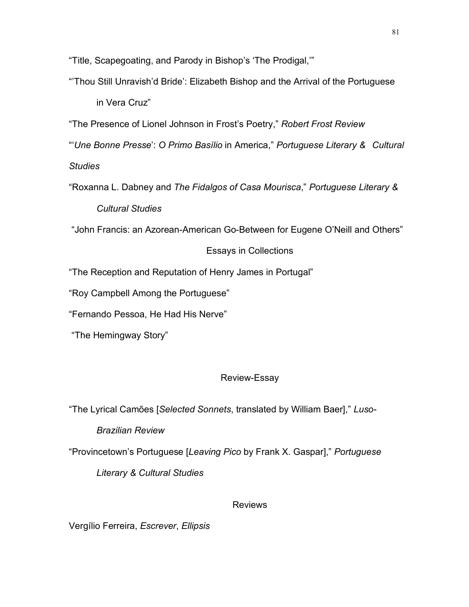"Title, Scapegoating, and Parody in Bishop's 'The Prodigal,'"

"'Thou Still Unravish'd Bride': Elizabeth Bishop and the Arrival of the Portuguese

in Vera Cruz"

"The Presence of Lionel Johnson in Frost's Poetry," *Robert Frost Review*

"'*Une Bonne Presse*': *O Primo Basílio* in America," *Portuguese Literary & Cultural*

*Studies*

"Roxanna L. Dabney and *The Fidalgos of Casa Mourisca*," *Portuguese Literary & Cultural Studies*

"John Francis: an Azorean-American Go-Between for Eugene O'Neill and Others"

# Essays in Collections

"The Reception and Reputation of Henry James in Portugal"

"Roy Campbell Among the Portuguese"

"Fernando Pessoa, He Had His Nerve"

"The Hemingway Story"

# Review-Essay

"The Lyrical Camões [*Selected Sonnets*, translated by William Baer]," *Luso-*

*Brazilian Review*

"Provincetown's Portuguese [*Leaving Pico* by Frank X. Gaspar]," *Portuguese*

*Literary & Cultural Studies* 

### Reviews

Vergílio Ferreira, *Escrever*, *Ellipsis*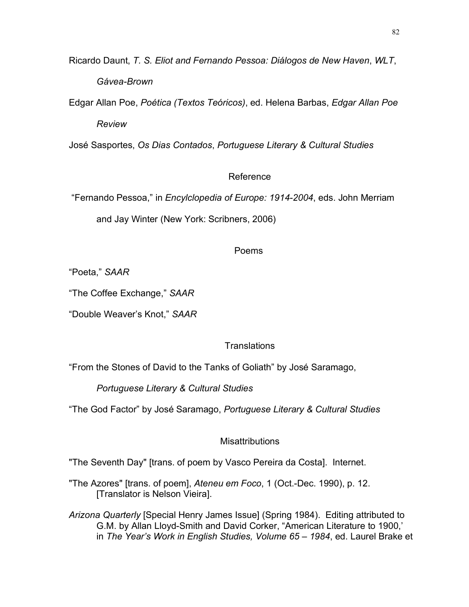Ricardo Daunt, *T. S. Eliot and Fernando Pessoa: Diálogos de New Haven*, *WLT*, *Gávea-Brown*

Edgar Allan Poe, *Poética (Textos Teóricos)*, ed. Helena Barbas, *Edgar Allan Poe Review*

José Sasportes, *Os Dias Contados*, *Portuguese Literary & Cultural Studies* 

# Reference

"Fernando Pessoa," in *Encylclopedia of Europe: 1914-2004*, eds. John Merriam

and Jay Winter (New York: Scribners, 2006)

# Poems

"Poeta," *SAAR*

"The Coffee Exchange," *SAAR*

"Double Weaver's Knot," *SAAR*

# **Translations**

"From the Stones of David to the Tanks of Goliath" by José Saramago,

*Portuguese Literary & Cultural Studies*

"The God Factor" by José Saramago, *Portuguese Literary & Cultural Studies*

# **Misattributions**

"The Seventh Day" [trans. of poem by Vasco Pereira da Costa]. Internet.

"The Azores" [trans. of poem], *Ateneu em Foco*, 1 (Oct.-Dec. 1990), p. 12. [Translator is Nelson Vieira].

*Arizona Quarterly* [Special Henry James Issue] (Spring 1984). Editing attributed to G.M. by Allan Lloyd-Smith and David Corker, "American Literature to 1900,' in *The Year's Work in English Studies, Volume 65 – 1984*, ed. Laurel Brake et